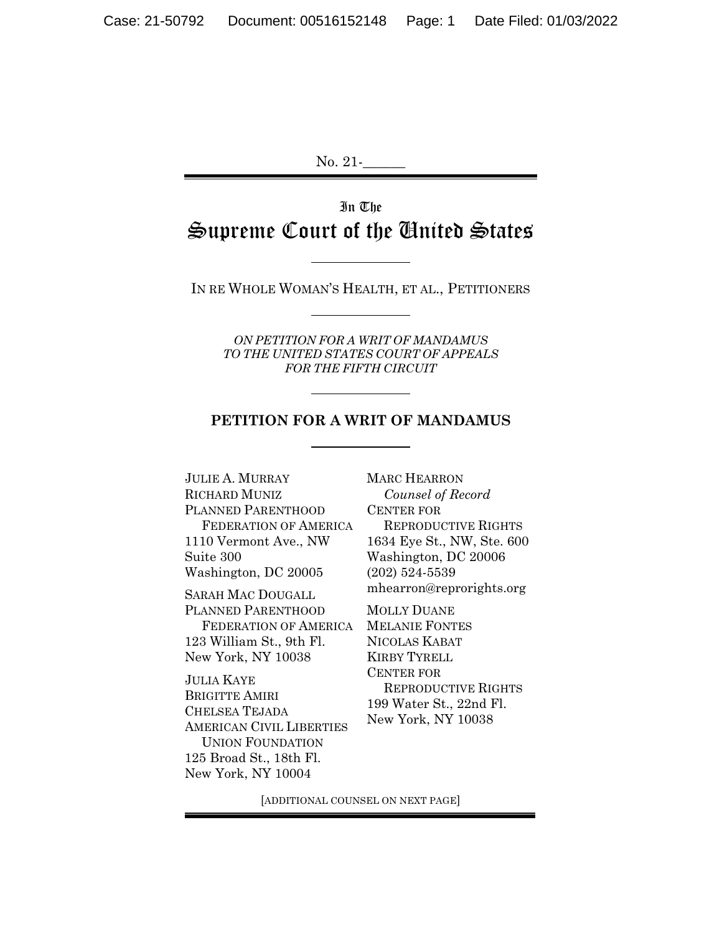No. 21-

# In The Supreme Court of the United States

IN RE WHOLE WOMAN'S HEALTH, ET AL., PETITIONERS

*ON PETITION FOR A WRIT OF MANDAMUS TO THE UNITED STATES COURT OF APPEALS FOR THE FIFTH CIRCUIT*

#### **PETITION FOR A WRIT OF MANDAMUS**

JULIE A. MURRAY RICHARD MUNIZ PLANNED PARENTHOOD FEDERATION OF AMERICA 1110 Vermont Ave., NW Suite 300 Washington, DC 20005 SARAH MAC DOUGALL PLANNED PARENTHOOD FEDERATION OF AMERICA

123 William St., 9th Fl. New York, NY 10038

JULIA KAYE BRIGITTE AMIRI CHELSEA TEJADA AMERICAN CIVIL LIBERTIES UNION FOUNDATION 125 Broad St., 18th Fl. New York, NY 10004

MARC HEARRON *Counsel of Record*  CENTER FOR REPRODUCTIVE RIGHTS 1634 Eye St., NW, Ste. 600 Washington, DC 20006 (202) 524-5539 mhearron@reprorights.org

MOLLY DUANE MELANIE FONTES NICOLAS KABAT KIRBY TYRELL CENTER FOR REPRODUCTIVE RIGHTS 199 Water St., 22nd Fl. New York, NY 10038

[ADDITIONAL COUNSEL ON NEXT PAGE]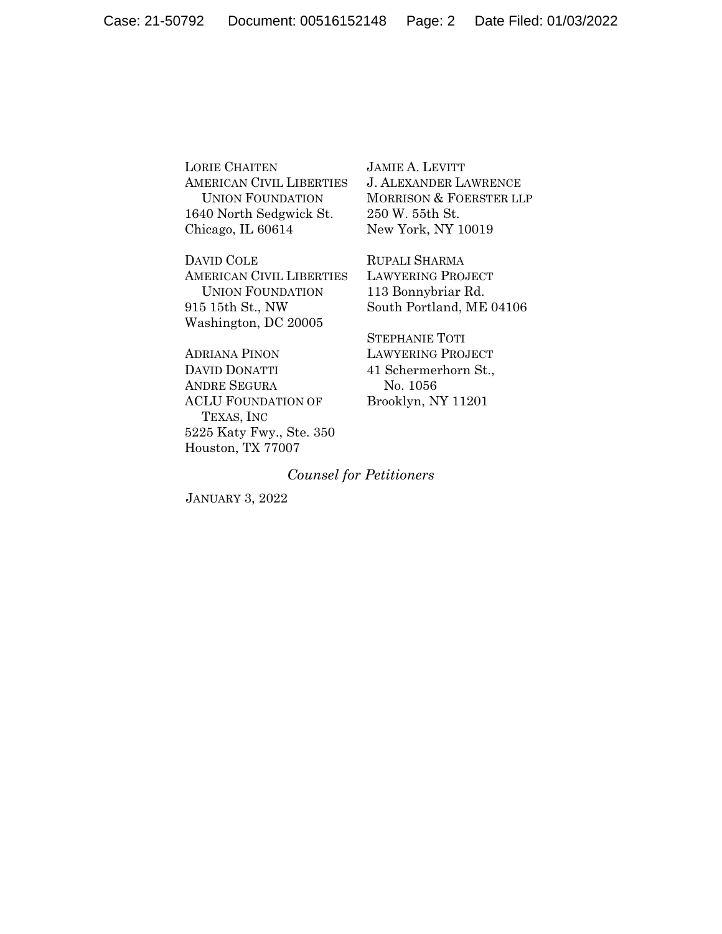LORIE CHAITEN AMERICAN CIVIL LIBERTIES UNION FOUNDATION 1640 North Sedgwick St. Chicago, IL 60614

DAVID COLE AMERICAN CIVIL LIBERTIES UNION FOUNDATION 915 15th St., NW Washington, DC 20005

ADRIANA PINON DAVID DONATTI ANDRE SEGURA ACLU FOUNDATION OF TEXAS, INC 5225 Katy Fwy., Ste. 350 Houston, TX 77007

JAMIE A. LEVITT J. ALEXANDER LAWRENCE MORRISON & FOERSTER LLP 250 W. 55th St. New York, NY 10019

RUPALI SHARMA LAWYERING PROJECT 113 Bonnybriar Rd. South Portland, ME 04106

STEPHANIE TOTI LAWYERING PROJECT 41 Schermerhorn St., No. 1056 Brooklyn, NY 11201

#### *Counsel for Petitioners*

JANUARY 3, 2022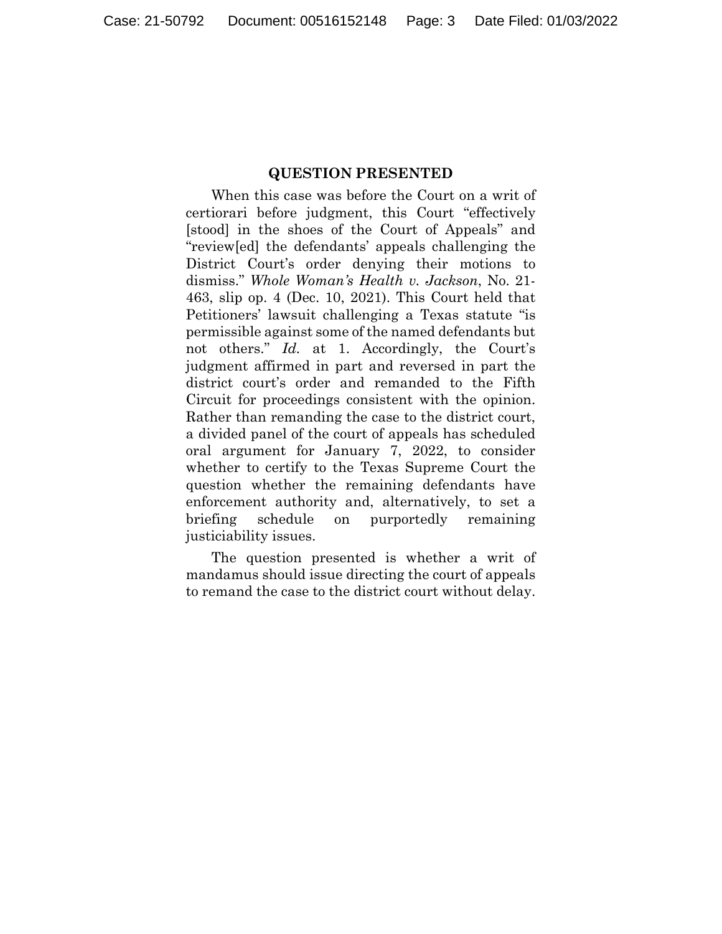#### **QUESTION PRESENTED**

When this case was before the Court on a writ of certiorari before judgment, this Court "effectively [stood] in the shoes of the Court of Appeals" and "review[ed] the defendants' appeals challenging the District Court's order denying their motions to dismiss." *Whole Woman's Health v. Jackson*, No. 21- 463, slip op. 4 (Dec. 10, 2021). This Court held that Petitioners' lawsuit challenging a Texas statute "is permissible against some of the named defendants but not others." *Id.* at 1. Accordingly, the Court's judgment affirmed in part and reversed in part the district court's order and remanded to the Fifth Circuit for proceedings consistent with the opinion. Rather than remanding the case to the district court, a divided panel of the court of appeals has scheduled oral argument for January 7, 2022, to consider whether to certify to the Texas Supreme Court the question whether the remaining defendants have enforcement authority and, alternatively, to set a briefing schedule on purportedly remaining justiciability issues.

The question presented is whether a writ of mandamus should issue directing the court of appeals to remand the case to the district court without delay.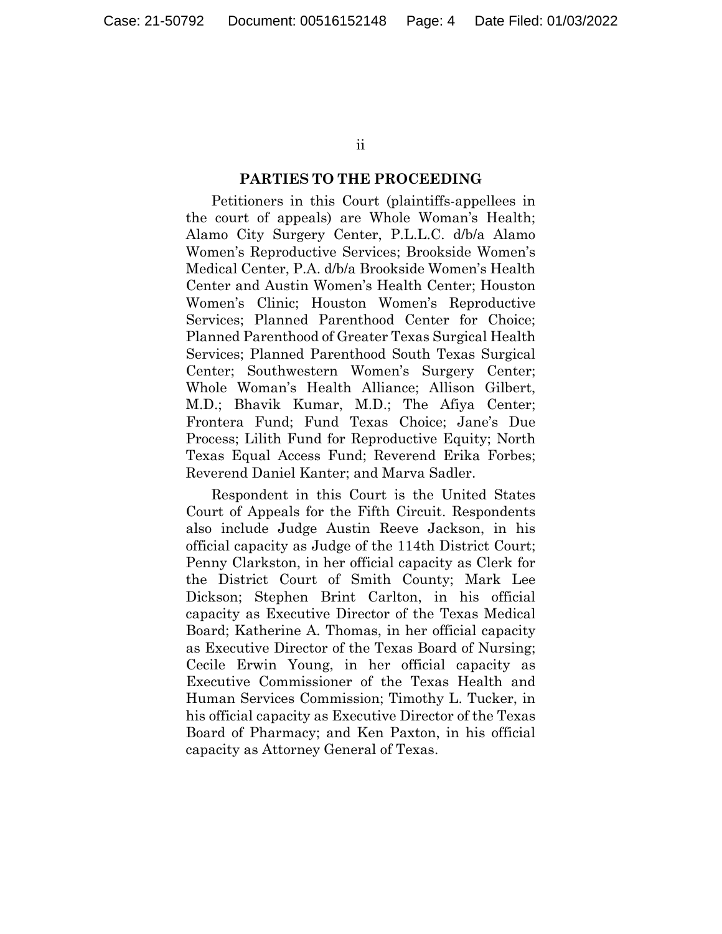ii

### **PARTIES TO THE PROCEEDING**

Petitioners in this Court (plaintiffs-appellees in the court of appeals) are Whole Woman's Health; Alamo City Surgery Center, P.L.L.C. d/b/a Alamo Women's Reproductive Services; Brookside Women's Medical Center, P.A. d/b/a Brookside Women's Health Center and Austin Women's Health Center; Houston Women's Clinic; Houston Women's Reproductive Services; Planned Parenthood Center for Choice; Planned Parenthood of Greater Texas Surgical Health Services; Planned Parenthood South Texas Surgical Center; Southwestern Women's Surgery Center; Whole Woman's Health Alliance; Allison Gilbert, M.D.; Bhavik Kumar, M.D.; The Afiya Center; Frontera Fund; Fund Texas Choice; Jane's Due Process; Lilith Fund for Reproductive Equity; North Texas Equal Access Fund; Reverend Erika Forbes; Reverend Daniel Kanter; and Marva Sadler.

Respondent in this Court is the United States Court of Appeals for the Fifth Circuit. Respondents also include Judge Austin Reeve Jackson, in his official capacity as Judge of the 114th District Court; Penny Clarkston, in her official capacity as Clerk for the District Court of Smith County; Mark Lee Dickson; Stephen Brint Carlton, in his official capacity as Executive Director of the Texas Medical Board; Katherine A. Thomas, in her official capacity as Executive Director of the Texas Board of Nursing; Cecile Erwin Young, in her official capacity as Executive Commissioner of the Texas Health and Human Services Commission; Timothy L. Tucker, in his official capacity as Executive Director of the Texas Board of Pharmacy; and Ken Paxton, in his official capacity as Attorney General of Texas.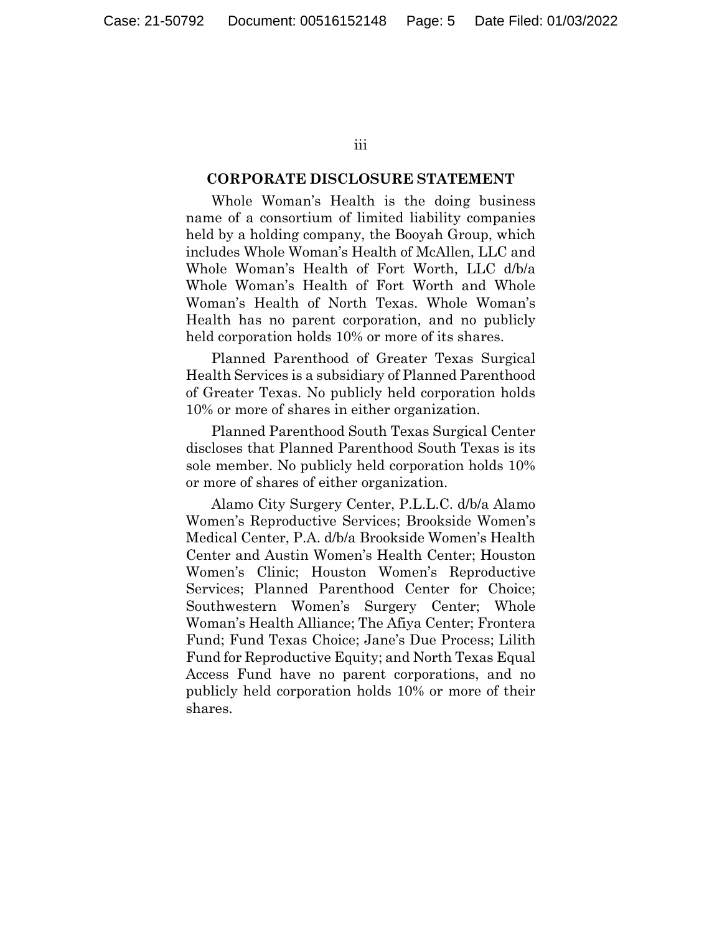iii

#### **CORPORATE DISCLOSURE STATEMENT**

Whole Woman's Health is the doing business name of a consortium of limited liability companies held by a holding company, the Booyah Group, which includes Whole Woman's Health of McAllen, LLC and Whole Woman's Health of Fort Worth, LLC d/b/a Whole Woman's Health of Fort Worth and Whole Woman's Health of North Texas. Whole Woman's Health has no parent corporation, and no publicly held corporation holds 10% or more of its shares.

Planned Parenthood of Greater Texas Surgical Health Services is a subsidiary of Planned Parenthood of Greater Texas. No publicly held corporation holds 10% or more of shares in either organization.

Planned Parenthood South Texas Surgical Center discloses that Planned Parenthood South Texas is its sole member. No publicly held corporation holds 10% or more of shares of either organization.

Alamo City Surgery Center, P.L.L.C. d/b/a Alamo Women's Reproductive Services; Brookside Women's Medical Center, P.A. d/b/a Brookside Women's Health Center and Austin Women's Health Center; Houston Women's Clinic; Houston Women's Reproductive Services; Planned Parenthood Center for Choice; Southwestern Women's Surgery Center; Whole Woman's Health Alliance; The Afiya Center; Frontera Fund; Fund Texas Choice; Jane's Due Process; Lilith Fund for Reproductive Equity; and North Texas Equal Access Fund have no parent corporations, and no publicly held corporation holds 10% or more of their shares.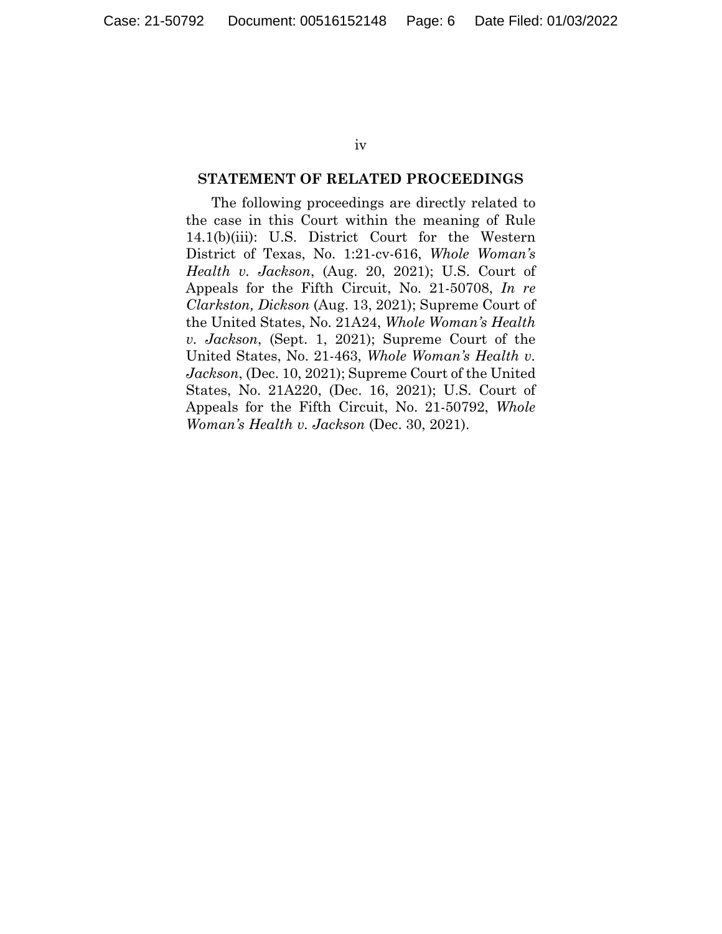iv

#### **STATEMENT OF RELATED PROCEEDINGS**

The following proceedings are directly related to the case in this Court within the meaning of Rule 14.1(b)(iii): U.S. District Court for the Western District of Texas, No. 1:21-cv-616, *Whole Woman's Health v. Jackson*, (Aug. 20, 2021); U.S. Court of Appeals for the Fifth Circuit, No. 21-50708, *In re Clarkston, Dickson* (Aug. 13, 2021); Supreme Court of the United States, No. 21A24, *Whole Woman's Health v. Jackson*, (Sept. 1, 2021); Supreme Court of the United States, No. 21-463, *Whole Woman's Health v. Jackson*, (Dec. 10, 2021); Supreme Court of the United States, No. 21A220, (Dec. 16, 2021); U.S. Court of Appeals for the Fifth Circuit, No. 21-50792, *Whole Woman's Health v. Jackson* (Dec. 30, 2021).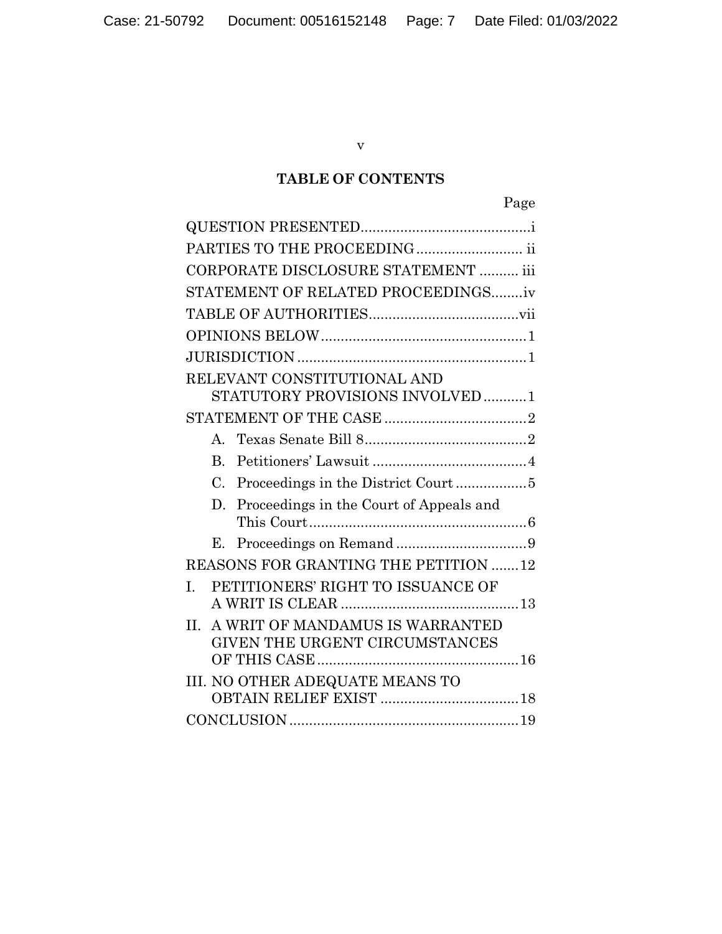v

# **TABLE OF CONTENTS**

|--|

| PARTIES TO THE PROCEEDING ii                                                 |
|------------------------------------------------------------------------------|
| CORPORATE DISCLOSURE STATEMENT  iii                                          |
| STATEMENT OF RELATED PROCEEDINGSiv                                           |
|                                                                              |
|                                                                              |
|                                                                              |
| RELEVANT CONSTITUTIONAL AND                                                  |
| STATUTORY PROVISIONS INVOLVED1                                               |
|                                                                              |
| $\mathbf{A}$                                                                 |
| $B_{\cdot}$                                                                  |
| Proceedings in the District Court 5<br>$C_{\cdot}$                           |
| Proceedings in the Court of Appeals and<br>D.                                |
| Е.                                                                           |
|                                                                              |
| REASONS FOR GRANTING THE PETITION 12                                         |
| PETITIONERS' RIGHT TO ISSUANCE OF<br>L.                                      |
| A WRIT OF MANDAMUS IS WARRANTED<br>$\Pi$ .<br>GIVEN THE URGENT CIRCUMSTANCES |
| III. NO OTHER ADEQUATE MEANS TO                                              |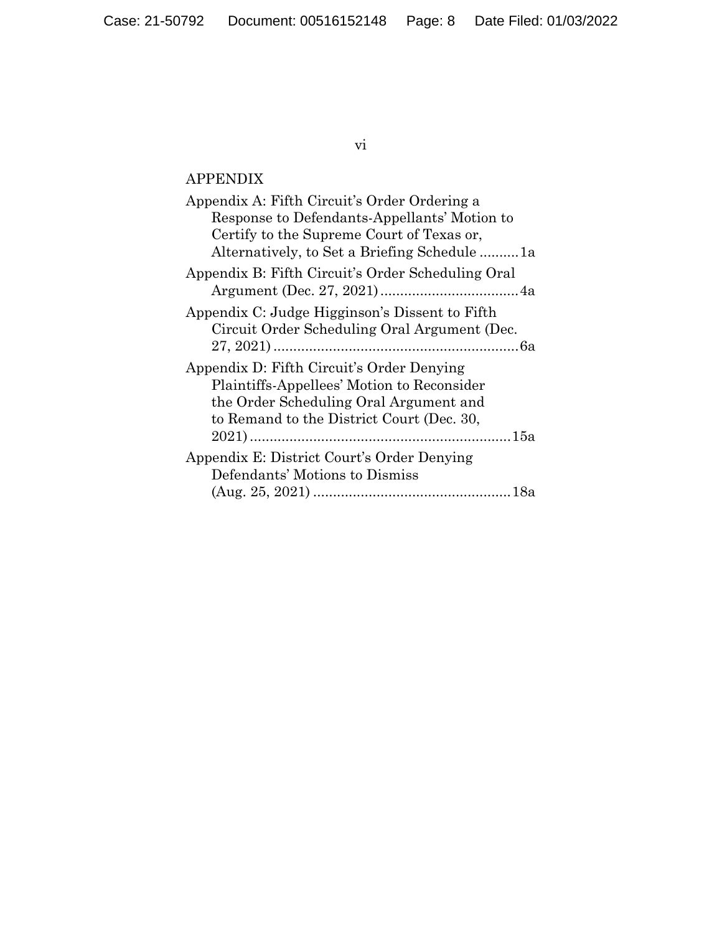## vi

# APPENDIX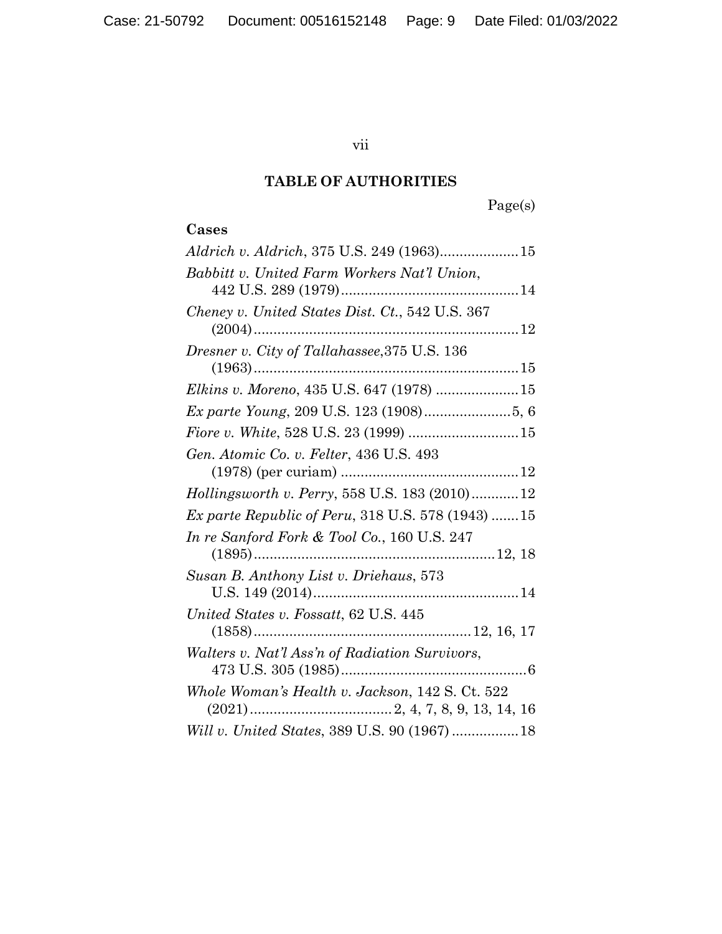## vii

## **TABLE OF AUTHORITIES**

Page(s)

## **Cases**

| <i>Aldrich v. Aldrich</i> , 375 U.S. 249 (1963)15        |
|----------------------------------------------------------|
| Babbitt v. United Farm Workers Nat'l Union,              |
| Cheney v. United States Dist. Ct., 542 U.S. 367          |
| Dresner v. City of Tallahassee, 375 U.S. 136<br>$(1963)$ |
| Elkins v. Moreno, 435 U.S. 647 (1978) 15                 |
| Ex parte Young, 209 U.S. 123 (1908)5, 6                  |
| Fiore v. White, 528 U.S. 23 (1999)  15                   |
| Gen. Atomic Co. v. Felter, 436 U.S. 493                  |
| Hollingsworth v. Perry, 558 U.S. 183 (2010) 12           |
| <i>Ex parte Republic of Peru, 318 U.S. 578 (1943) 15</i> |
| In re Sanford Fork & Tool Co., 160 U.S. 247              |
| Susan B. Anthony List v. Driehaus, 573                   |
|                                                          |
| United States v. Fossatt, 62 U.S. 445                    |
| Walters v. Nat'l Ass'n of Radiation Survivors,           |
| Whole Woman's Health v. Jackson, 142 S. Ct. 522          |
|                                                          |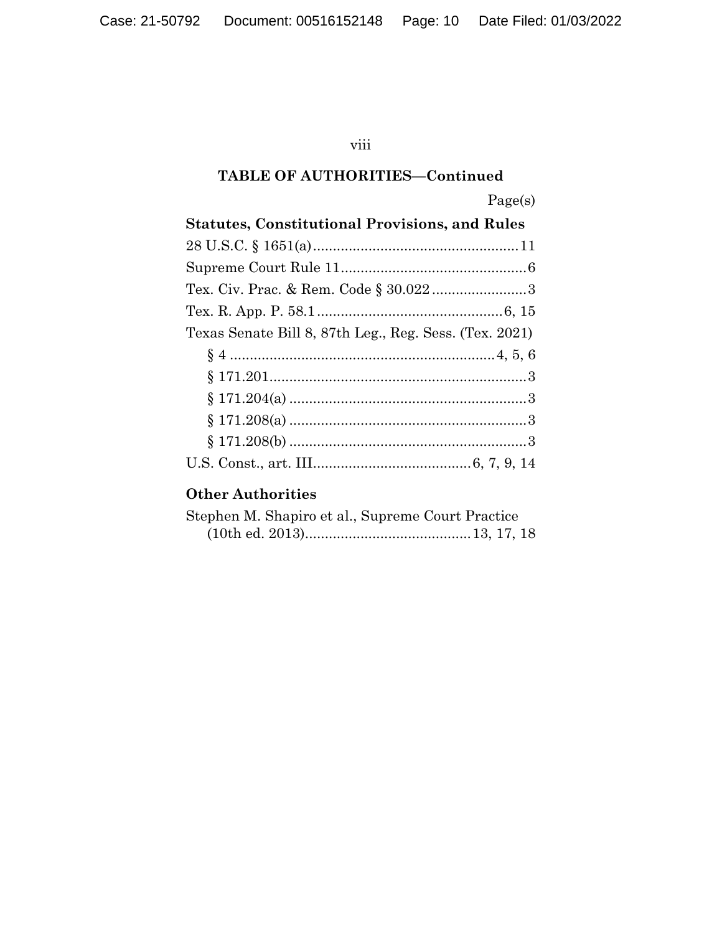## viii

## **TABLE OF AUTHORITIES—Continued**

| ۰,<br>r.<br>▀ |  |  |
|---------------|--|--|
|---------------|--|--|

| <b>Statutes, Constitutional Provisions, and Rules</b>  |  |  |  |  |
|--------------------------------------------------------|--|--|--|--|
|                                                        |  |  |  |  |
|                                                        |  |  |  |  |
|                                                        |  |  |  |  |
|                                                        |  |  |  |  |
| Texas Senate Bill 8, 87th Leg., Reg. Sess. (Tex. 2021) |  |  |  |  |
|                                                        |  |  |  |  |
|                                                        |  |  |  |  |
|                                                        |  |  |  |  |
|                                                        |  |  |  |  |
|                                                        |  |  |  |  |
|                                                        |  |  |  |  |

# **Other Authorities**

| Stephen M. Shapiro et al., Supreme Court Practice |  |  |
|---------------------------------------------------|--|--|
|                                                   |  |  |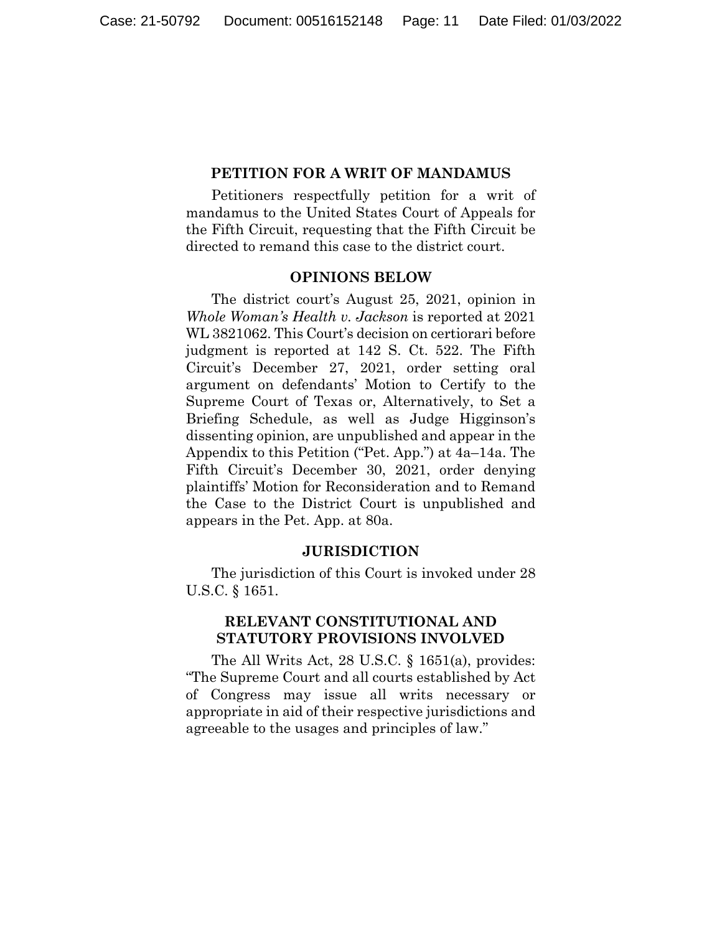#### **PETITION FOR A WRIT OF MANDAMUS**

Petitioners respectfully petition for a writ of mandamus to the United States Court of Appeals for the Fifth Circuit, requesting that the Fifth Circuit be directed to remand this case to the district court.

#### **OPINIONS BELOW**

The district court's August 25, 2021, opinion in *Whole Woman's Health v. Jackson* is reported at 2021 WL 3821062. This Court's decision on certiorari before judgment is reported at 142 S. Ct. 522. The Fifth Circuit's December 27, 2021, order setting oral argument on defendants' Motion to Certify to the Supreme Court of Texas or, Alternatively, to Set a Briefing Schedule, as well as Judge Higginson's dissenting opinion, are unpublished and appear in the Appendix to this Petition ("Pet. App.") at 4a–14a. The Fifth Circuit's December 30, 2021, order denying plaintiffs' Motion for Reconsideration and to Remand the Case to the District Court is unpublished and appears in the Pet. App. at 80a.

#### **JURISDICTION**

The jurisdiction of this Court is invoked under 28 U.S.C. § 1651.

## **RELEVANT CONSTITUTIONAL AND STATUTORY PROVISIONS INVOLVED**

The All Writs Act, 28 U.S.C. § 1651(a), provides: "The Supreme Court and all courts established by Act of Congress may issue all writs necessary or appropriate in aid of their respective jurisdictions and agreeable to the usages and principles of law."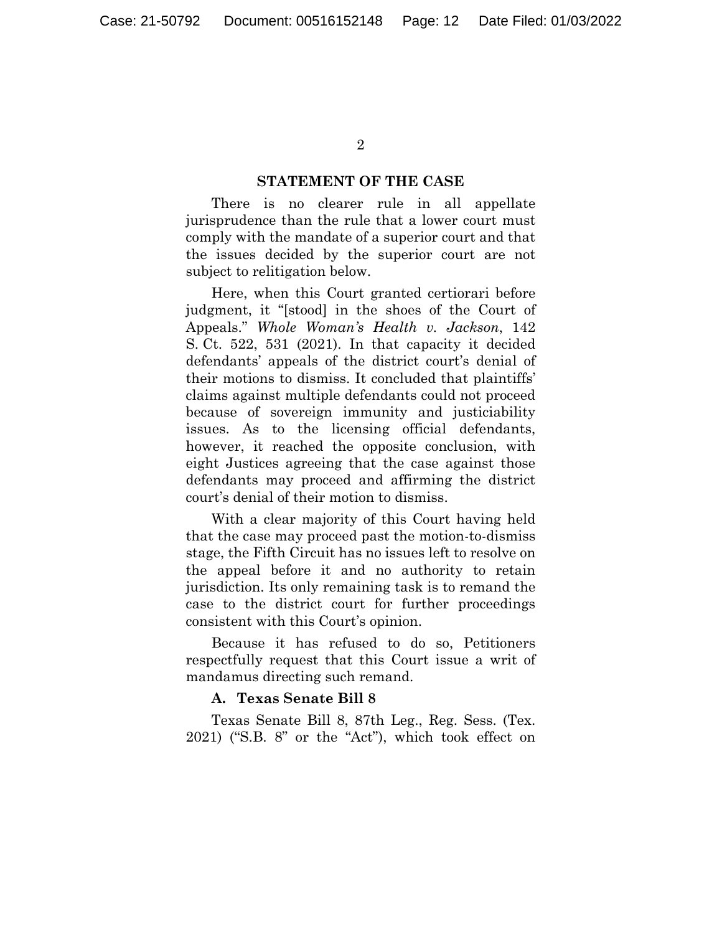#### **STATEMENT OF THE CASE**

There is no clearer rule in all appellate jurisprudence than the rule that a lower court must comply with the mandate of a superior court and that the issues decided by the superior court are not subject to relitigation below.

Here, when this Court granted certiorari before judgment, it "[stood] in the shoes of the Court of Appeals." *Whole Woman's Health v. Jackson*, 142 S. Ct. 522, 531 (2021). In that capacity it decided defendants' appeals of the district court's denial of their motions to dismiss. It concluded that plaintiffs' claims against multiple defendants could not proceed because of sovereign immunity and justiciability issues. As to the licensing official defendants, however, it reached the opposite conclusion, with eight Justices agreeing that the case against those defendants may proceed and affirming the district court's denial of their motion to dismiss.

With a clear majority of this Court having held that the case may proceed past the motion-to-dismiss stage, the Fifth Circuit has no issues left to resolve on the appeal before it and no authority to retain jurisdiction. Its only remaining task is to remand the case to the district court for further proceedings consistent with this Court's opinion.

Because it has refused to do so, Petitioners respectfully request that this Court issue a writ of mandamus directing such remand.

### **A. Texas Senate Bill 8**

Texas Senate Bill 8, 87th Leg., Reg. Sess. (Tex. 2021) ("S.B. 8" or the "Act"), which took effect on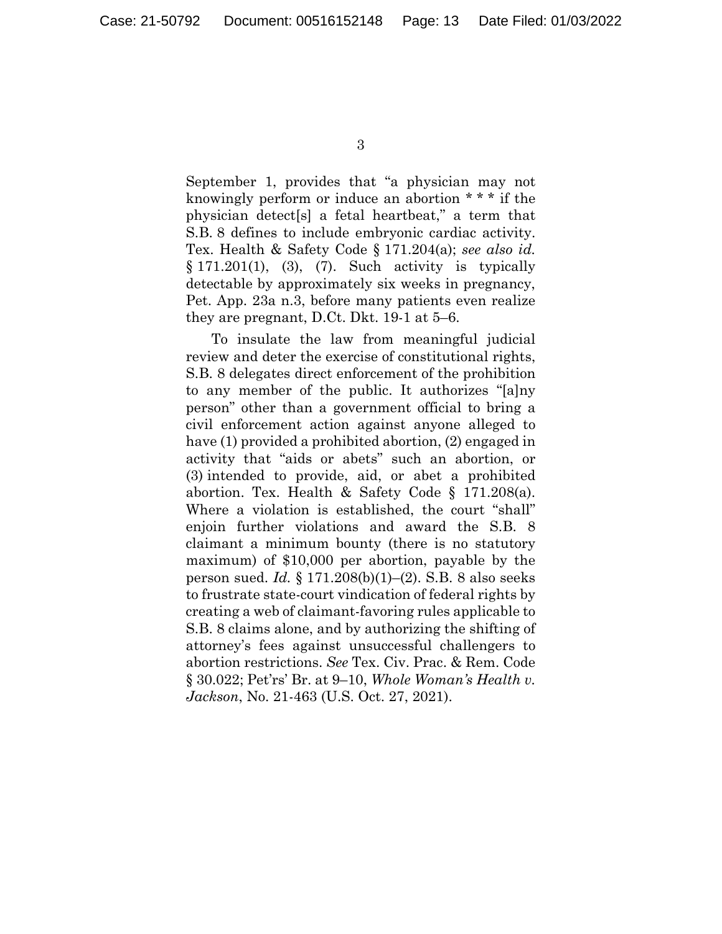September 1, provides that "a physician may not knowingly perform or induce an abortion \* \* \* if the physician detect[s] a fetal heartbeat," a term that S.B. 8 defines to include embryonic cardiac activity. Tex. Health & Safety Code § 171.204(a); *see also id.* § 171.201(1), (3), (7). Such activity is typically detectable by approximately six weeks in pregnancy, Pet. App. 23a n.3, before many patients even realize they are pregnant, D.Ct. Dkt. 19-1 at 5–6.

To insulate the law from meaningful judicial review and deter the exercise of constitutional rights, S.B. 8 delegates direct enforcement of the prohibition to any member of the public. It authorizes "[a]ny person" other than a government official to bring a civil enforcement action against anyone alleged to have (1) provided a prohibited abortion, (2) engaged in activity that "aids or abets" such an abortion, or (3) intended to provide, aid, or abet a prohibited abortion. Tex. Health & Safety Code § 171.208(a). Where a violation is established, the court "shall" enjoin further violations and award the S.B. 8 claimant a minimum bounty (there is no statutory maximum) of \$10,000 per abortion, payable by the person sued. *Id.* § 171.208(b)(1)–(2). S.B. 8 also seeks to frustrate state-court vindication of federal rights by creating a web of claimant-favoring rules applicable to S.B. 8 claims alone, and by authorizing the shifting of attorney's fees against unsuccessful challengers to abortion restrictions. *See* Tex. Civ. Prac. & Rem. Code § 30.022; Pet'rs' Br. at 9–10, *Whole Woman's Health v. Jackson*, No. 21-463 (U.S. Oct. 27, 2021).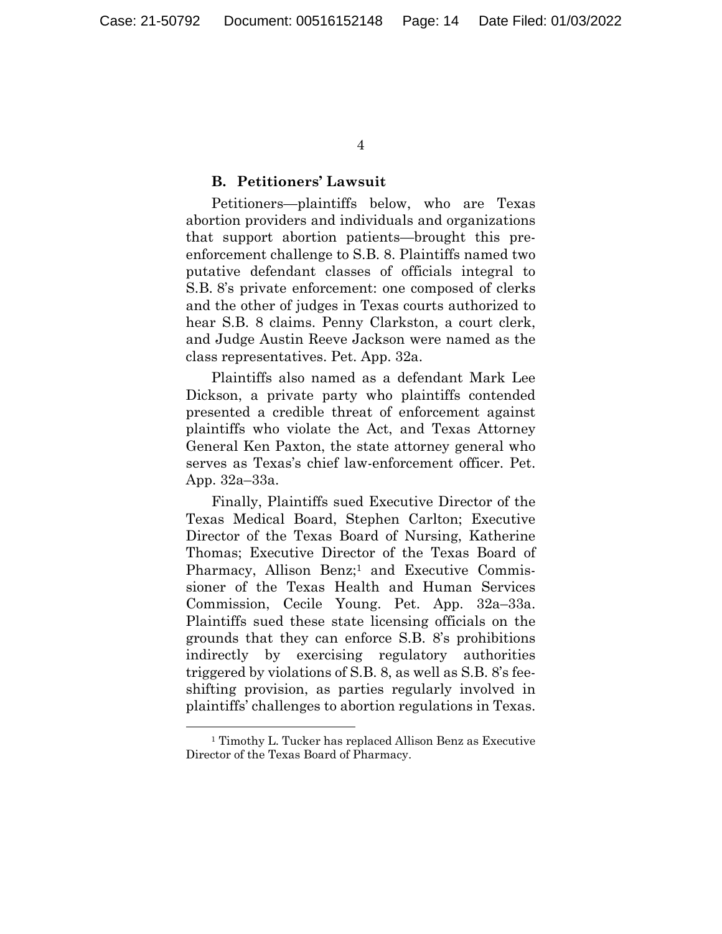4

### **B. Petitioners' Lawsuit**

Petitioners—plaintiffs below, who are Texas abortion providers and individuals and organizations that support abortion patients—brought this preenforcement challenge to S.B. 8. Plaintiffs named two putative defendant classes of officials integral to S.B. 8's private enforcement: one composed of clerks and the other of judges in Texas courts authorized to hear S.B. 8 claims. Penny Clarkston, a court clerk, and Judge Austin Reeve Jackson were named as the class representatives. Pet. App. 32a.

Plaintiffs also named as a defendant Mark Lee Dickson, a private party who plaintiffs contended presented a credible threat of enforcement against plaintiffs who violate the Act, and Texas Attorney General Ken Paxton, the state attorney general who serves as Texas's chief law-enforcement officer. Pet. App. 32a–33a.

Finally, Plaintiffs sued Executive Director of the Texas Medical Board, Stephen Carlton; Executive Director of the Texas Board of Nursing, Katherine Thomas; Executive Director of the Texas Board of Pharmacy, Allison Benz;<sup>1</sup> and Executive Commissioner of the Texas Health and Human Services Commission, Cecile Young. Pet. App. 32a–33a. Plaintiffs sued these state licensing officials on the grounds that they can enforce S.B. 8's prohibitions indirectly by exercising regulatory authorities triggered by violations of S.B. 8, as well as S.B. 8's feeshifting provision, as parties regularly involved in plaintiffs' challenges to abortion regulations in Texas.

<sup>1</sup> Timothy L. Tucker has replaced Allison Benz as Executive Director of the Texas Board of Pharmacy.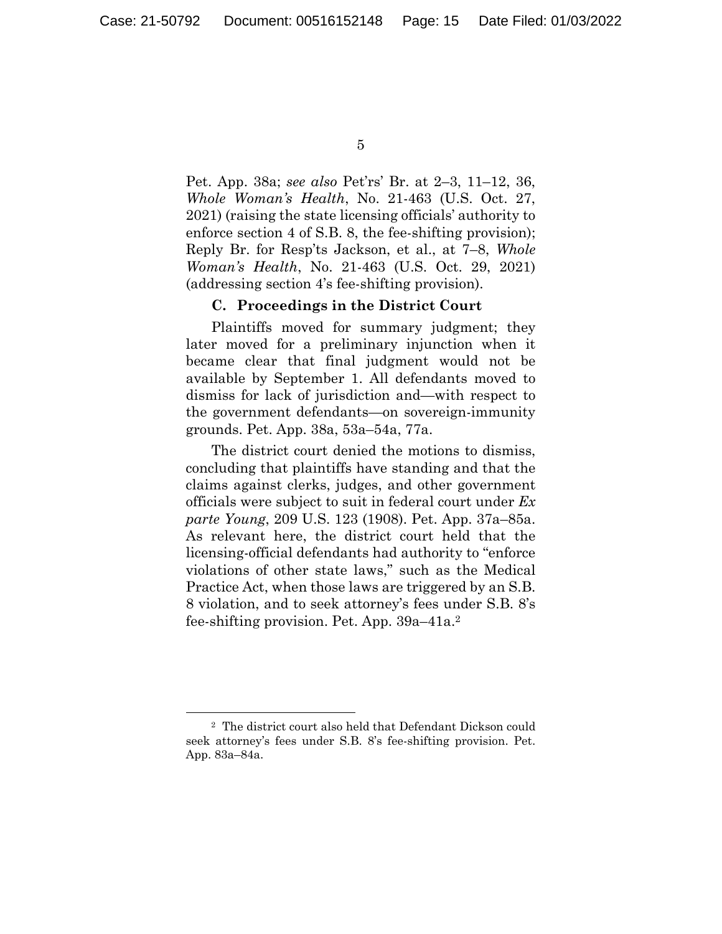5

Pet. App. 38a; *see also* Pet'rs' Br. at 2–3, 11–12, 36, *Whole Woman's Health*, No. 21-463 (U.S. Oct. 27, 2021) (raising the state licensing officials' authority to enforce section 4 of S.B. 8, the fee-shifting provision); Reply Br. for Resp'ts Jackson, et al., at 7–8, *Whole Woman's Health*, No. 21-463 (U.S. Oct. 29, 2021) (addressing section 4's fee-shifting provision).

#### **C. Proceedings in the District Court**

Plaintiffs moved for summary judgment; they later moved for a preliminary injunction when it became clear that final judgment would not be available by September 1. All defendants moved to dismiss for lack of jurisdiction and—with respect to the government defendants—on sovereign-immunity grounds. Pet. App. 38a, 53a–54a, 77a.

The district court denied the motions to dismiss, concluding that plaintiffs have standing and that the claims against clerks, judges, and other government officials were subject to suit in federal court under *Ex parte Young*, 209 U.S. 123 (1908). Pet. App. 37a–85a. As relevant here, the district court held that the licensing-official defendants had authority to "enforce violations of other state laws," such as the Medical Practice Act, when those laws are triggered by an S.B. 8 violation, and to seek attorney's fees under S.B. 8's fee-shifting provision. Pet. App. 39a–41a.2

<sup>2</sup> The district court also held that Defendant Dickson could seek attorney's fees under S.B. 8's fee-shifting provision. Pet. App. 83a–84a.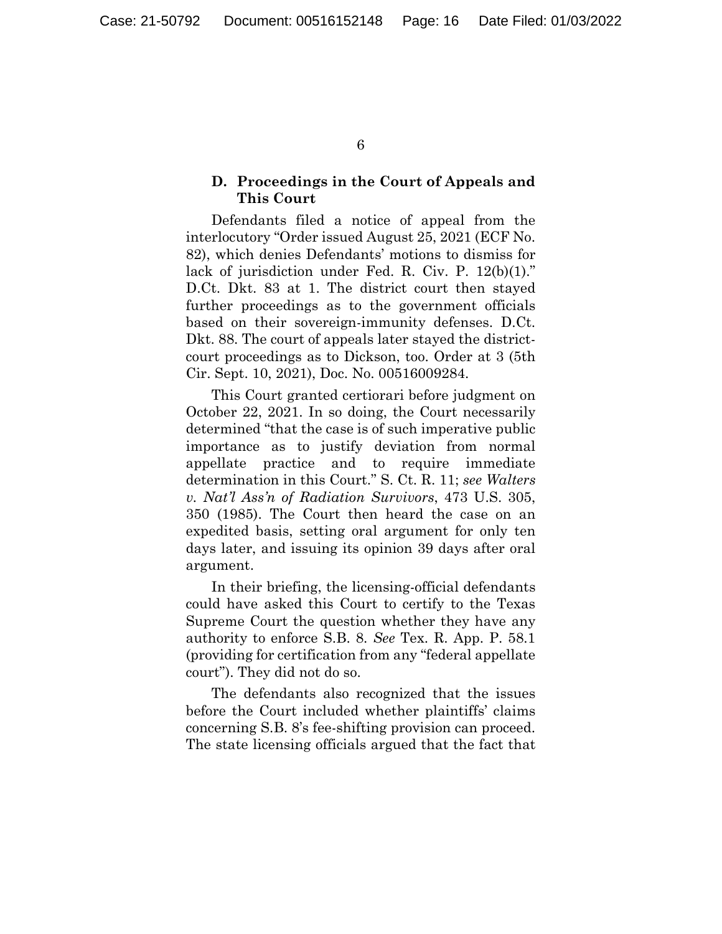## **D. Proceedings in the Court of Appeals and This Court**

Defendants filed a notice of appeal from the interlocutory "Order issued August 25, 2021 (ECF No. 82), which denies Defendants' motions to dismiss for lack of jurisdiction under Fed. R. Civ. P. 12(b)(1)." D.Ct. Dkt. 83 at 1. The district court then stayed further proceedings as to the government officials based on their sovereign-immunity defenses. D.Ct. Dkt. 88. The court of appeals later stayed the districtcourt proceedings as to Dickson, too. Order at 3 (5th Cir. Sept. 10, 2021), Doc. No. 00516009284.

This Court granted certiorari before judgment on October 22, 2021. In so doing, the Court necessarily determined "that the case is of such imperative public importance as to justify deviation from normal appellate practice and to require immediate determination in this Court." S. Ct. R. 11; *see Walters v. Nat'l Ass'n of Radiation Survivors*, 473 U.S. 305, 350 (1985). The Court then heard the case on an expedited basis, setting oral argument for only ten days later, and issuing its opinion 39 days after oral argument.

In their briefing, the licensing-official defendants could have asked this Court to certify to the Texas Supreme Court the question whether they have any authority to enforce S.B. 8. *See* Tex. R. App. P. 58.1 (providing for certification from any "federal appellate court"). They did not do so.

The defendants also recognized that the issues before the Court included whether plaintiffs' claims concerning S.B. 8's fee-shifting provision can proceed. The state licensing officials argued that the fact that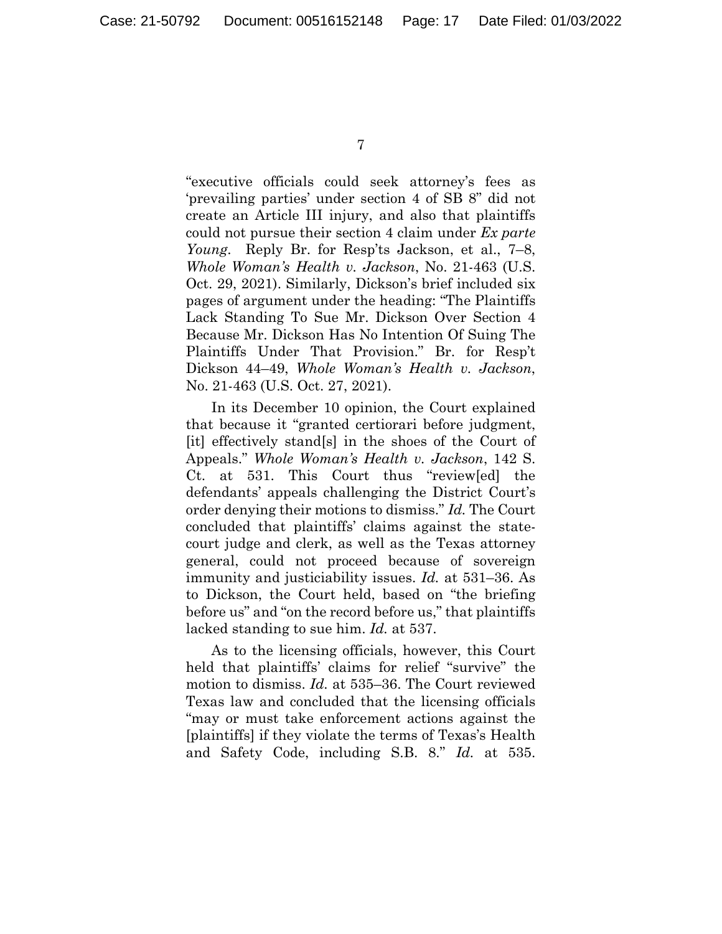"executive officials could seek attorney's fees as 'prevailing parties' under section 4 of SB 8" did not create an Article III injury, and also that plaintiffs could not pursue their section 4 claim under *Ex parte Young*. Reply Br. for Resp'ts Jackson, et al., 7–8, *Whole Woman's Health v. Jackson*, No. 21-463 (U.S. Oct. 29, 2021). Similarly, Dickson's brief included six pages of argument under the heading: "The Plaintiffs Lack Standing To Sue Mr. Dickson Over Section 4 Because Mr. Dickson Has No Intention Of Suing The Plaintiffs Under That Provision." Br. for Resp't Dickson 44–49, *Whole Woman's Health v. Jackson*, No. 21-463 (U.S. Oct. 27, 2021).

In its December 10 opinion, the Court explained that because it "granted certiorari before judgment, [it] effectively stand[s] in the shoes of the Court of Appeals." *Whole Woman's Health v. Jackson*, 142 S. Ct. at 531. This Court thus "review[ed] the defendants' appeals challenging the District Court's order denying their motions to dismiss." *Id.* The Court concluded that plaintiffs' claims against the statecourt judge and clerk, as well as the Texas attorney general, could not proceed because of sovereign immunity and justiciability issues. *Id.* at 531–36. As to Dickson, the Court held, based on "the briefing before us" and "on the record before us," that plaintiffs lacked standing to sue him. *Id.* at 537.

As to the licensing officials, however, this Court held that plaintiffs' claims for relief "survive" the motion to dismiss. *Id.* at 535–36. The Court reviewed Texas law and concluded that the licensing officials "may or must take enforcement actions against the [plaintiffs] if they violate the terms of Texas's Health and Safety Code, including S.B. 8." *Id.* at 535.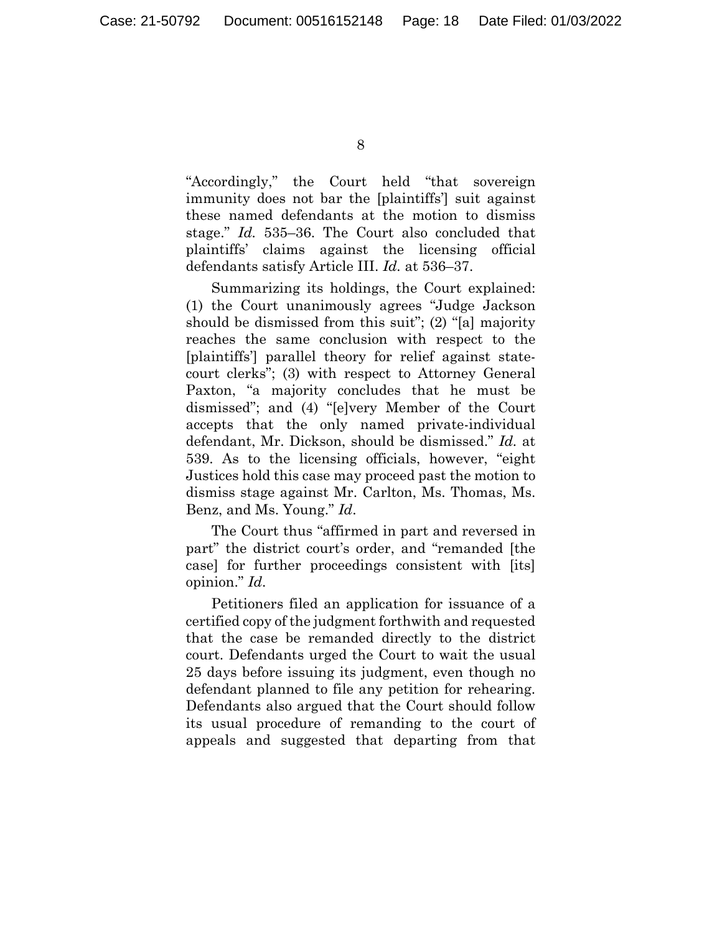"Accordingly," the Court held "that sovereign immunity does not bar the [plaintiffs'] suit against these named defendants at the motion to dismiss stage." *Id.* 535–36. The Court also concluded that plaintiffs' claims against the licensing official defendants satisfy Article III. *Id.* at 536–37.

Summarizing its holdings, the Court explained: (1) the Court unanimously agrees "Judge Jackson should be dismissed from this suit"; (2) "[a] majority reaches the same conclusion with respect to the [plaintiffs'] parallel theory for relief against statecourt clerks"; (3) with respect to Attorney General Paxton, "a majority concludes that he must be dismissed"; and (4) "[e]very Member of the Court accepts that the only named private-individual defendant, Mr. Dickson, should be dismissed." *Id.* at 539. As to the licensing officials, however, "eight Justices hold this case may proceed past the motion to dismiss stage against Mr. Carlton, Ms. Thomas, Ms. Benz, and Ms. Young." *Id*.

The Court thus "affirmed in part and reversed in part" the district court's order, and "remanded [the case] for further proceedings consistent with [its] opinion." *Id*.

Petitioners filed an application for issuance of a certified copy of the judgment forthwith and requested that the case be remanded directly to the district court. Defendants urged the Court to wait the usual 25 days before issuing its judgment, even though no defendant planned to file any petition for rehearing. Defendants also argued that the Court should follow its usual procedure of remanding to the court of appeals and suggested that departing from that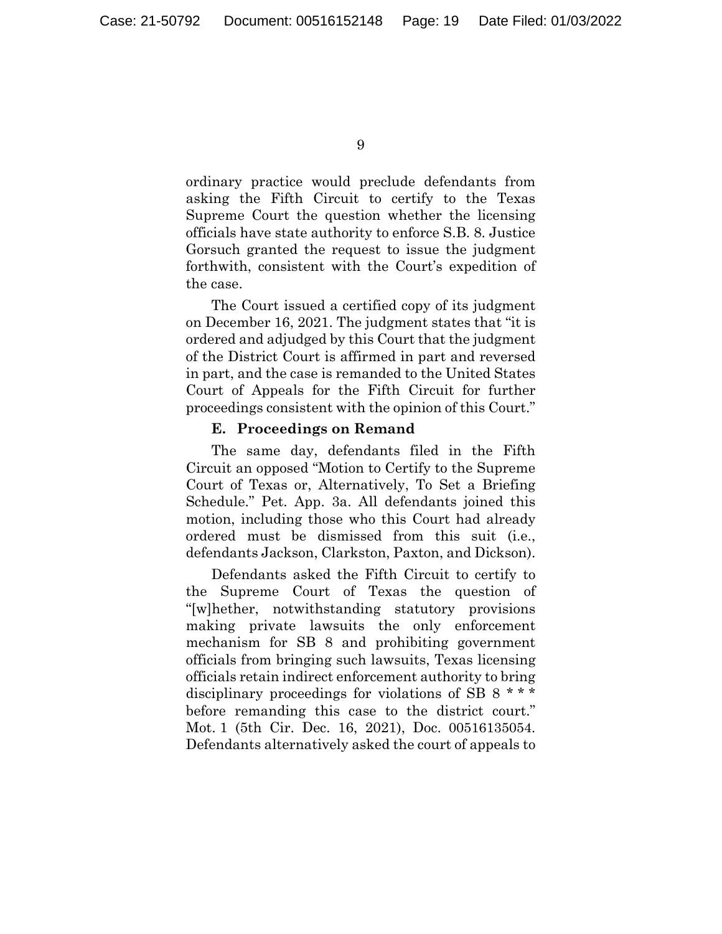ordinary practice would preclude defendants from asking the Fifth Circuit to certify to the Texas Supreme Court the question whether the licensing officials have state authority to enforce S.B. 8. Justice Gorsuch granted the request to issue the judgment forthwith, consistent with the Court's expedition of the case.

The Court issued a certified copy of its judgment on December 16, 2021. The judgment states that "it is ordered and adjudged by this Court that the judgment of the District Court is affirmed in part and reversed in part, and the case is remanded to the United States Court of Appeals for the Fifth Circuit for further proceedings consistent with the opinion of this Court."

#### **E. Proceedings on Remand**

The same day, defendants filed in the Fifth Circuit an opposed "Motion to Certify to the Supreme Court of Texas or, Alternatively, To Set a Briefing Schedule." Pet. App. 3a. All defendants joined this motion, including those who this Court had already ordered must be dismissed from this suit (i.e., defendants Jackson, Clarkston, Paxton, and Dickson).

Defendants asked the Fifth Circuit to certify to the Supreme Court of Texas the question of "[w]hether, notwithstanding statutory provisions making private lawsuits the only enforcement mechanism for SB 8 and prohibiting government officials from bringing such lawsuits, Texas licensing officials retain indirect enforcement authority to bring disciplinary proceedings for violations of SB 8 \* \* \* before remanding this case to the district court." Mot. 1 (5th Cir. Dec. 16, 2021), Doc. 00516135054. Defendants alternatively asked the court of appeals to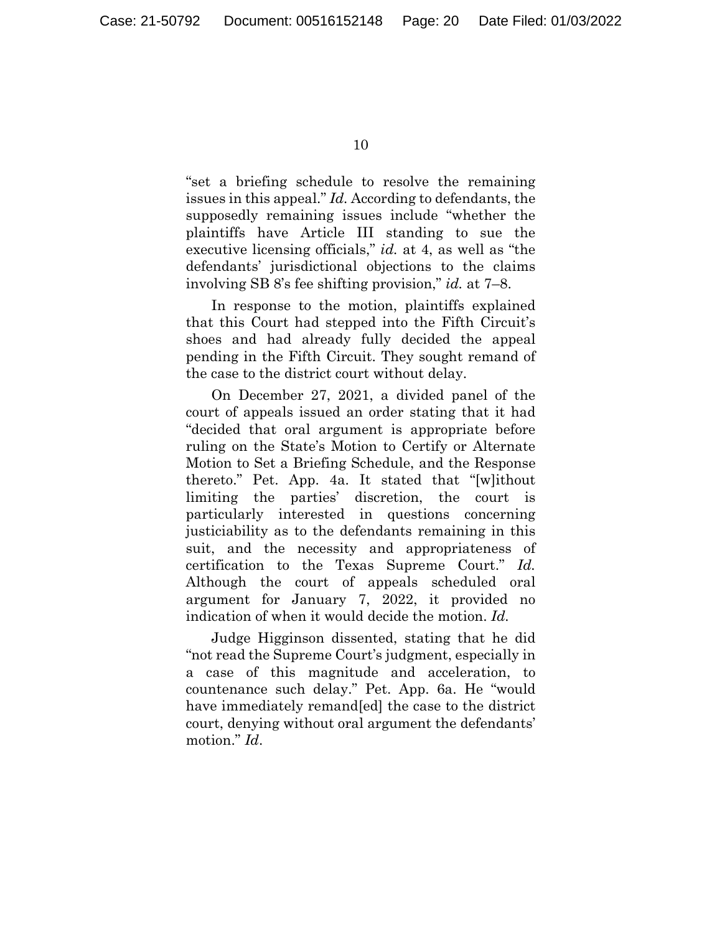"set a briefing schedule to resolve the remaining issues in this appeal." *Id.* According to defendants, the supposedly remaining issues include "whether the plaintiffs have Article III standing to sue the executive licensing officials," *id.* at 4, as well as "the defendants' jurisdictional objections to the claims involving SB 8's fee shifting provision," *id.* at 7–8.

In response to the motion, plaintiffs explained that this Court had stepped into the Fifth Circuit's shoes and had already fully decided the appeal pending in the Fifth Circuit. They sought remand of the case to the district court without delay.

On December 27, 2021, a divided panel of the court of appeals issued an order stating that it had "decided that oral argument is appropriate before ruling on the State's Motion to Certify or Alternate Motion to Set a Briefing Schedule, and the Response thereto." Pet. App. 4a. It stated that "[w]ithout limiting the parties' discretion, the court is particularly interested in questions concerning justiciability as to the defendants remaining in this suit, and the necessity and appropriateness of certification to the Texas Supreme Court." *Id.* Although the court of appeals scheduled oral argument for January 7, 2022, it provided no indication of when it would decide the motion. *Id.*

Judge Higginson dissented, stating that he did "not read the Supreme Court's judgment, especially in a case of this magnitude and acceleration, to countenance such delay." Pet. App. 6a. He "would have immediately remand[ed] the case to the district court, denying without oral argument the defendants' motion." *Id*.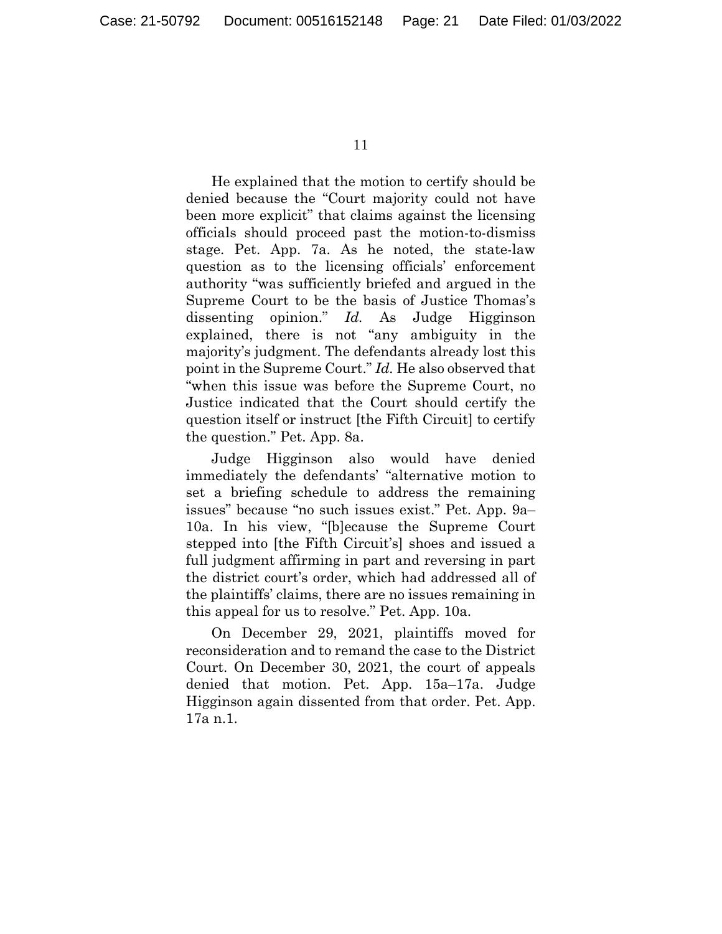He explained that the motion to certify should be denied because the "Court majority could not have been more explicit" that claims against the licensing officials should proceed past the motion-to-dismiss stage. Pet. App. 7a. As he noted, the state-law question as to the licensing officials' enforcement authority "was sufficiently briefed and argued in the Supreme Court to be the basis of Justice Thomas's dissenting opinion." *Id.* As Judge Higginson explained, there is not "any ambiguity in the majority's judgment. The defendants already lost this point in the Supreme Court." *Id.* He also observed that "when this issue was before the Supreme Court, no Justice indicated that the Court should certify the question itself or instruct [the Fifth Circuit] to certify the question." Pet. App. 8a.

Judge Higginson also would have denied immediately the defendants' "alternative motion to set a briefing schedule to address the remaining issues" because "no such issues exist." Pet. App. 9a– 10a. In his view, "[b]ecause the Supreme Court stepped into [the Fifth Circuit's] shoes and issued a full judgment affirming in part and reversing in part the district court's order, which had addressed all of the plaintiffs' claims, there are no issues remaining in this appeal for us to resolve." Pet. App. 10a.

On December 29, 2021, plaintiffs moved for reconsideration and to remand the case to the District Court. On December 30, 2021, the court of appeals denied that motion. Pet. App. 15a–17a. Judge Higginson again dissented from that order. Pet. App. 17a n.1.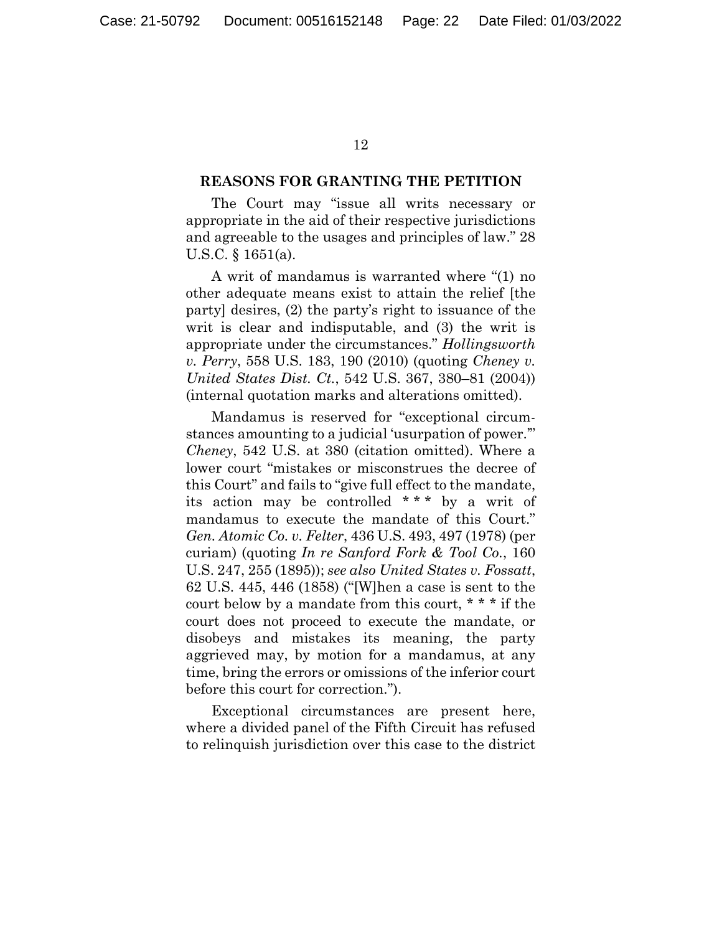#### **REASONS FOR GRANTING THE PETITION**

The Court may "issue all writs necessary or appropriate in the aid of their respective jurisdictions and agreeable to the usages and principles of law." 28 U.S.C. § 1651(a).

A writ of mandamus is warranted where "(1) no other adequate means exist to attain the relief [the party] desires, (2) the party's right to issuance of the writ is clear and indisputable, and (3) the writ is appropriate under the circumstances." *Hollingsworth v. Perry*, 558 U.S. 183, 190 (2010) (quoting *Cheney v. United States Dist. Ct.*, 542 U.S. 367, 380–81 (2004)) (internal quotation marks and alterations omitted).

Mandamus is reserved for "exceptional circumstances amounting to a judicial 'usurpation of power.'" *Cheney*, 542 U.S. at 380 (citation omitted). Where a lower court "mistakes or misconstrues the decree of this Court" and fails to "give full effect to the mandate, its action may be controlled \* \* \* by a writ of mandamus to execute the mandate of this Court." *Gen. Atomic Co. v. Felter*, 436 U.S. 493, 497 (1978) (per curiam) (quoting *In re Sanford Fork & Tool Co.*, 160 U.S. 247, 255 (1895)); *see also United States v. Fossatt*, 62 U.S. 445, 446 (1858) ("[W]hen a case is sent to the court below by a mandate from this court, \* \* \* if the court does not proceed to execute the mandate, or disobeys and mistakes its meaning, the party aggrieved may, by motion for a mandamus, at any time, bring the errors or omissions of the inferior court before this court for correction.").

Exceptional circumstances are present here, where a divided panel of the Fifth Circuit has refused to relinquish jurisdiction over this case to the district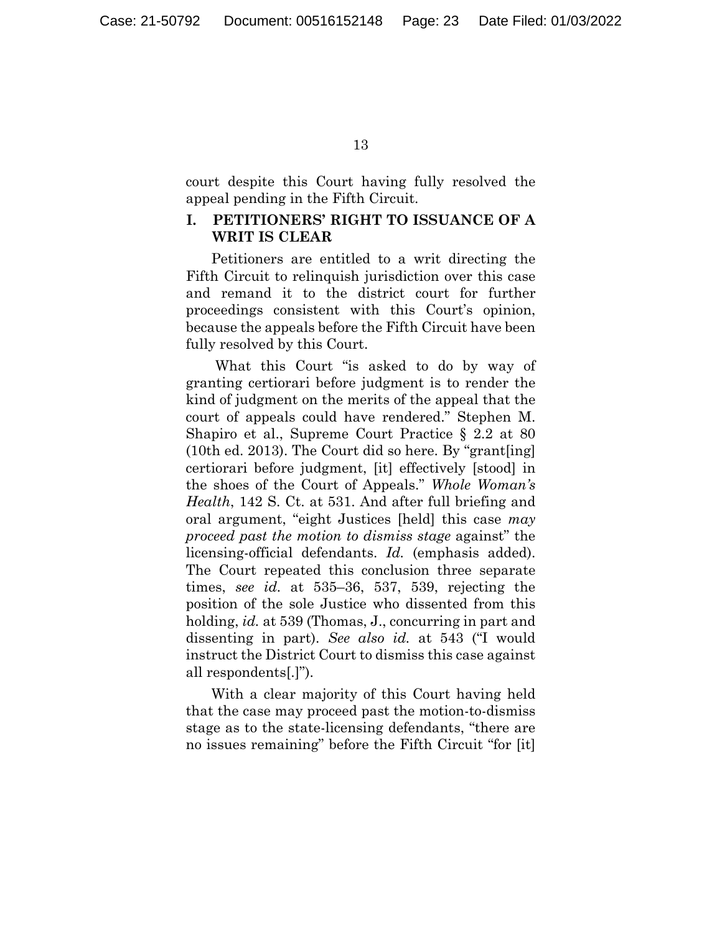court despite this Court having fully resolved the appeal pending in the Fifth Circuit.

## **I. PETITIONERS' RIGHT TO ISSUANCE OF A WRIT IS CLEAR**

Petitioners are entitled to a writ directing the Fifth Circuit to relinquish jurisdiction over this case and remand it to the district court for further proceedings consistent with this Court's opinion, because the appeals before the Fifth Circuit have been fully resolved by this Court.

 What this Court "is asked to do by way of granting certiorari before judgment is to render the kind of judgment on the merits of the appeal that the court of appeals could have rendered." Stephen M. Shapiro et al., Supreme Court Practice § 2.2 at 80 (10th ed. 2013). The Court did so here. By "grant[ing] certiorari before judgment, [it] effectively [stood] in the shoes of the Court of Appeals." *Whole Woman's Health*, 142 S. Ct. at 531. And after full briefing and oral argument, "eight Justices [held] this case *may proceed past the motion to dismiss stage* against" the licensing-official defendants. *Id.* (emphasis added). The Court repeated this conclusion three separate times, *see id.* at 535–36, 537, 539, rejecting the position of the sole Justice who dissented from this holding, *id.* at 539 (Thomas, J., concurring in part and dissenting in part). *See also id.* at 543 ("I would instruct the District Court to dismiss this case against all respondents[.]").

With a clear majority of this Court having held that the case may proceed past the motion-to-dismiss stage as to the state-licensing defendants, "there are no issues remaining" before the Fifth Circuit "for [it]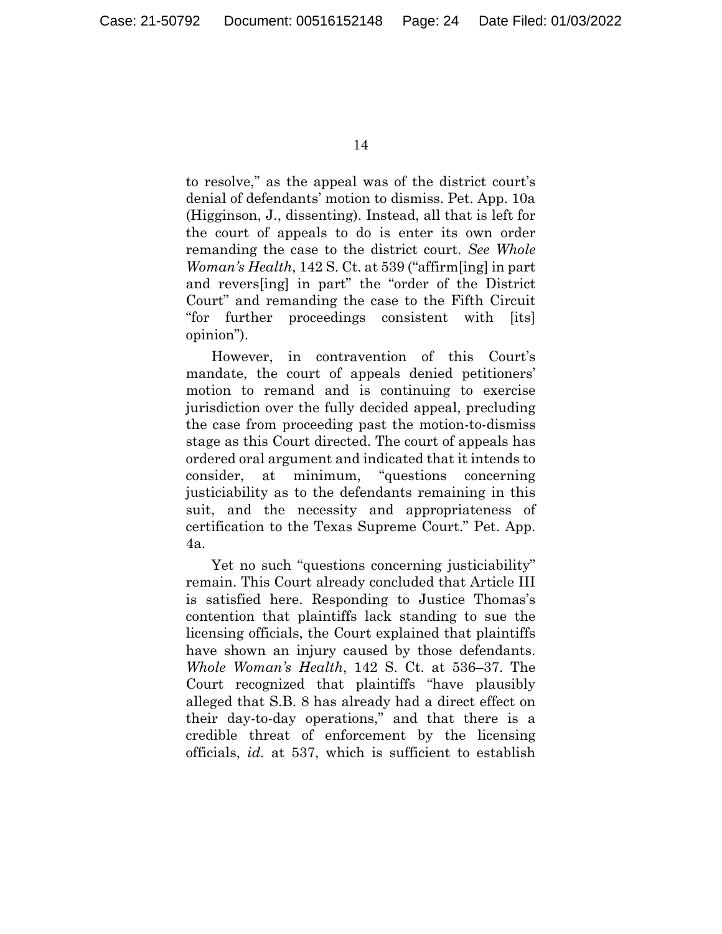to resolve," as the appeal was of the district court's denial of defendants' motion to dismiss. Pet. App. 10a (Higginson, J., dissenting). Instead, all that is left for the court of appeals to do is enter its own order remanding the case to the district court. *See Whole Woman's Health*, 142 S. Ct. at 539 ("affirm[ing] in part and revers[ing] in part" the "order of the District Court" and remanding the case to the Fifth Circuit "for further proceedings consistent with [its] opinion").

However, in contravention of this Court's mandate, the court of appeals denied petitioners' motion to remand and is continuing to exercise jurisdiction over the fully decided appeal, precluding the case from proceeding past the motion-to-dismiss stage as this Court directed. The court of appeals has ordered oral argument and indicated that it intends to consider, at minimum, "questions concerning justiciability as to the defendants remaining in this suit, and the necessity and appropriateness of certification to the Texas Supreme Court." Pet. App. 4a.

Yet no such "questions concerning justiciability" remain. This Court already concluded that Article III is satisfied here. Responding to Justice Thomas's contention that plaintiffs lack standing to sue the licensing officials, the Court explained that plaintiffs have shown an injury caused by those defendants. *Whole Woman's Health*, 142 S. Ct. at 536–37. The Court recognized that plaintiffs "have plausibly alleged that S.B. 8 has already had a direct effect on their day-to-day operations," and that there is a credible threat of enforcement by the licensing officials, *id.* at 537, which is sufficient to establish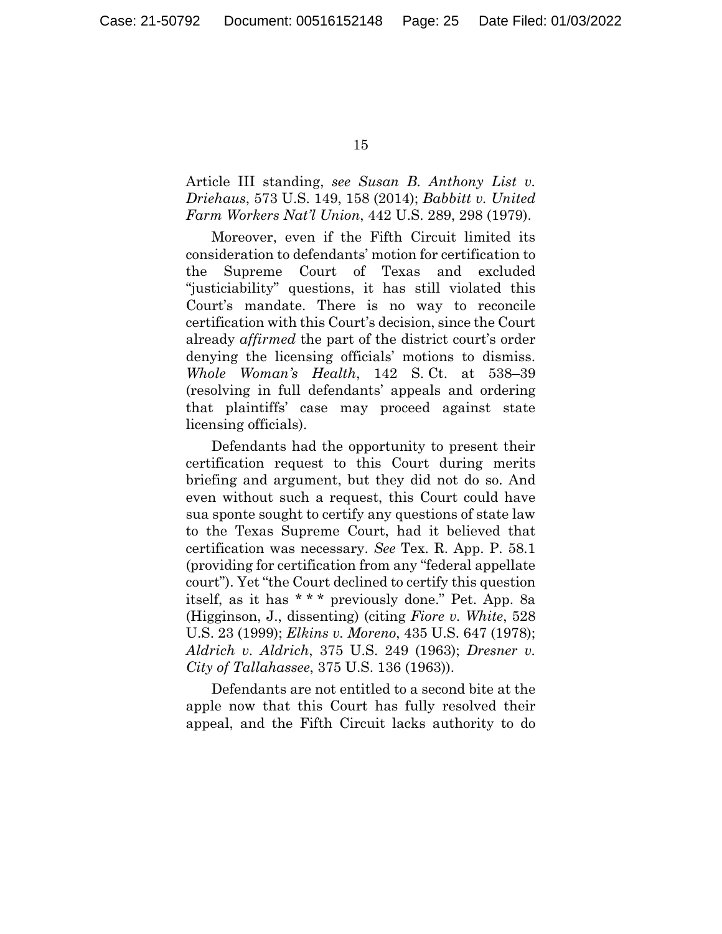Article III standing, *see Susan B. Anthony List v. Driehaus*, 573 U.S. 149, 158 (2014); *Babbitt v. United Farm Workers Nat'l Union*, 442 U.S. 289, 298 (1979).

Moreover, even if the Fifth Circuit limited its consideration to defendants' motion for certification to the Supreme Court of Texas and excluded "justiciability" questions, it has still violated this Court's mandate. There is no way to reconcile certification with this Court's decision, since the Court already *affirmed* the part of the district court's order denying the licensing officials' motions to dismiss. *Whole Woman's Health*, 142 S. Ct. at 538–39 (resolving in full defendants' appeals and ordering that plaintiffs' case may proceed against state licensing officials).

Defendants had the opportunity to present their certification request to this Court during merits briefing and argument, but they did not do so. And even without such a request, this Court could have sua sponte sought to certify any questions of state law to the Texas Supreme Court, had it believed that certification was necessary. *See* Tex. R. App. P. 58.1 (providing for certification from any "federal appellate court"). Yet "the Court declined to certify this question itself, as it has \*\*\* previously done." Pet. App. 8a (Higginson, J., dissenting) (citing *Fiore v. White*, 528 U.S. 23 (1999); *Elkins v. Moreno*, 435 U.S. 647 (1978); *Aldrich v. Aldrich*, 375 U.S. 249 (1963); *Dresner v. City of Tallahassee*, 375 U.S. 136 (1963)).

Defendants are not entitled to a second bite at the apple now that this Court has fully resolved their appeal, and the Fifth Circuit lacks authority to do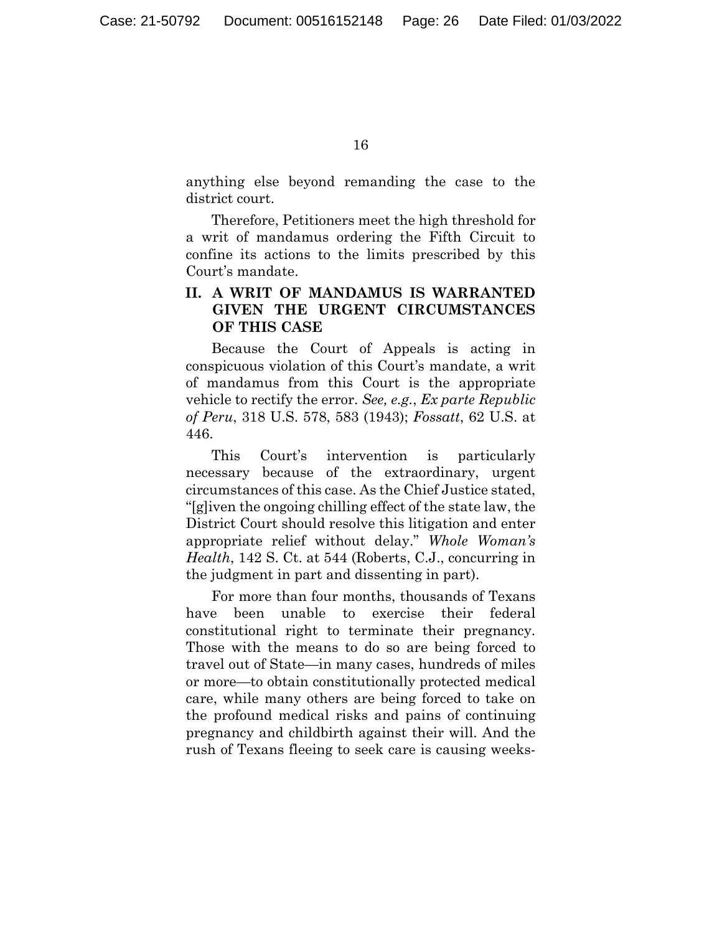anything else beyond remanding the case to the district court.

Therefore, Petitioners meet the high threshold for a writ of mandamus ordering the Fifth Circuit to confine its actions to the limits prescribed by this Court's mandate.

## **II. A WRIT OF MANDAMUS IS WARRANTED GIVEN THE URGENT CIRCUMSTANCES OF THIS CASE**

Because the Court of Appeals is acting in conspicuous violation of this Court's mandate, a writ of mandamus from this Court is the appropriate vehicle to rectify the error. *See, e.g.*, *Ex parte Republic of Peru*, 318 U.S. 578, 583 (1943); *Fossatt*, 62 U.S. at 446.

This Court's intervention is particularly necessary because of the extraordinary, urgent circumstances of this case. As the Chief Justice stated, "[g]iven the ongoing chilling effect of the state law, the District Court should resolve this litigation and enter appropriate relief without delay." *Whole Woman's Health*, 142 S. Ct. at 544 (Roberts, C.J., concurring in the judgment in part and dissenting in part).

For more than four months, thousands of Texans have been unable to exercise their federal constitutional right to terminate their pregnancy. Those with the means to do so are being forced to travel out of State—in many cases, hundreds of miles or more—to obtain constitutionally protected medical care, while many others are being forced to take on the profound medical risks and pains of continuing pregnancy and childbirth against their will. And the rush of Texans fleeing to seek care is causing weeks-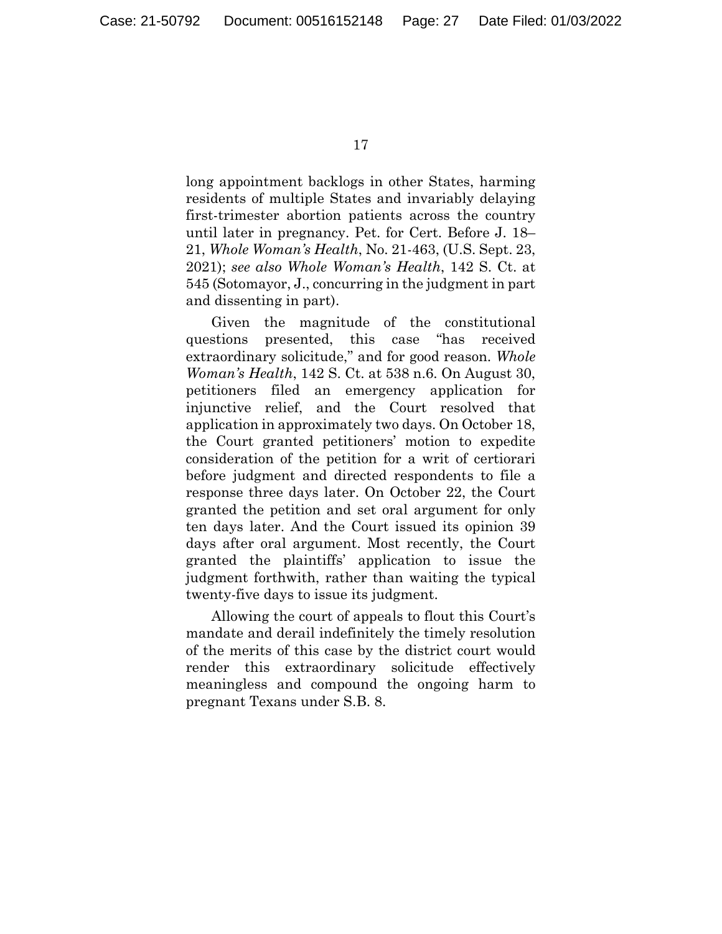long appointment backlogs in other States, harming residents of multiple States and invariably delaying first-trimester abortion patients across the country until later in pregnancy. Pet. for Cert. Before J. 18– 21, *Whole Woman's Health*, No. 21-463, (U.S. Sept. 23, 2021); *see also Whole Woman's Health*, 142 S. Ct. at 545 (Sotomayor, J., concurring in the judgment in part and dissenting in part).

Given the magnitude of the constitutional questions presented, this case "has received extraordinary solicitude," and for good reason. *Whole Woman's Health*, 142 S. Ct. at 538 n.6. On August 30, petitioners filed an emergency application for injunctive relief, and the Court resolved that application in approximately two days. On October 18, the Court granted petitioners' motion to expedite consideration of the petition for a writ of certiorari before judgment and directed respondents to file a response three days later. On October 22, the Court granted the petition and set oral argument for only ten days later. And the Court issued its opinion 39 days after oral argument. Most recently, the Court granted the plaintiffs' application to issue the judgment forthwith, rather than waiting the typical twenty-five days to issue its judgment.

Allowing the court of appeals to flout this Court's mandate and derail indefinitely the timely resolution of the merits of this case by the district court would render this extraordinary solicitude effectively meaningless and compound the ongoing harm to pregnant Texans under S.B. 8.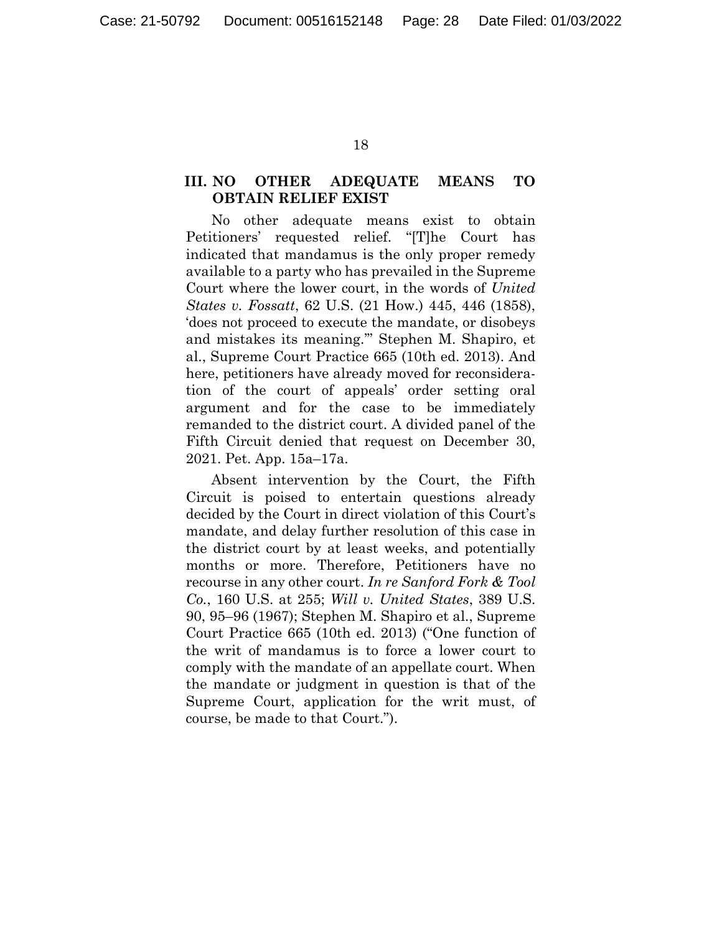## **III. NO OTHER ADEQUATE MEANS TO OBTAIN RELIEF EXIST**

No other adequate means exist to obtain Petitioners' requested relief. "[T]he Court has indicated that mandamus is the only proper remedy available to a party who has prevailed in the Supreme Court where the lower court, in the words of *United States v. Fossatt*, 62 U.S. (21 How.) 445, 446 (1858), 'does not proceed to execute the mandate, or disobeys and mistakes its meaning.'" Stephen M. Shapiro, et al., Supreme Court Practice 665 (10th ed. 2013). And here, petitioners have already moved for reconsideration of the court of appeals' order setting oral argument and for the case to be immediately remanded to the district court. A divided panel of the Fifth Circuit denied that request on December 30, 2021. Pet. App. 15a–17a.

Absent intervention by the Court, the Fifth Circuit is poised to entertain questions already decided by the Court in direct violation of this Court's mandate, and delay further resolution of this case in the district court by at least weeks, and potentially months or more. Therefore, Petitioners have no recourse in any other court. *In re Sanford Fork & Tool Co.*, 160 U.S. at 255; *Will v. United States*, 389 U.S. 90, 95–96 (1967); Stephen M. Shapiro et al., Supreme Court Practice 665 (10th ed. 2013) ("One function of the writ of mandamus is to force a lower court to comply with the mandate of an appellate court. When the mandate or judgment in question is that of the Supreme Court, application for the writ must, of course, be made to that Court.").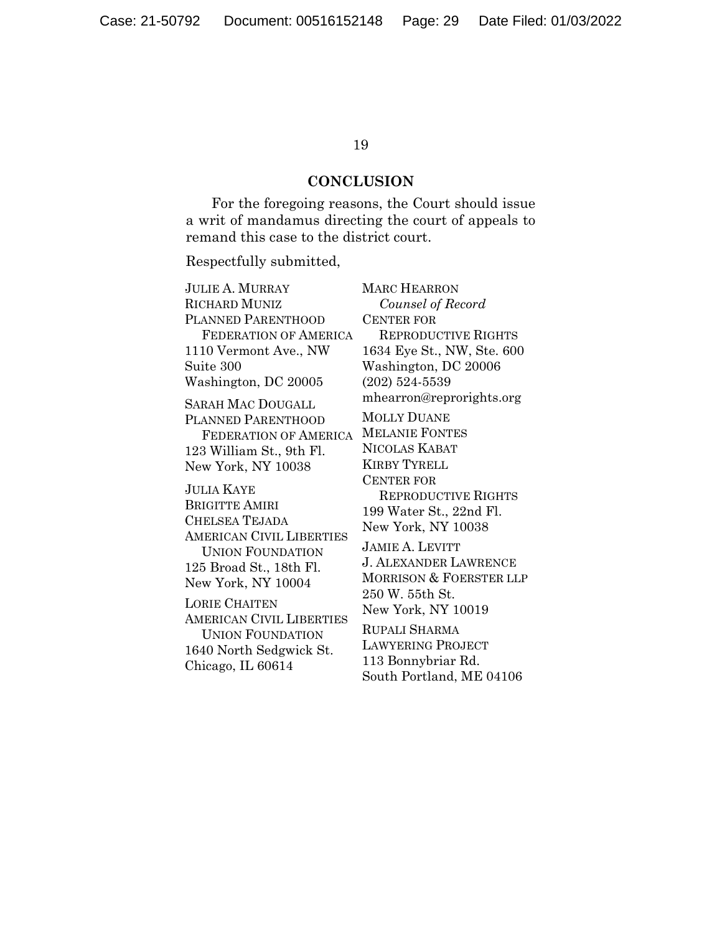#### **CONCLUSION**

For the foregoing reasons, the Court should issue a writ of mandamus directing the court of appeals to remand this case to the district court.

Respectfully submitted,

JULIE A. MURRAY RICHARD MUNIZ PLANNED PARENTHOOD FEDERATION OF AMERICA 1110 Vermont Ave., NW Suite 300 Washington, DC 20005 SARAH MAC DOUGALL PLANNED PARENTHOOD FEDERATION OF AMERICA 123 William St., 9th Fl. New York, NY 10038 **JULIA KAYE** 

BRIGITTE AMIRI CHELSEA TEJADA AMERICAN CIVIL LIBERTIES UNION FOUNDATION 125 Broad St., 18th Fl. New York, NY 10004

LORIE CHAITEN AMERICAN CIVIL LIBERTIES UNION FOUNDATION 1640 North Sedgwick St. Chicago, IL 60614

MARC HEARRON *Counsel of Record*  CENTER FOR REPRODUCTIVE RIGHTS 1634 Eye St., NW, Ste. 600 Washington, DC 20006 (202) 524-5539 mhearron@reprorights.org

MOLLY DUANE MELANIE FONTES NICOLAS KABAT KIRBY TYRELL CENTER FOR REPRODUCTIVE RIGHTS 199 Water St., 22nd Fl. New York, NY 10038 JAMIE A. LEVITT J. ALEXANDER LAWRENCE MORRISON & FOERSTER LLP 250 W. 55th St. New York, NY 10019

RUPALI SHARMA LAWYERING PROJECT 113 Bonnybriar Rd. South Portland, ME 04106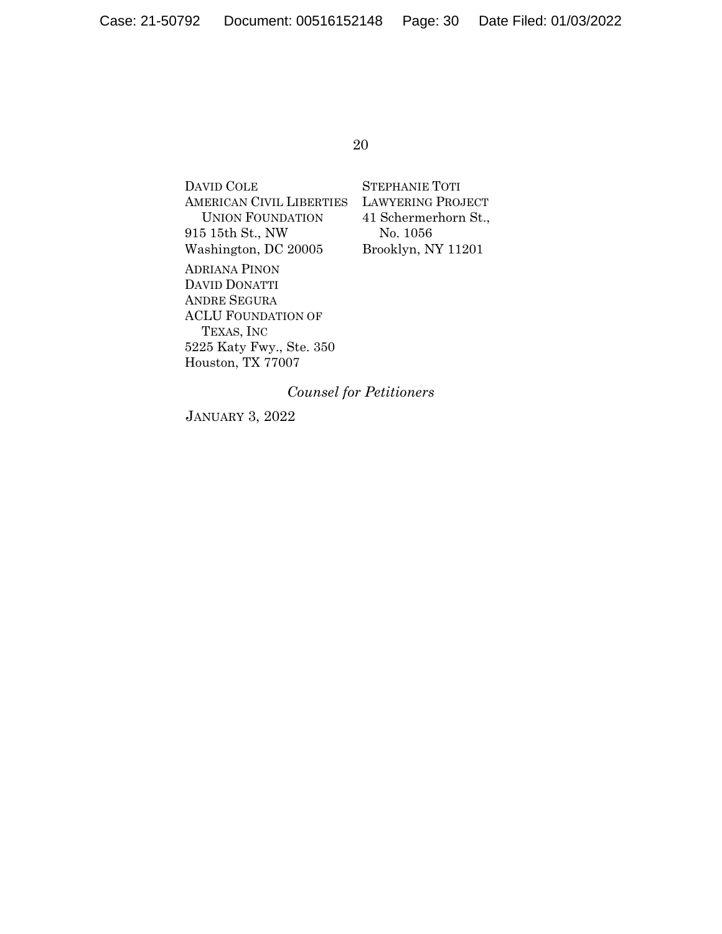DAVID COLE AMERICAN CIVIL LIBERTIES UNION FOUNDATION 915 15th St., NW Washington, DC 20005 ADRIANA PINON DAVID DONATTI ANDRE SEGURA ACLU FOUNDATION OF TEXAS, INC

5225 Katy Fwy., Ste. 350 Houston, TX 77007

STEPHANIE TOTI LAWYERING PROJECT 41 Schermerhorn St., No. 1056 Brooklyn, NY 11201

*Counsel for Petitioners* 

JANUARY 3, 2022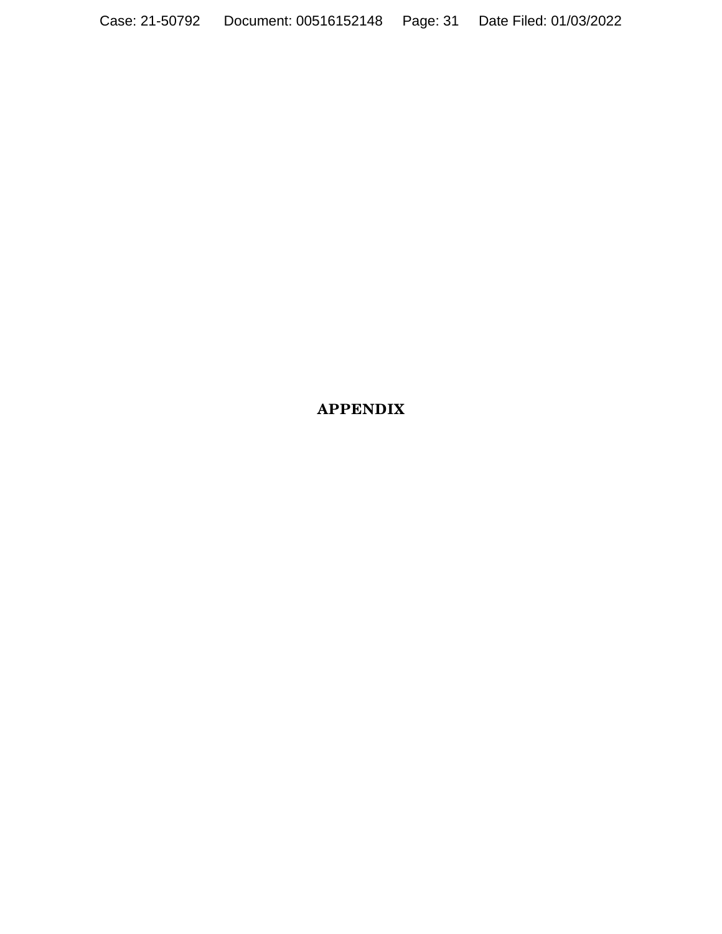## APPENDIX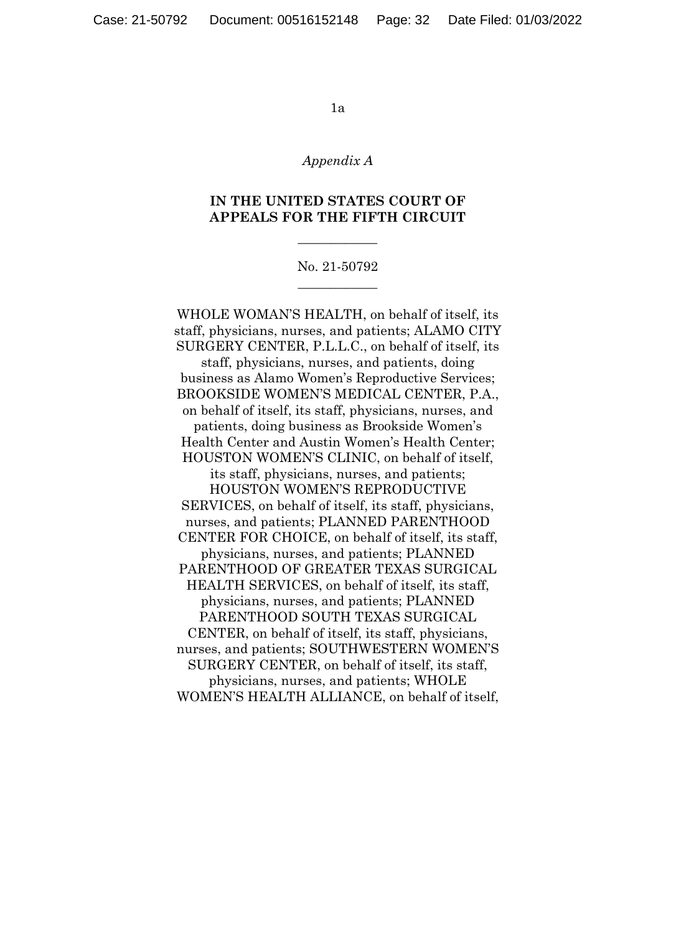#### *Appendix A*

### **IN THE UNITED STATES COURT OF APPEALS FOR THE FIFTH CIRCUIT**

 $\overline{\phantom{a}}$  , where  $\overline{\phantom{a}}$ 

### No. 21-50792  $\overline{\phantom{a}}$  , where  $\overline{\phantom{a}}$

WHOLE WOMAN'S HEALTH, on behalf of itself, its staff, physicians, nurses, and patients; ALAMO CITY SURGERY CENTER, P.L.L.C., on behalf of itself, its staff, physicians, nurses, and patients, doing business as Alamo Women's Reproductive Services; BROOKSIDE WOMEN'S MEDICAL CENTER, P.A., on behalf of itself, its staff, physicians, nurses, and patients, doing business as Brookside Women's Health Center and Austin Women's Health Center; HOUSTON WOMEN'S CLINIC, on behalf of itself, its staff, physicians, nurses, and patients; HOUSTON WOMEN'S REPRODUCTIVE SERVICES, on behalf of itself, its staff, physicians, nurses, and patients; PLANNED PARENTHOOD CENTER FOR CHOICE, on behalf of itself, its staff, physicians, nurses, and patients; PLANNED PARENTHOOD OF GREATER TEXAS SURGICAL HEALTH SERVICES, on behalf of itself, its staff, physicians, nurses, and patients; PLANNED PARENTHOOD SOUTH TEXAS SURGICAL CENTER, on behalf of itself, its staff, physicians, nurses, and patients; SOUTHWESTERN WOMEN'S SURGERY CENTER, on behalf of itself, its staff, physicians, nurses, and patients; WHOLE WOMEN'S HEALTH ALLIANCE, on behalf of itself,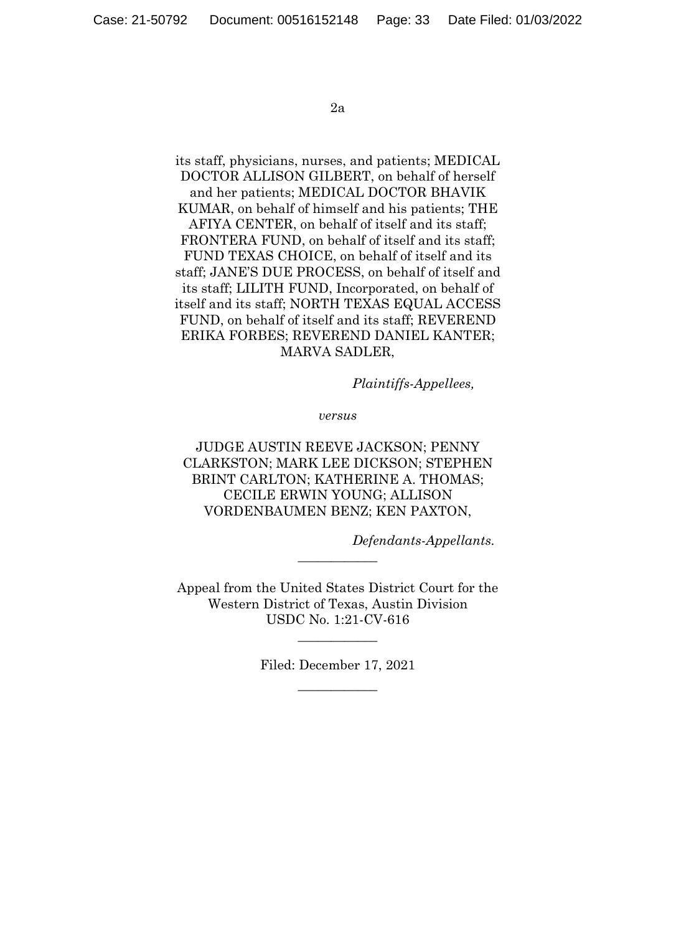its staff, physicians, nurses, and patients; MEDICAL DOCTOR ALLISON GILBERT, on behalf of herself and her patients; MEDICAL DOCTOR BHAVIK KUMAR, on behalf of himself and his patients; THE AFIYA CENTER, on behalf of itself and its staff; FRONTERA FUND, on behalf of itself and its staff; FUND TEXAS CHOICE, on behalf of itself and its staff; JANE'S DUE PROCESS, on behalf of itself and its staff; LILITH FUND, Incorporated, on behalf of itself and its staff; NORTH TEXAS EQUAL ACCESS FUND, on behalf of itself and its staff; REVEREND ERIKA FORBES; REVEREND DANIEL KANTER; MARVA SADLER,

*Plaintiffs-Appellees,* 

*versus* 

JUDGE AUSTIN REEVE JACKSON; PENNY CLARKSTON; MARK LEE DICKSON; STEPHEN BRINT CARLTON; KATHERINE A. THOMAS; CECILE ERWIN YOUNG; ALLISON VORDENBAUMEN BENZ; KEN PAXTON,

*Defendants-Appellants.* 

Appeal from the United States District Court for the Western District of Texas, Austin Division USDC No. 1:21-CV-616

 $\overline{\phantom{a}}$  , where  $\overline{\phantom{a}}$ 

Filed: December 17, 2021  $\overline{\phantom{a}}$  , we can also the set of  $\overline{\phantom{a}}$ 

 $\overline{\phantom{a}}$  , where  $\overline{\phantom{a}}$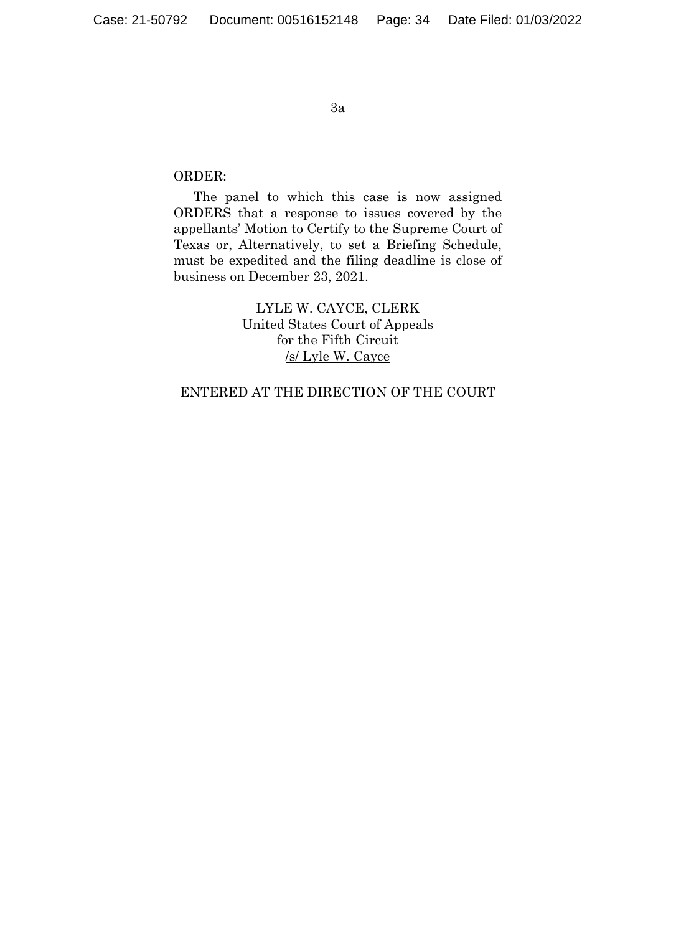## ORDER:

The panel to which this case is now assigned ORDERS that a response to issues covered by the appellants' Motion to Certify to the Supreme Court of Texas or, Alternatively, to set a Briefing Schedule, must be expedited and the filing deadline is close of business on December 23, 2021.

> LYLE W. CAYCE, CLERK United States Court of Appeals for the Fifth Circuit /s/ Lyle W. Cayce

## ENTERED AT THE DIRECTION OF THE COURT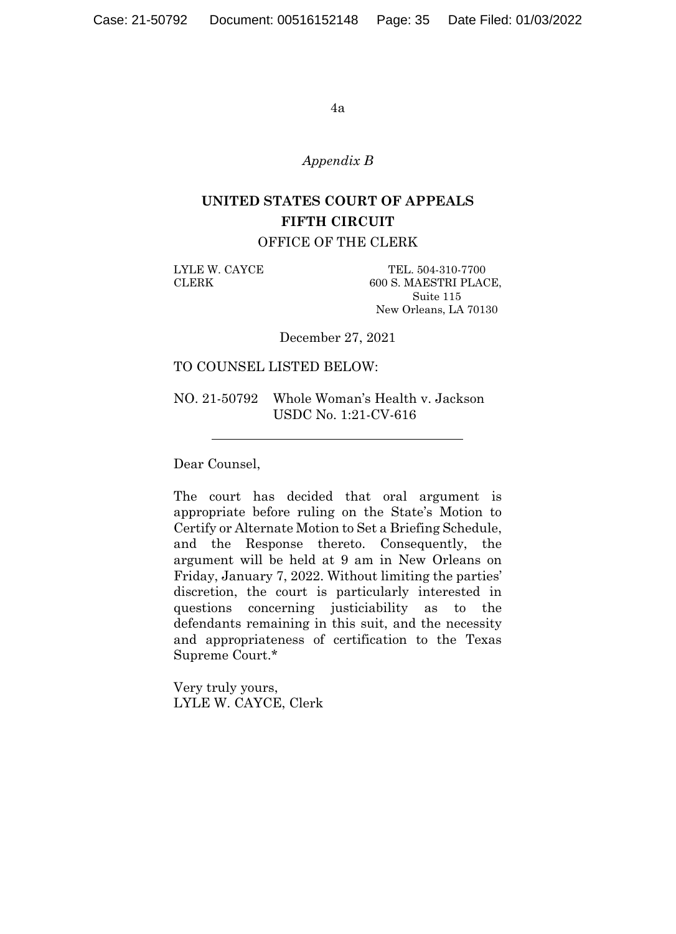#### *Appendix B*

# **UNITED STATES COURT OF APPEALS FIFTH CIRCUIT**

OFFICE OF THE CLERK

LYLE W. CAYCE TEL. 504-310-7700 CLERK 600 S. MAESTRI PLACE, Suite 115 New Orleans, LA 70130

December 27, 2021

### TO COUNSEL LISTED BELOW:

NO. 21-50792 Whole Woman's Health v. Jackson USDC No. 1:21-CV-616

Dear Counsel,

The court has decided that oral argument is appropriate before ruling on the State's Motion to Certify or Alternate Motion to Set a Briefing Schedule, and the Response thereto. Consequently, the argument will be held at 9 am in New Orleans on Friday, January 7, 2022. Without limiting the parties' discretion, the court is particularly interested in questions concerning justiciability as to the defendants remaining in this suit, and the necessity and appropriateness of certification to the Texas Supreme Court.\*

Very truly yours, LYLE W. CAYCE, Clerk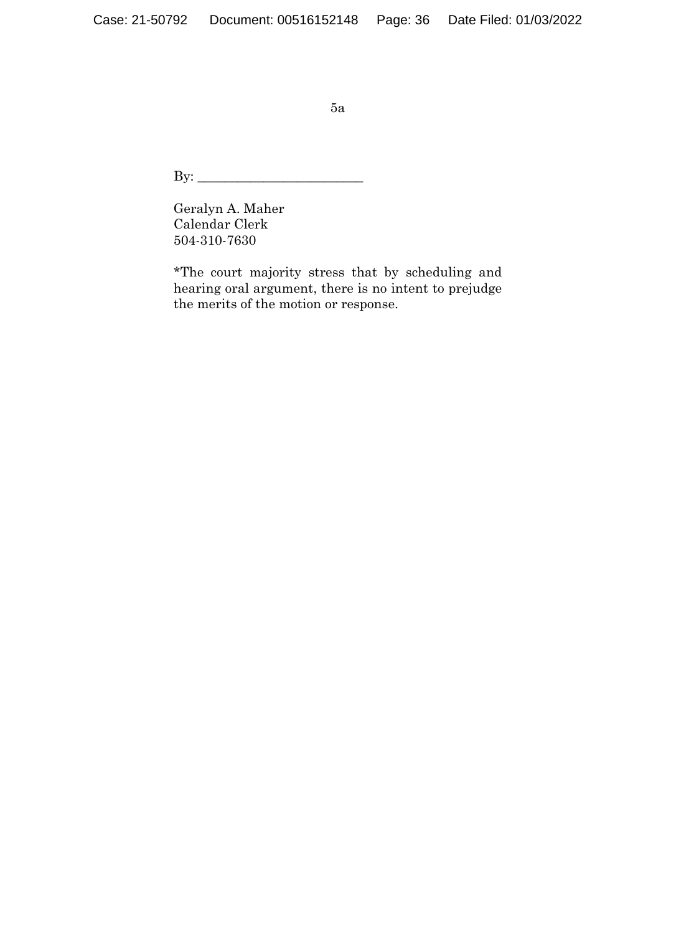By: \_\_\_\_\_\_\_\_\_\_\_\_\_\_\_\_\_\_\_\_\_\_\_\_\_

Geralyn A. Maher Calendar Clerk 504-310-7630

\*The court majority stress that by scheduling and hearing oral argument, there is no intent to prejudge the merits of the motion or response.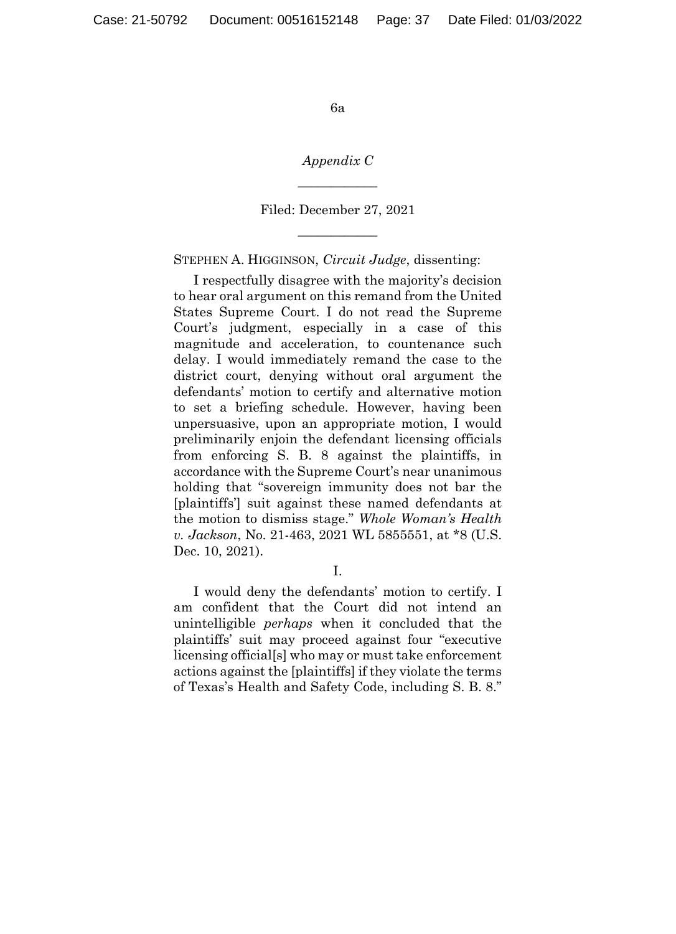*Appendix C*   $\overline{\phantom{a}}$  , where  $\overline{\phantom{a}}$ 

Filed: December 27, 2021  $\overline{\phantom{a}}$  , where  $\overline{\phantom{a}}$ 

STEPHEN A. HIGGINSON, *Circuit Judge*, dissenting:

I respectfully disagree with the majority's decision to hear oral argument on this remand from the United States Supreme Court. I do not read the Supreme Court's judgment, especially in a case of this magnitude and acceleration, to countenance such delay. I would immediately remand the case to the district court, denying without oral argument the defendants' motion to certify and alternative motion to set a briefing schedule. However, having been unpersuasive, upon an appropriate motion, I would preliminarily enjoin the defendant licensing officials from enforcing S. B. 8 against the plaintiffs, in accordance with the Supreme Court's near unanimous holding that "sovereign immunity does not bar the [plaintiffs'] suit against these named defendants at the motion to dismiss stage." *Whole Woman's Health v. Jackson*, No. 21-463, 2021 WL 5855551, at \*8 (U.S. Dec. 10, 2021).

I would deny the defendants' motion to certify. I am confident that the Court did not intend an unintelligible *perhaps* when it concluded that the plaintiffs' suit may proceed against four "executive licensing official[s] who may or must take enforcement actions against the [plaintiffs] if they violate the terms of Texas's Health and Safety Code, including S. B. 8."

I.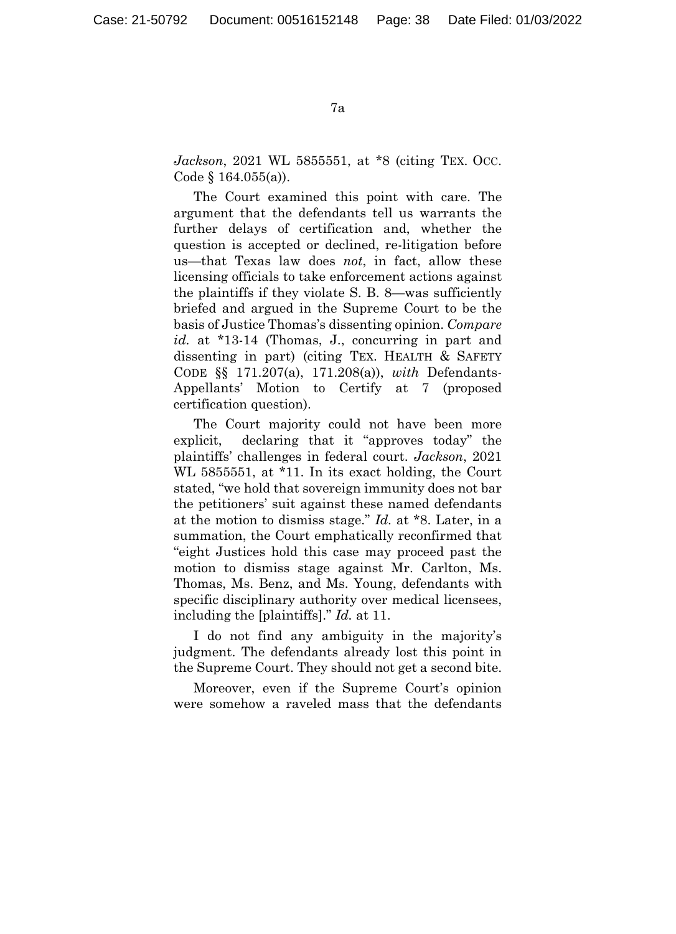*Jackson*, 2021 WL 5855551, at \*8 (citing TEX. Occ. Code § 164.055(a)).

The Court examined this point with care. The argument that the defendants tell us warrants the further delays of certification and, whether the question is accepted or declined, re-litigation before us—that Texas law does *not*, in fact, allow these licensing officials to take enforcement actions against the plaintiffs if they violate S. B. 8—was sufficiently briefed and argued in the Supreme Court to be the basis of Justice Thomas's dissenting opinion. *Compare id.* at \*13-14 (Thomas, J., concurring in part and dissenting in part) (citing TEX. HEALTH & SAFETY CODE §§ 171.207(a), 171.208(a)), *with* Defendants-Appellants' Motion to Certify at 7 (proposed certification question).

The Court majority could not have been more explicit, declaring that it "approves today" the plaintiffs' challenges in federal court. *Jackson*, 2021 WL 5855551, at \*11. In its exact holding, the Court stated, "we hold that sovereign immunity does not bar the petitioners' suit against these named defendants at the motion to dismiss stage." *Id.* at \*8. Later, in a summation, the Court emphatically reconfirmed that "eight Justices hold this case may proceed past the motion to dismiss stage against Mr. Carlton, Ms. Thomas, Ms. Benz, and Ms. Young, defendants with specific disciplinary authority over medical licensees, including the [plaintiffs]." *Id.* at 11.

I do not find any ambiguity in the majority's judgment. The defendants already lost this point in the Supreme Court. They should not get a second bite.

Moreover, even if the Supreme Court's opinion were somehow a raveled mass that the defendants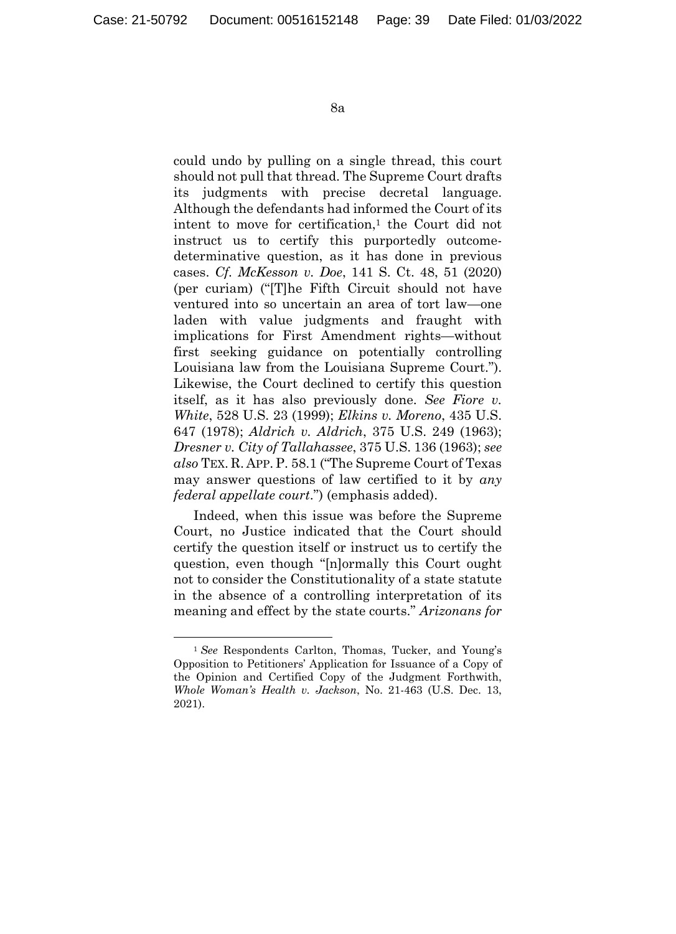could undo by pulling on a single thread, this court should not pull that thread. The Supreme Court drafts its judgments with precise decretal language. Although the defendants had informed the Court of its intent to move for certification,<sup>1</sup> the Court did not instruct us to certify this purportedly outcomedeterminative question, as it has done in previous cases. *Cf. McKesson v. Doe*, 141 S. Ct. 48, 51 (2020) (per curiam) ("[T]he Fifth Circuit should not have ventured into so uncertain an area of tort law—one laden with value judgments and fraught with implications for First Amendment rights—without first seeking guidance on potentially controlling Louisiana law from the Louisiana Supreme Court."). Likewise, the Court declined to certify this question itself, as it has also previously done. *See Fiore v. White*, 528 U.S. 23 (1999); *Elkins v. Moreno*, 435 U.S. 647 (1978); *Aldrich v. Aldrich*, 375 U.S. 249 (1963); *Dresner v. City of Tallahassee*, 375 U.S. 136 (1963); *see also* TEX. R. APP. P. 58.1 ("The Supreme Court of Texas may answer questions of law certified to it by *any federal appellate court*.") (emphasis added).

Indeed, when this issue was before the Supreme Court, no Justice indicated that the Court should certify the question itself or instruct us to certify the question, even though "[n]ormally this Court ought not to consider the Constitutionality of a state statute in the absence of a controlling interpretation of its meaning and effect by the state courts." *Arizonans for* 

 <sup>1</sup> *See* Respondents Carlton, Thomas, Tucker, and Young's Opposition to Petitioners' Application for Issuance of a Copy of the Opinion and Certified Copy of the Judgment Forthwith, *Whole Woman's Health v. Jackson*, No. 21-463 (U.S. Dec. 13, 2021).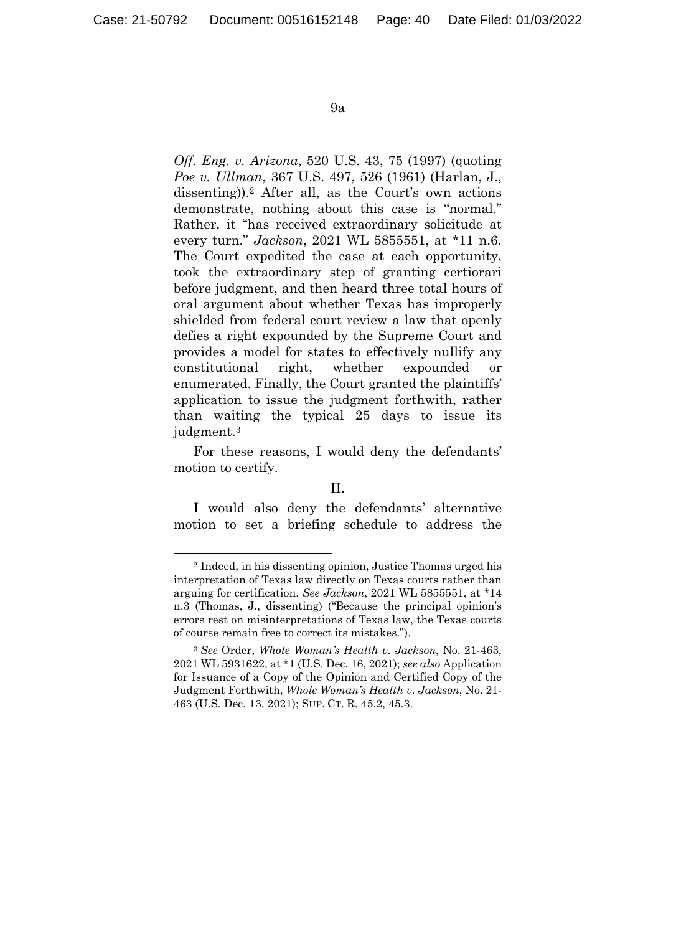*Off. Eng. v. Arizona*, 520 U.S. 43, 75 (1997) (quoting *Poe v. Ullman*, 367 U.S. 497, 526 (1961) (Harlan, J., dissenting)).2 After all, as the Court's own actions demonstrate, nothing about this case is "normal." Rather, it "has received extraordinary solicitude at every turn." *Jackson*, 2021 WL 5855551, at \*11 n.6. The Court expedited the case at each opportunity, took the extraordinary step of granting certiorari before judgment, and then heard three total hours of oral argument about whether Texas has improperly shielded from federal court review a law that openly defies a right expounded by the Supreme Court and provides a model for states to effectively nullify any constitutional right, whether expounded or enumerated. Finally, the Court granted the plaintiffs' application to issue the judgment forthwith, rather than waiting the typical 25 days to issue its judgment.3

For these reasons, I would deny the defendants' motion to certify.

#### II.

I would also deny the defendants' alternative motion to set a briefing schedule to address the

 <sup>2</sup> Indeed, in his dissenting opinion, Justice Thomas urged his interpretation of Texas law directly on Texas courts rather than arguing for certification. *See Jackson*, 2021 WL 5855551, at \*14 n.3 (Thomas, J., dissenting) ("Because the principal opinion's errors rest on misinterpretations of Texas law, the Texas courts of course remain free to correct its mistakes.").

<sup>3</sup> *See* Order, *Whole Woman's Health v. Jackson*, No. 21-463, 2021 WL 5931622, at \*1 (U.S. Dec. 16, 2021); *see also* Application for Issuance of a Copy of the Opinion and Certified Copy of the Judgment Forthwith, *Whole Woman's Health v. Jackson*, No. 21- 463 (U.S. Dec. 13, 2021); SUP. CT. R. 45.2, 45.3.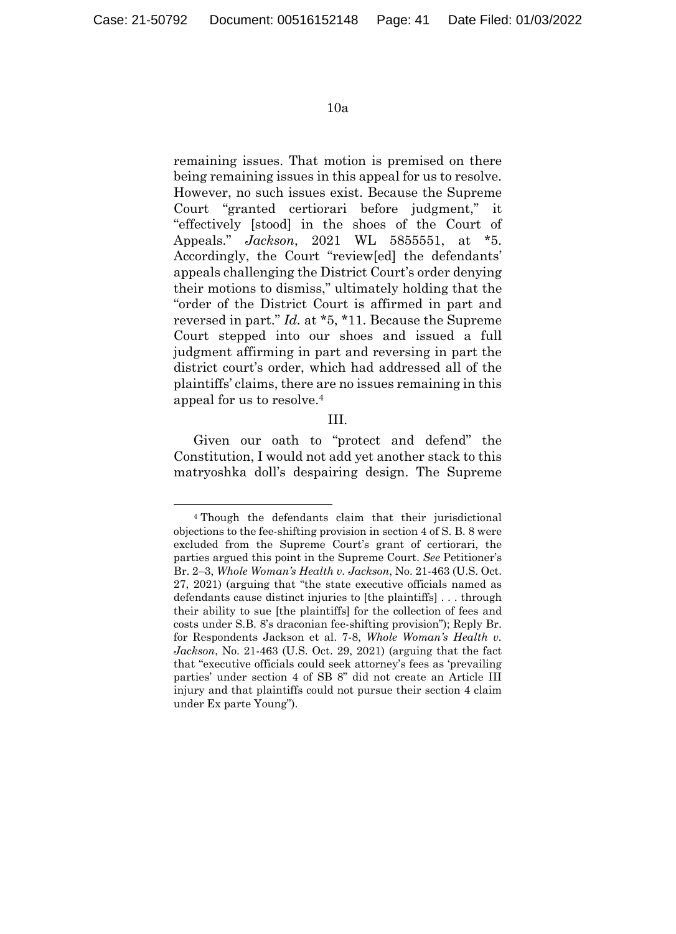remaining issues. That motion is premised on there being remaining issues in this appeal for us to resolve. However, no such issues exist. Because the Supreme Court "granted certiorari before judgment," it "effectively [stood] in the shoes of the Court of Appeals." *Jackson*, 2021 WL 5855551, at \*5. Accordingly, the Court "review[ed] the defendants' appeals challenging the District Court's order denying their motions to dismiss," ultimately holding that the "order of the District Court is affirmed in part and reversed in part." *Id.* at \*5, \*11. Because the Supreme Court stepped into our shoes and issued a full judgment affirming in part and reversing in part the district court's order, which had addressed all of the plaintiffs' claims, there are no issues remaining in this appeal for us to resolve.4

III.

Given our oath to "protect and defend" the Constitution, I would not add yet another stack to this matryoshka doll's despairing design. The Supreme

 <sup>4</sup> Though the defendants claim that their jurisdictional objections to the fee-shifting provision in section 4 of S. B. 8 were excluded from the Supreme Court's grant of certiorari, the parties argued this point in the Supreme Court. *See* Petitioner's Br. 2–3, *Whole Woman's Health v. Jackson*, No. 21-463 (U.S. Oct. 27, 2021) (arguing that "the state executive officials named as defendants cause distinct injuries to [the plaintiffs] . . . through their ability to sue [the plaintiffs] for the collection of fees and costs under S.B. 8's draconian fee-shifting provision"); Reply Br. for Respondents Jackson et al. 7-8, *Whole Woman's Health v. Jackson*, No. 21-463 (U.S. Oct. 29, 2021) (arguing that the fact that "executive officials could seek attorney's fees as 'prevailing parties' under section 4 of SB 8" did not create an Article III injury and that plaintiffs could not pursue their section 4 claim under Ex parte Young").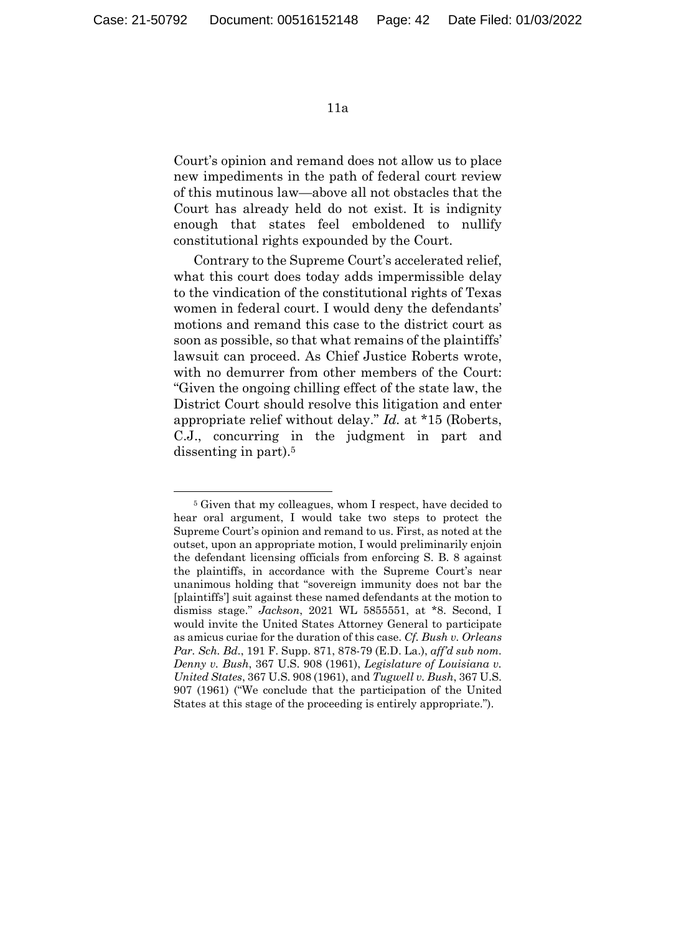Court's opinion and remand does not allow us to place new impediments in the path of federal court review of this mutinous law—above all not obstacles that the Court has already held do not exist. It is indignity enough that states feel emboldened to nullify constitutional rights expounded by the Court.

Contrary to the Supreme Court's accelerated relief, what this court does today adds impermissible delay to the vindication of the constitutional rights of Texas women in federal court. I would deny the defendants' motions and remand this case to the district court as soon as possible, so that what remains of the plaintiffs' lawsuit can proceed. As Chief Justice Roberts wrote, with no demurrer from other members of the Court: "Given the ongoing chilling effect of the state law, the District Court should resolve this litigation and enter appropriate relief without delay." *Id.* at \*15 (Roberts, C.J., concurring in the judgment in part and dissenting in part).5

 <sup>5</sup> Given that my colleagues, whom I respect, have decided to hear oral argument, I would take two steps to protect the Supreme Court's opinion and remand to us. First, as noted at the outset, upon an appropriate motion, I would preliminarily enjoin the defendant licensing officials from enforcing S. B. 8 against the plaintiffs, in accordance with the Supreme Court's near unanimous holding that "sovereign immunity does not bar the [plaintiffs'] suit against these named defendants at the motion to dismiss stage." *Jackson*, 2021 WL 5855551, at \*8. Second, I would invite the United States Attorney General to participate as amicus curiae for the duration of this case. *Cf. Bush v. Orleans Par. Sch. Bd.*, 191 F. Supp. 871, 878-79 (E.D. La.), *aff'd sub nom. Denny v. Bush*, 367 U.S. 908 (1961), *Legislature of Louisiana v. United States*, 367 U.S. 908 (1961), and *Tugwell v. Bush*, 367 U.S. 907 (1961) ("We conclude that the participation of the United States at this stage of the proceeding is entirely appropriate.").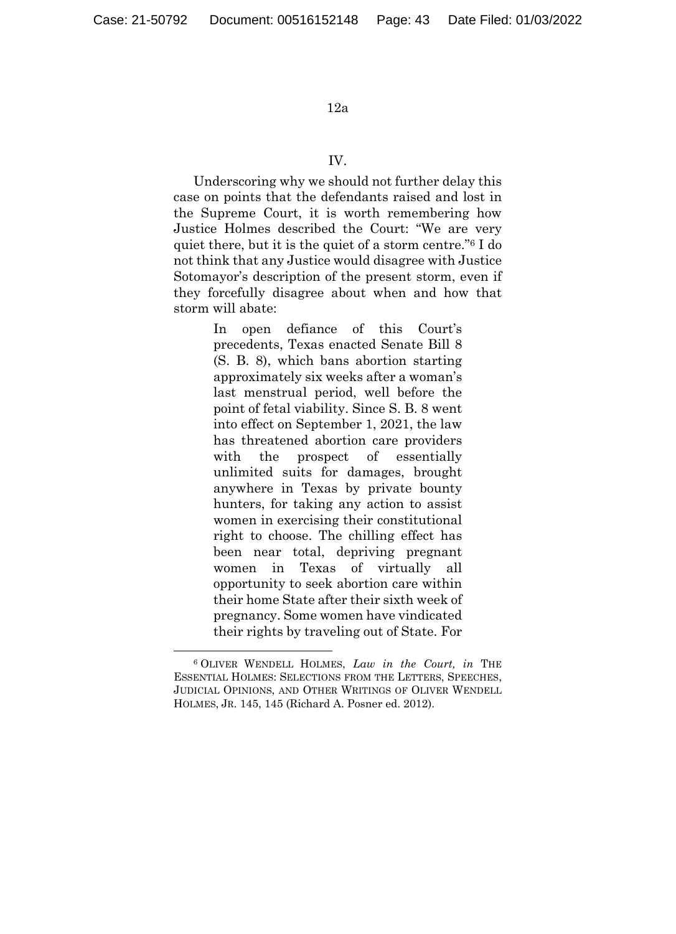#### IV.

Underscoring why we should not further delay this case on points that the defendants raised and lost in the Supreme Court, it is worth remembering how Justice Holmes described the Court: "We are very quiet there, but it is the quiet of a storm centre."6 I do not think that any Justice would disagree with Justice Sotomayor's description of the present storm, even if they forcefully disagree about when and how that storm will abate:

> In open defiance of this Court's precedents, Texas enacted Senate Bill 8 (S. B. 8), which bans abortion starting approximately six weeks after a woman's last menstrual period, well before the point of fetal viability. Since S. B. 8 went into effect on September 1, 2021, the law has threatened abortion care providers with the prospect of essentially unlimited suits for damages, brought anywhere in Texas by private bounty hunters, for taking any action to assist women in exercising their constitutional right to choose. The chilling effect has been near total, depriving pregnant women in Texas of virtually all opportunity to seek abortion care within their home State after their sixth week of pregnancy. Some women have vindicated their rights by traveling out of State. For

 <sup>6</sup> OLIVER WENDELL HOLMES, *Law in the Court, in* THE ESSENTIAL HOLMES: SELECTIONS FROM THE LETTERS, SPEECHES, JUDICIAL OPINIONS, AND OTHER WRITINGS OF OLIVER WENDELL HOLMES, JR. 145, 145 (Richard A. Posner ed. 2012).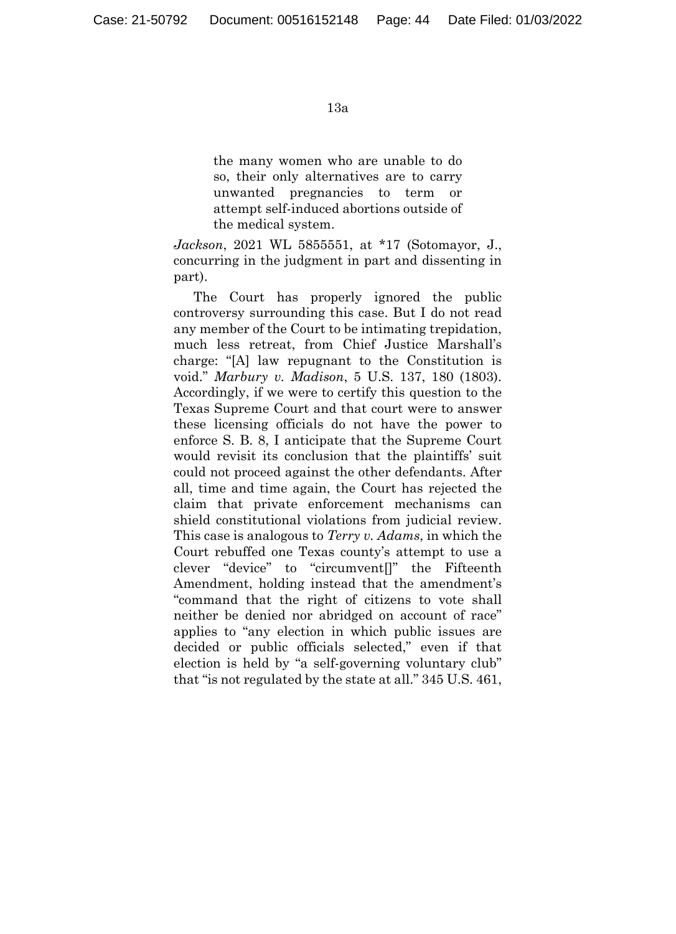the many women who are unable to do so, their only alternatives are to carry unwanted pregnancies to term or attempt self-induced abortions outside of the medical system.

*Jackson*, 2021 WL 5855551, at \*17 (Sotomayor, J., concurring in the judgment in part and dissenting in part).

The Court has properly ignored the public controversy surrounding this case. But I do not read any member of the Court to be intimating trepidation, much less retreat, from Chief Justice Marshall's charge: "[A] law repugnant to the Constitution is void." *Marbury v. Madison*, 5 U.S. 137, 180 (1803). Accordingly, if we were to certify this question to the Texas Supreme Court and that court were to answer these licensing officials do not have the power to enforce S. B. 8, I anticipate that the Supreme Court would revisit its conclusion that the plaintiffs' suit could not proceed against the other defendants. After all, time and time again, the Court has rejected the claim that private enforcement mechanisms can shield constitutional violations from judicial review. This case is analogous to *Terry v. Adams*, in which the Court rebuffed one Texas county's attempt to use a clever "device" to "circumvent[]" the Fifteenth Amendment, holding instead that the amendment's "command that the right of citizens to vote shall neither be denied nor abridged on account of race" applies to "any election in which public issues are decided or public officials selected," even if that election is held by "a self-governing voluntary club" that "is not regulated by the state at all." 345 U.S. 461,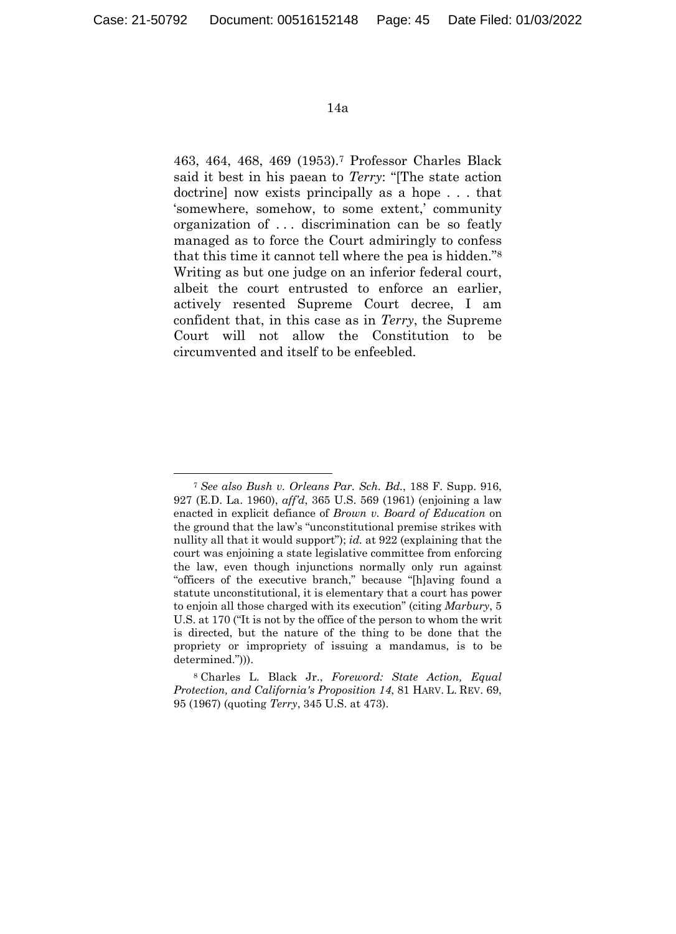463, 464, 468, 469 (1953).7 Professor Charles Black said it best in his paean to *Terry*: "[The state action doctrine] now exists principally as a hope . . . that 'somewhere, somehow, to some extent,' community organization of . . . discrimination can be so featly managed as to force the Court admiringly to confess that this time it cannot tell where the pea is hidden."8 Writing as but one judge on an inferior federal court, albeit the court entrusted to enforce an earlier, actively resented Supreme Court decree, I am confident that, in this case as in *Terry*, the Supreme Court will not allow the Constitution to be circumvented and itself to be enfeebled.

 <sup>7</sup> *See also Bush v. Orleans Par. Sch. Bd.*, 188 F. Supp. 916, 927 (E.D. La. 1960), *aff'd*, 365 U.S. 569 (1961) (enjoining a law enacted in explicit defiance of *Brown v. Board of Education* on the ground that the law's "unconstitutional premise strikes with nullity all that it would support"); *id.* at 922 (explaining that the court was enjoining a state legislative committee from enforcing the law, even though injunctions normally only run against "officers of the executive branch," because "[h]aving found a statute unconstitutional, it is elementary that a court has power to enjoin all those charged with its execution" (citing *Marbury*, 5 U.S. at 170 ("It is not by the office of the person to whom the writ is directed, but the nature of the thing to be done that the propriety or impropriety of issuing a mandamus, is to be determined."))).

<sup>8</sup> Charles L. Black Jr., *Foreword: State Action, Equal Protection, and California's Proposition 14*, 81 HARV. L. REV. 69, 95 (1967) (quoting *Terry*, 345 U.S. at 473).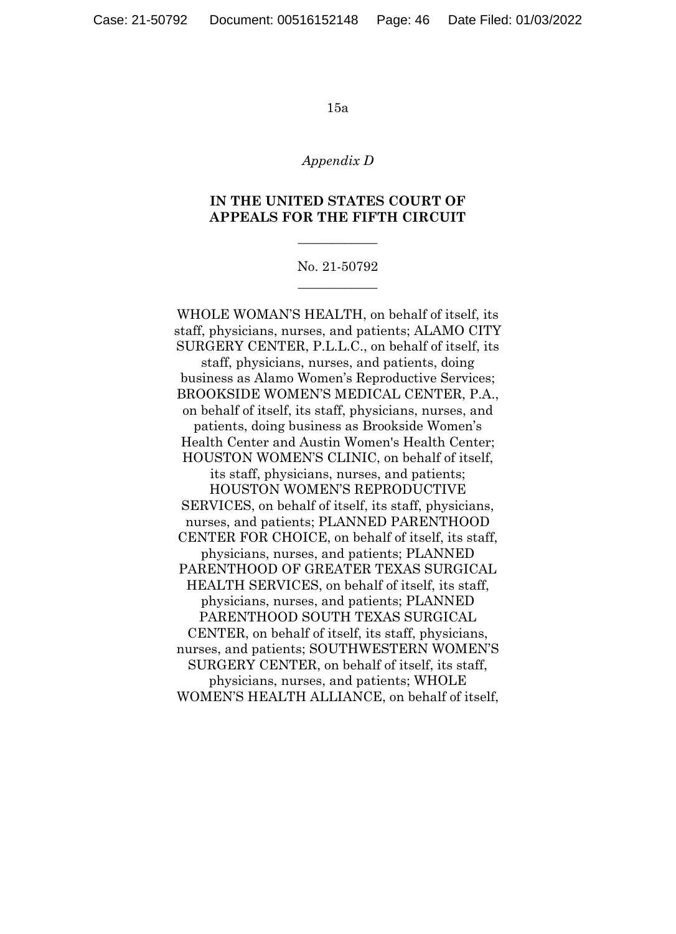#### *Appendix D*

## **IN THE UNITED STATES COURT OF APPEALS FOR THE FIFTH CIRCUIT**

 $\overline{\phantom{a}}$  , where  $\overline{\phantom{a}}$ 

## No. 21-50792  $\overline{\phantom{a}}$  , where  $\overline{\phantom{a}}$

WHOLE WOMAN'S HEALTH, on behalf of itself, its staff, physicians, nurses, and patients; ALAMO CITY SURGERY CENTER, P.L.L.C., on behalf of itself, its staff, physicians, nurses, and patients, doing business as Alamo Women's Reproductive Services; BROOKSIDE WOMEN'S MEDICAL CENTER, P.A., on behalf of itself, its staff, physicians, nurses, and patients, doing business as Brookside Women's Health Center and Austin Women's Health Center; HOUSTON WOMEN'S CLINIC, on behalf of itself, its staff, physicians, nurses, and patients; HOUSTON WOMEN'S REPRODUCTIVE SERVICES, on behalf of itself, its staff, physicians, nurses, and patients; PLANNED PARENTHOOD CENTER FOR CHOICE, on behalf of itself, its staff, physicians, nurses, and patients; PLANNED PARENTHOOD OF GREATER TEXAS SURGICAL HEALTH SERVICES, on behalf of itself, its staff, physicians, nurses, and patients; PLANNED PARENTHOOD SOUTH TEXAS SURGICAL CENTER, on behalf of itself, its staff, physicians, nurses, and patients; SOUTHWESTERN WOMEN'S SURGERY CENTER, on behalf of itself, its staff, physicians, nurses, and patients; WHOLE WOMEN'S HEALTH ALLIANCE, on behalf of itself,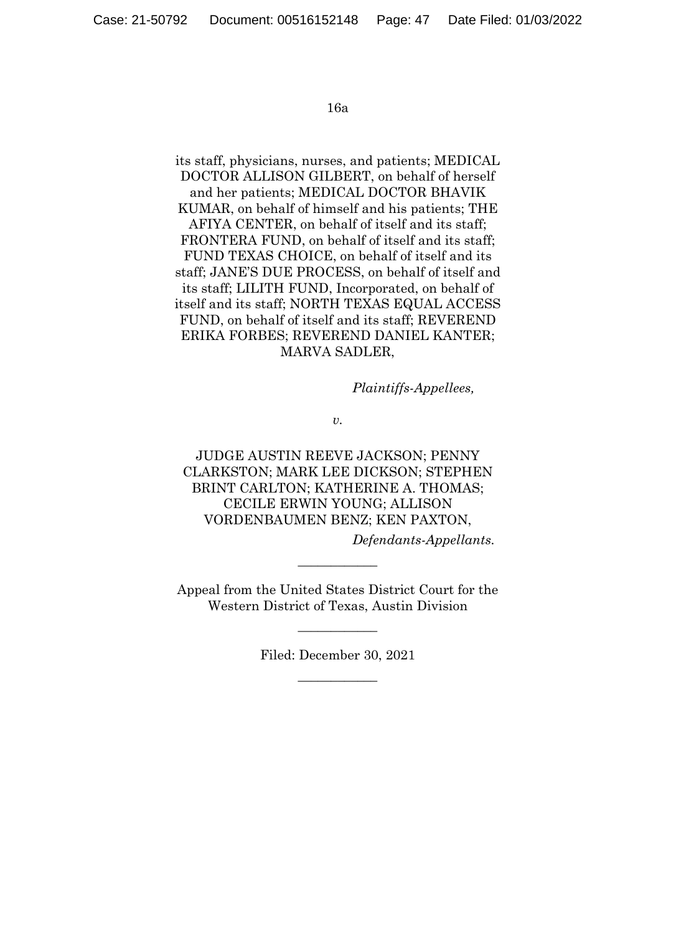its staff, physicians, nurses, and patients; MEDICAL DOCTOR ALLISON GILBERT, on behalf of herself and her patients; MEDICAL DOCTOR BHAVIK KUMAR, on behalf of himself and his patients; THE AFIYA CENTER, on behalf of itself and its staff; FRONTERA FUND, on behalf of itself and its staff; FUND TEXAS CHOICE, on behalf of itself and its staff; JANE'S DUE PROCESS, on behalf of itself and its staff; LILITH FUND, Incorporated, on behalf of itself and its staff; NORTH TEXAS EQUAL ACCESS FUND, on behalf of itself and its staff; REVEREND ERIKA FORBES; REVEREND DANIEL KANTER; MARVA SADLER,

*Plaintiffs-Appellees,* 

*v.* 

JUDGE AUSTIN REEVE JACKSON; PENNY CLARKSTON; MARK LEE DICKSON; STEPHEN BRINT CARLTON; KATHERINE A. THOMAS; CECILE ERWIN YOUNG; ALLISON VORDENBAUMEN BENZ; KEN PAXTON,

*Defendants-Appellants.* 

Appeal from the United States District Court for the Western District of Texas, Austin Division

 $\overline{\phantom{a}}$  , where  $\overline{\phantom{a}}$ 

Filed: December 30, 2021  $\overline{\phantom{a}}$  , where  $\overline{\phantom{a}}$ 

 $\overline{\phantom{a}}$  , where  $\overline{\phantom{a}}$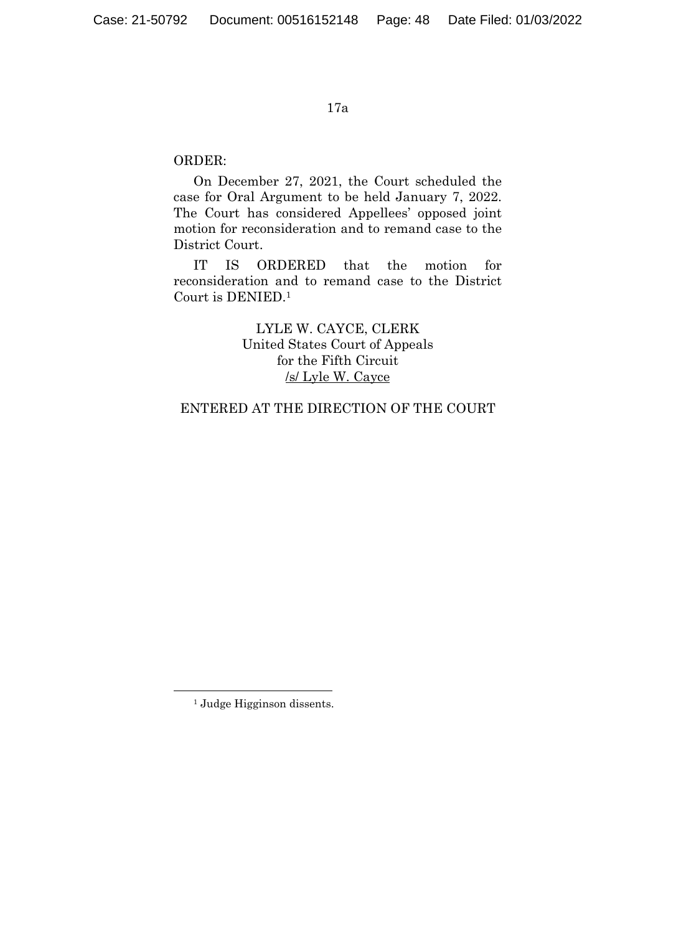## ORDER:

On December 27, 2021, the Court scheduled the case for Oral Argument to be held January 7, 2022. The Court has considered Appellees' opposed joint motion for reconsideration and to remand case to the District Court.

IT IS ORDERED that the motion for reconsideration and to remand case to the District Court is DENIED.<sup>1</sup>

> LYLE W. CAYCE, CLERK United States Court of Appeals for the Fifth Circuit /s/ Lyle W. Cayce

## ENTERED AT THE DIRECTION OF THE COURT

1

<sup>&</sup>lt;sup>1</sup> Judge Higginson dissents.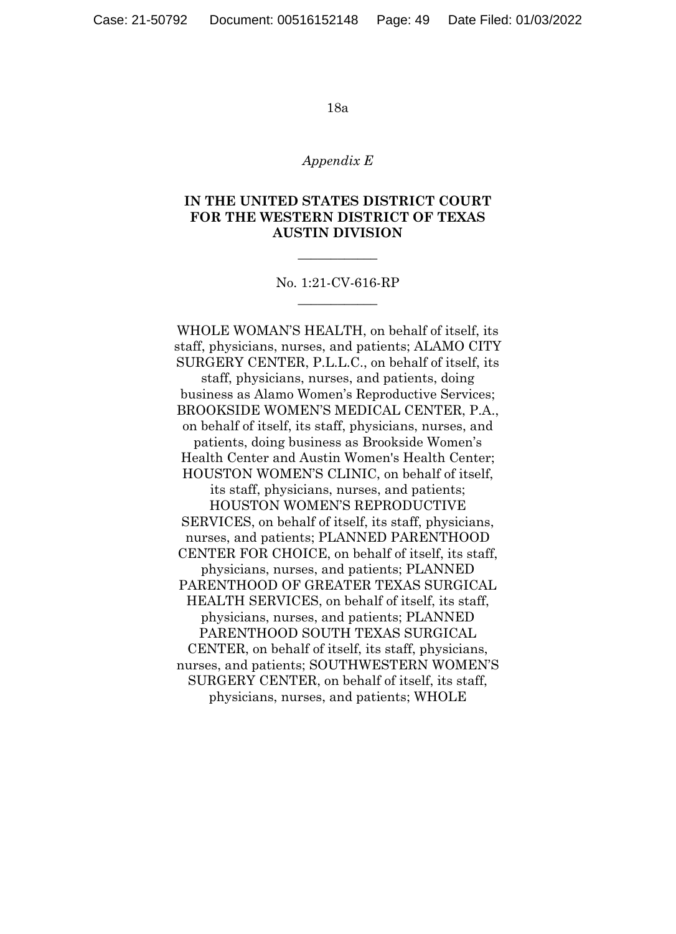#### *Appendix E*

## **IN THE UNITED STATES DISTRICT COURT FOR THE WESTERN DISTRICT OF TEXAS AUSTIN DIVISION**

No. 1:21-CV-616-RP  $\overline{\phantom{a}}$  , where  $\overline{\phantom{a}}$ 

 $\overline{\phantom{a}}$  , where  $\overline{\phantom{a}}$ 

WHOLE WOMAN'S HEALTH, on behalf of itself, its staff, physicians, nurses, and patients; ALAMO CITY SURGERY CENTER, P.L.L.C., on behalf of itself, its staff, physicians, nurses, and patients, doing business as Alamo Women's Reproductive Services; BROOKSIDE WOMEN'S MEDICAL CENTER, P.A., on behalf of itself, its staff, physicians, nurses, and patients, doing business as Brookside Women's Health Center and Austin Women's Health Center; HOUSTON WOMEN'S CLINIC, on behalf of itself, its staff, physicians, nurses, and patients; HOUSTON WOMEN'S REPRODUCTIVE SERVICES, on behalf of itself, its staff, physicians, nurses, and patients; PLANNED PARENTHOOD CENTER FOR CHOICE, on behalf of itself, its staff, physicians, nurses, and patients; PLANNED PARENTHOOD OF GREATER TEXAS SURGICAL HEALTH SERVICES, on behalf of itself, its staff, physicians, nurses, and patients; PLANNED PARENTHOOD SOUTH TEXAS SURGICAL CENTER, on behalf of itself, its staff, physicians, nurses, and patients; SOUTHWESTERN WOMEN'S SURGERY CENTER, on behalf of itself, its staff, physicians, nurses, and patients; WHOLE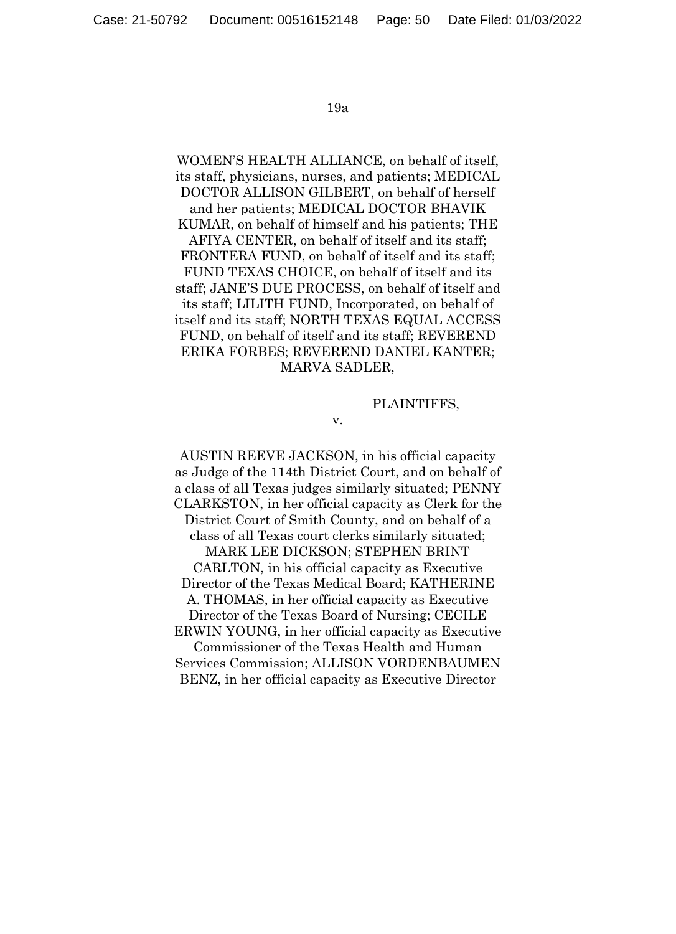WOMEN'S HEALTH ALLIANCE, on behalf of itself, its staff, physicians, nurses, and patients; MEDICAL DOCTOR ALLISON GILBERT, on behalf of herself and her patients; MEDICAL DOCTOR BHAVIK KUMAR, on behalf of himself and his patients; THE AFIYA CENTER, on behalf of itself and its staff; FRONTERA FUND, on behalf of itself and its staff; FUND TEXAS CHOICE, on behalf of itself and its staff; JANE'S DUE PROCESS, on behalf of itself and its staff; LILITH FUND, Incorporated, on behalf of itself and its staff; NORTH TEXAS EQUAL ACCESS FUND, on behalf of itself and its staff; REVEREND ERIKA FORBES; REVEREND DANIEL KANTER; MARVA SADLER,

#### PLAINTIFFS,

v.

AUSTIN REEVE JACKSON, in his official capacity as Judge of the 114th District Court, and on behalf of a class of all Texas judges similarly situated; PENNY CLARKSTON, in her official capacity as Clerk for the District Court of Smith County, and on behalf of a class of all Texas court clerks similarly situated; MARK LEE DICKSON; STEPHEN BRINT CARLTON, in his official capacity as Executive Director of the Texas Medical Board; KATHERINE A. THOMAS, in her official capacity as Executive Director of the Texas Board of Nursing; CECILE ERWIN YOUNG, in her official capacity as Executive Commissioner of the Texas Health and Human Services Commission; ALLISON VORDENBAUMEN BENZ, in her official capacity as Executive Director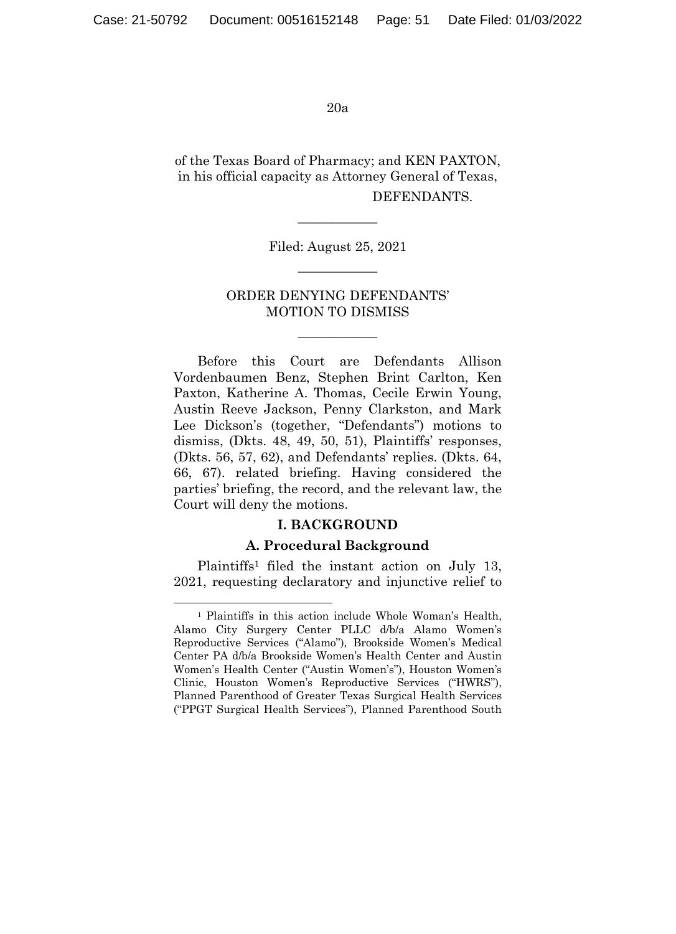of the Texas Board of Pharmacy; and KEN PAXTON, in his official capacity as Attorney General of Texas, DEFENDANTS.

> Filed: August 25, 2021  $\overline{\phantom{a}}$  , where  $\overline{\phantom{a}}$

 $\overline{\phantom{a}}$  , where  $\overline{\phantom{a}}$ 

## ORDER DENYING DEFENDANTS' MOTION TO DISMISS

 $\overline{\phantom{a}}$  , where  $\overline{\phantom{a}}$ 

Before this Court are Defendants Allison Vordenbaumen Benz, Stephen Brint Carlton, Ken Paxton, Katherine A. Thomas, Cecile Erwin Young, Austin Reeve Jackson, Penny Clarkston, and Mark Lee Dickson's (together, "Defendants") motions to dismiss, (Dkts. 48, 49, 50, 51), Plaintiffs' responses, (Dkts. 56, 57, 62), and Defendants' replies. (Dkts. 64, 66, 67). related briefing. Having considered the parties' briefing, the record, and the relevant law, the Court will deny the motions.

#### **I. BACKGROUND**

#### **A. Procedural Background**

Plaintiffs<sup>1</sup> filed the instant action on July 13, 2021, requesting declaratory and injunctive relief to

 <sup>1</sup> Plaintiffs in this action include Whole Woman's Health, Alamo City Surgery Center PLLC d/b/a Alamo Women's Reproductive Services ("Alamo"), Brookside Women's Medical Center PA d/b/a Brookside Women's Health Center and Austin Women's Health Center ("Austin Women's"), Houston Women's Clinic, Houston Women's Reproductive Services ("HWRS"), Planned Parenthood of Greater Texas Surgical Health Services ("PPGT Surgical Health Services"), Planned Parenthood South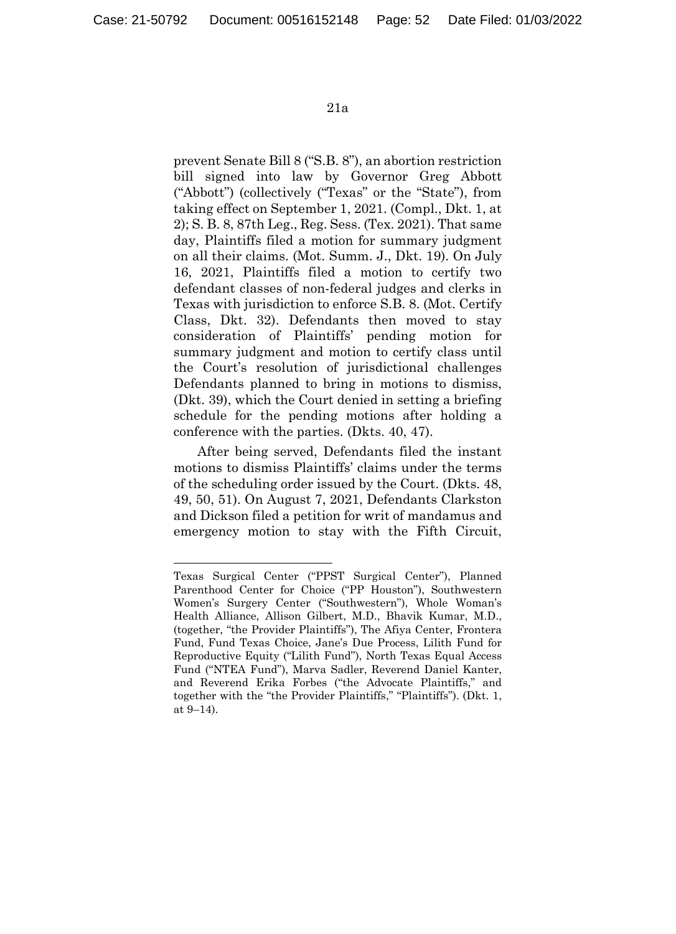1

21a

prevent Senate Bill 8 ("S.B. 8"), an abortion restriction bill signed into law by Governor Greg Abbott ("Abbott") (collectively ("Texas" or the "State"), from taking effect on September 1, 2021. (Compl., Dkt. 1, at 2); S. B. 8, 87th Leg., Reg. Sess. (Tex. 2021). That same day, Plaintiffs filed a motion for summary judgment on all their claims. (Mot. Summ. J., Dkt. 19). On July 16, 2021, Plaintiffs filed a motion to certify two defendant classes of non-federal judges and clerks in Texas with jurisdiction to enforce S.B. 8. (Mot. Certify Class, Dkt. 32). Defendants then moved to stay consideration of Plaintiffs' pending motion for summary judgment and motion to certify class until the Court's resolution of jurisdictional challenges Defendants planned to bring in motions to dismiss, (Dkt. 39), which the Court denied in setting a briefing schedule for the pending motions after holding a conference with the parties. (Dkts. 40, 47).

After being served, Defendants filed the instant motions to dismiss Plaintiffs' claims under the terms of the scheduling order issued by the Court. (Dkts. 48, 49, 50, 51). On August 7, 2021, Defendants Clarkston and Dickson filed a petition for writ of mandamus and emergency motion to stay with the Fifth Circuit,

Texas Surgical Center ("PPST Surgical Center"), Planned Parenthood Center for Choice ("PP Houston"), Southwestern Women's Surgery Center ("Southwestern"), Whole Woman's Health Alliance, Allison Gilbert, M.D., Bhavik Kumar, M.D., (together, "the Provider Plaintiffs"), The Afiya Center, Frontera Fund, Fund Texas Choice, Jane's Due Process, Lilith Fund for Reproductive Equity ("Lilith Fund"), North Texas Equal Access Fund ("NTEA Fund"), Marva Sadler, Reverend Daniel Kanter, and Reverend Erika Forbes ("the Advocate Plaintiffs," and together with the "the Provider Plaintiffs," "Plaintiffs"). (Dkt. 1, at 9–14).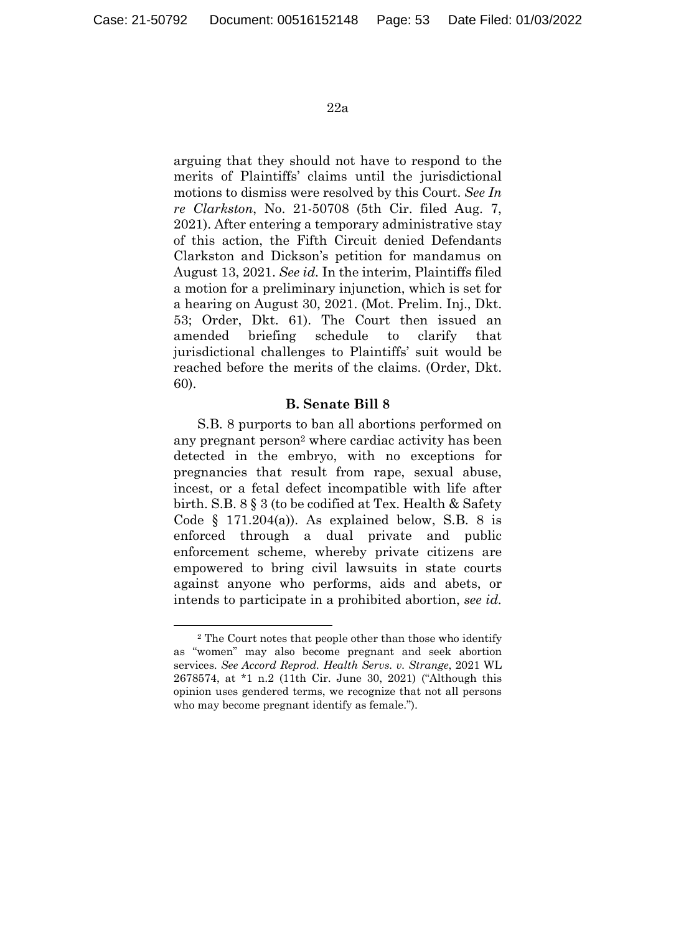arguing that they should not have to respond to the merits of Plaintiffs' claims until the jurisdictional motions to dismiss were resolved by this Court. *See In re Clarkston*, No. 21-50708 (5th Cir. filed Aug. 7, 2021). After entering a temporary administrative stay of this action, the Fifth Circuit denied Defendants Clarkston and Dickson's petition for mandamus on August 13, 2021. *See id.* In the interim, Plaintiffs filed a motion for a preliminary injunction, which is set for a hearing on August 30, 2021. (Mot. Prelim. Inj., Dkt. 53; Order, Dkt. 61). The Court then issued an amended briefing schedule to clarify that jurisdictional challenges to Plaintiffs' suit would be reached before the merits of the claims. (Order, Dkt. 60).

#### **B. Senate Bill 8**

S.B. 8 purports to ban all abortions performed on any pregnant person<sup>2</sup> where cardiac activity has been detected in the embryo, with no exceptions for pregnancies that result from rape, sexual abuse, incest, or a fetal defect incompatible with life after birth. S.B. 8 § 3 (to be codified at Tex. Health & Safety Code  $\S$  171.204(a)). As explained below, S.B. 8 is enforced through a dual private and public enforcement scheme, whereby private citizens are empowered to bring civil lawsuits in state courts against anyone who performs, aids and abets, or intends to participate in a prohibited abortion, *see id.*

 <sup>2</sup> The Court notes that people other than those who identify as "women" may also become pregnant and seek abortion services. *See Accord Reprod. Health Servs. v. Strange*, 2021 WL 2678574, at \*1 n.2 (11th Cir. June 30, 2021) ("Although this opinion uses gendered terms, we recognize that not all persons who may become pregnant identify as female.").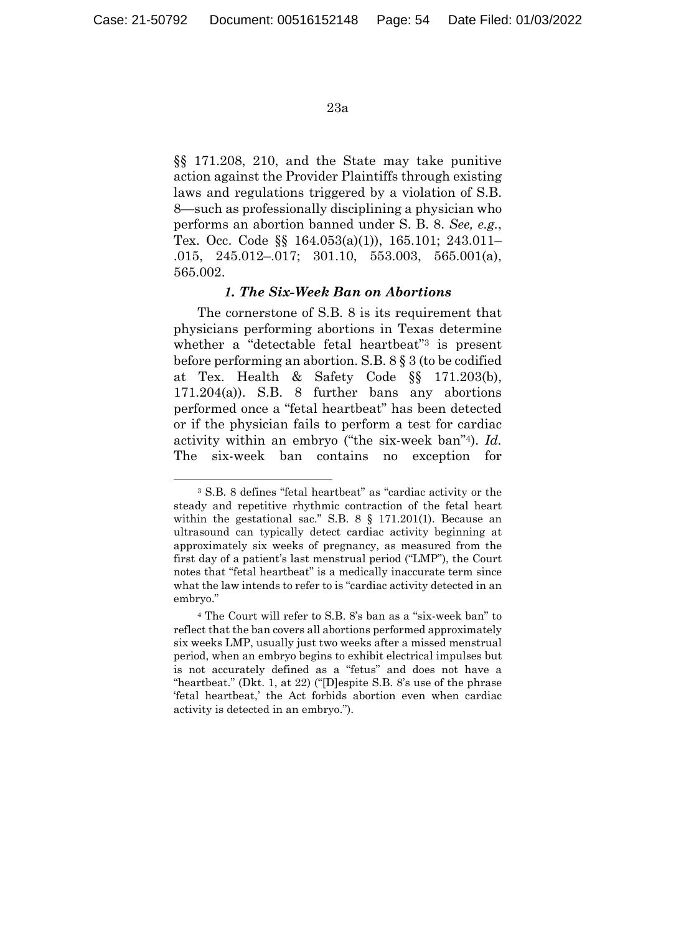§§ 171.208, 210, and the State may take punitive action against the Provider Plaintiffs through existing laws and regulations triggered by a violation of S.B. 8—such as professionally disciplining a physician who performs an abortion banned under S. B. 8. *See, e.g.*, Tex. Occ. Code §§ 164.053(a)(1)), 165.101; 243.011– .015, 245.012–.017; 301.10, 553.003, 565.001(a), 565.002.

### *1. The Six-Week Ban on Abortions*

The cornerstone of S.B. 8 is its requirement that physicians performing abortions in Texas determine whether a "detectable fetal heartbeat"<sup>3</sup> is present before performing an abortion. S.B. 8 § 3 (to be codified at Tex. Health & Safety Code §§ 171.203(b), 171.204(a)). S.B. 8 further bans any abortions performed once a "fetal heartbeat" has been detected or if the physician fails to perform a test for cardiac activity within an embryo ("the six-week ban"4). *Id.* The six-week ban contains no exception for

 <sup>3</sup> S.B. 8 defines "fetal heartbeat" as "cardiac activity or the steady and repetitive rhythmic contraction of the fetal heart within the gestational sac." S.B. 8 § 171.201(1). Because an ultrasound can typically detect cardiac activity beginning at approximately six weeks of pregnancy, as measured from the first day of a patient's last menstrual period ("LMP"), the Court notes that "fetal heartbeat" is a medically inaccurate term since what the law intends to refer to is "cardiac activity detected in an embryo."

<sup>4</sup> The Court will refer to S.B. 8's ban as a "six-week ban" to reflect that the ban covers all abortions performed approximately six weeks LMP, usually just two weeks after a missed menstrual period, when an embryo begins to exhibit electrical impulses but is not accurately defined as a "fetus" and does not have a "heartbeat." (Dkt. 1, at 22) ("[D]espite S.B. 8's use of the phrase 'fetal heartbeat,' the Act forbids abortion even when cardiac activity is detected in an embryo.").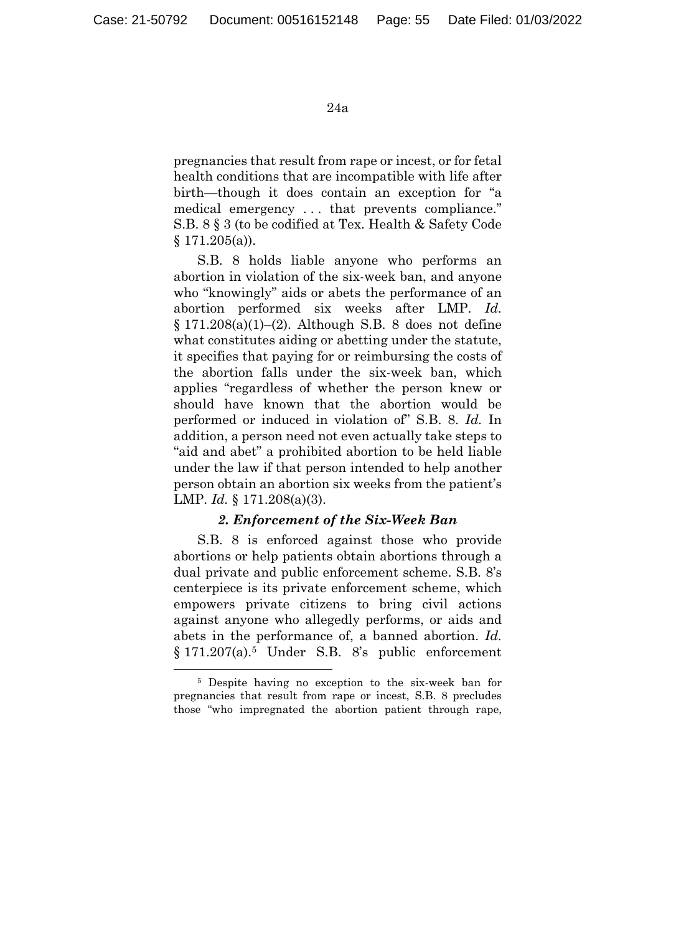pregnancies that result from rape or incest, or for fetal health conditions that are incompatible with life after birth—though it does contain an exception for "a medical emergency . . . that prevents compliance." S.B. 8 § 3 (to be codified at Tex. Health & Safety Code  $§ 171.205(a)$ .

S.B. 8 holds liable anyone who performs an abortion in violation of the six-week ban, and anyone who "knowingly" aids or abets the performance of an abortion performed six weeks after LMP. *Id.*  $§ 171.208(a)(1)–(2)$ . Although S.B. 8 does not define what constitutes aiding or abetting under the statute, it specifies that paying for or reimbursing the costs of the abortion falls under the six-week ban, which applies "regardless of whether the person knew or should have known that the abortion would be performed or induced in violation of" S.B. 8. *Id.* In addition, a person need not even actually take steps to "aid and abet" a prohibited abortion to be held liable under the law if that person intended to help another person obtain an abortion six weeks from the patient's LMP. *Id.* § 171.208(a)(3).

## *2. Enforcement of the Six-Week Ban*

S.B. 8 is enforced against those who provide abortions or help patients obtain abortions through a dual private and public enforcement scheme. S.B. 8's centerpiece is its private enforcement scheme, which empowers private citizens to bring civil actions against anyone who allegedly performs, or aids and abets in the performance of, a banned abortion. *Id.* § 171.207(a).5 Under S.B. 8's public enforcement

 <sup>5</sup> Despite having no exception to the six-week ban for pregnancies that result from rape or incest, S.B. 8 precludes those "who impregnated the abortion patient through rape,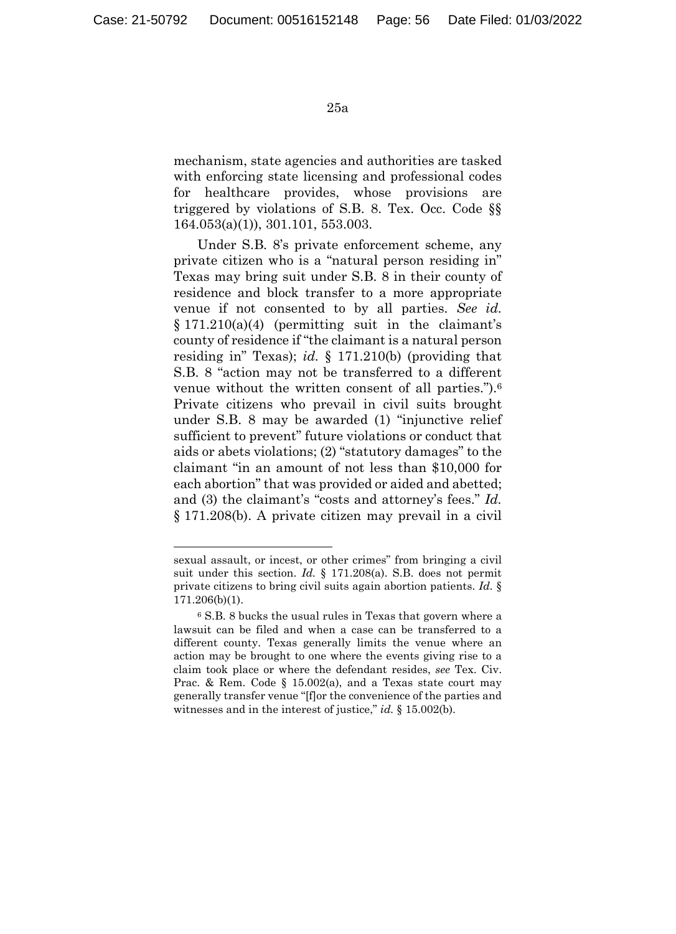mechanism, state agencies and authorities are tasked with enforcing state licensing and professional codes for healthcare provides, whose provisions are triggered by violations of S.B. 8. Tex. Occ. Code §§ 164.053(a)(1)), 301.101, 553.003.

Under S.B. 8's private enforcement scheme, any private citizen who is a "natural person residing in" Texas may bring suit under S.B. 8 in their county of residence and block transfer to a more appropriate venue if not consented to by all parties. *See id.* § 171.210(a)(4) (permitting suit in the claimant's county of residence if "the claimant is a natural person residing in" Texas); *id.* § 171.210(b) (providing that S.B. 8 "action may not be transferred to a different venue without the written consent of all parties.").6 Private citizens who prevail in civil suits brought under S.B. 8 may be awarded (1) "injunctive relief sufficient to prevent" future violations or conduct that aids or abets violations; (2) "statutory damages" to the claimant "in an amount of not less than \$10,000 for each abortion" that was provided or aided and abetted; and (3) the claimant's "costs and attorney's fees." *Id.* § 171.208(b). A private citizen may prevail in a civil

1

sexual assault, or incest, or other crimes" from bringing a civil suit under this section. *Id.* § 171.208(a). S.B. does not permit private citizens to bring civil suits again abortion patients. *Id.* § 171.206(b)(1).

<sup>6</sup> S.B. 8 bucks the usual rules in Texas that govern where a lawsuit can be filed and when a case can be transferred to a different county. Texas generally limits the venue where an action may be brought to one where the events giving rise to a claim took place or where the defendant resides, *see* Tex. Civ. Prac. & Rem. Code § 15.002(a), and a Texas state court may generally transfer venue "[f]or the convenience of the parties and witnesses and in the interest of justice," *id.* § 15.002(b).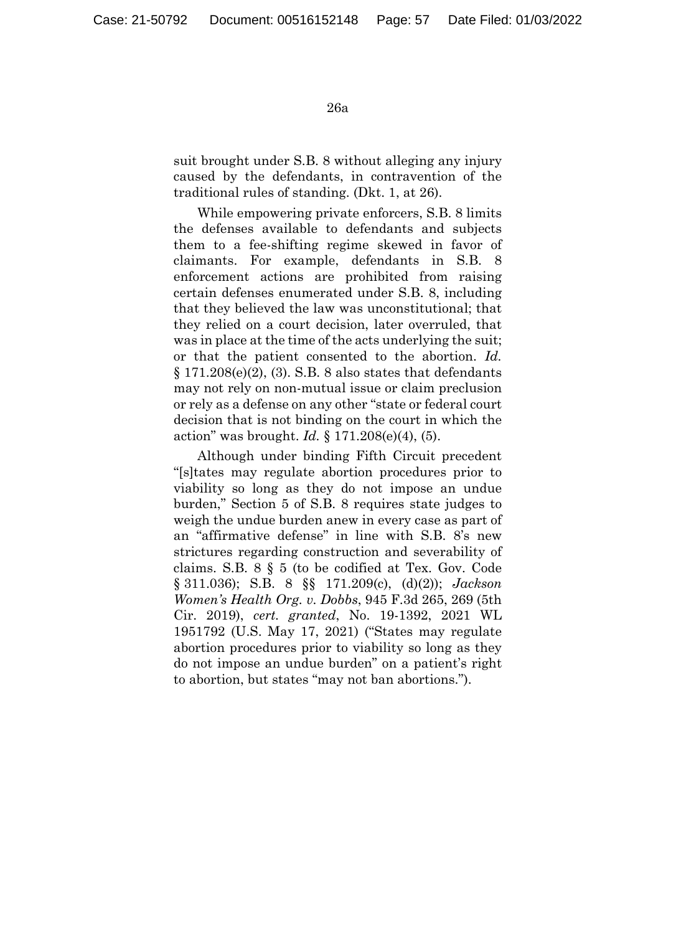suit brought under S.B. 8 without alleging any injury caused by the defendants, in contravention of the traditional rules of standing. (Dkt. 1, at 26).

While empowering private enforcers, S.B. 8 limits the defenses available to defendants and subjects them to a fee-shifting regime skewed in favor of claimants. For example, defendants in S.B. 8 enforcement actions are prohibited from raising certain defenses enumerated under S.B. 8, including that they believed the law was unconstitutional; that they relied on a court decision, later overruled, that was in place at the time of the acts underlying the suit; or that the patient consented to the abortion. *Id.*  $\S 171.208(e)(2)$ , (3). S.B. 8 also states that defendants may not rely on non-mutual issue or claim preclusion or rely as a defense on any other "state or federal court decision that is not binding on the court in which the action" was brought. *Id.* § 171.208(e)(4), (5).

Although under binding Fifth Circuit precedent "[s]tates may regulate abortion procedures prior to viability so long as they do not impose an undue burden," Section 5 of S.B. 8 requires state judges to weigh the undue burden anew in every case as part of an "affirmative defense" in line with S.B. 8's new strictures regarding construction and severability of claims. S.B. 8 § 5 (to be codified at Tex. Gov. Code § 311.036); S.B. 8 §§ 171.209(c), (d)(2)); *Jackson Women's Health Org. v. Dobbs*, 945 F.3d 265, 269 (5th Cir. 2019), *cert. granted*, No. 19-1392, 2021 WL 1951792 (U.S. May 17, 2021) ("States may regulate abortion procedures prior to viability so long as they do not impose an undue burden" on a patient's right to abortion, but states "may not ban abortions.").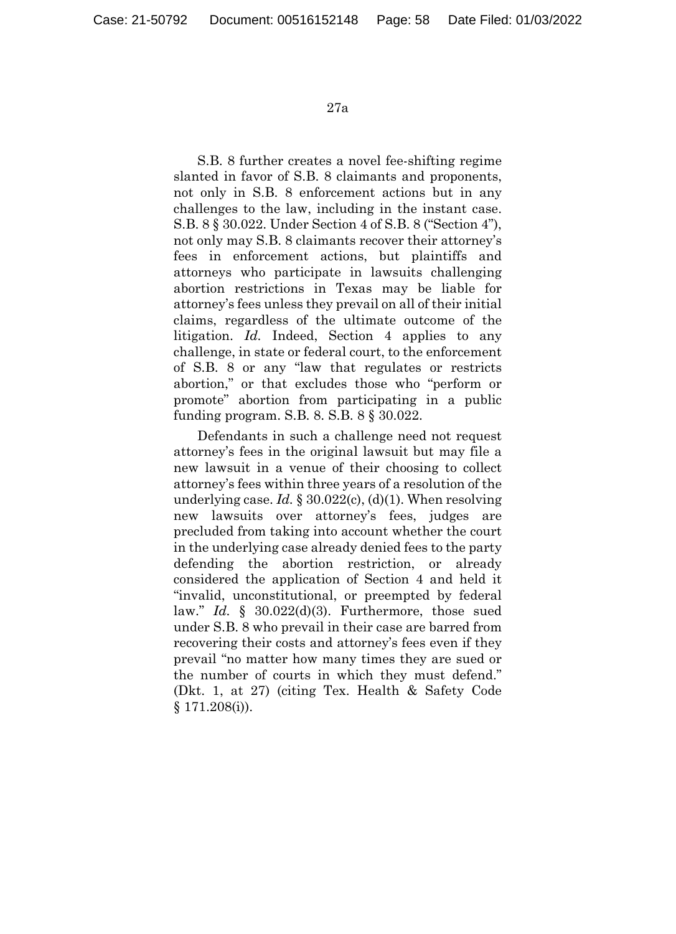S.B. 8 further creates a novel fee-shifting regime slanted in favor of S.B. 8 claimants and proponents, not only in S.B. 8 enforcement actions but in any challenges to the law, including in the instant case. S.B. 8 § 30.022. Under Section 4 of S.B. 8 ("Section 4"), not only may S.B. 8 claimants recover their attorney's fees in enforcement actions, but plaintiffs and attorneys who participate in lawsuits challenging abortion restrictions in Texas may be liable for attorney's fees unless they prevail on all of their initial claims, regardless of the ultimate outcome of the litigation. *Id.* Indeed, Section 4 applies to any challenge, in state or federal court, to the enforcement of S.B. 8 or any "law that regulates or restricts abortion," or that excludes those who "perform or promote" abortion from participating in a public funding program. S.B. 8. S.B. 8 § 30.022.

Defendants in such a challenge need not request attorney's fees in the original lawsuit but may file a new lawsuit in a venue of their choosing to collect attorney's fees within three years of a resolution of the underlying case. *Id.* § 30.022(c), (d)(1). When resolving new lawsuits over attorney's fees, judges are precluded from taking into account whether the court in the underlying case already denied fees to the party defending the abortion restriction, or already considered the application of Section 4 and held it "invalid, unconstitutional, or preempted by federal law." *Id.* § 30.022(d)(3). Furthermore, those sued under S.B. 8 who prevail in their case are barred from recovering their costs and attorney's fees even if they prevail "no matter how many times they are sued or the number of courts in which they must defend." (Dkt. 1, at 27) (citing Tex. Health & Safety Code § 171.208(i)).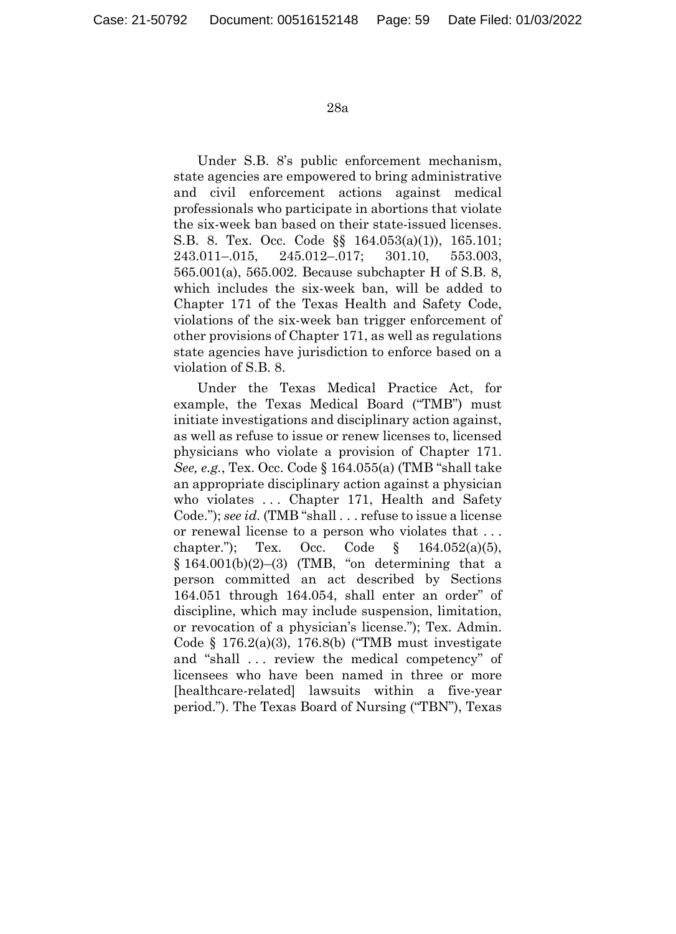Under S.B. 8's public enforcement mechanism, state agencies are empowered to bring administrative and civil enforcement actions against medical professionals who participate in abortions that violate the six-week ban based on their state-issued licenses. S.B. 8. Tex. Occ. Code §§ 164.053(a)(1)), 165.101; 243.011–.015, 245.012–.017; 301.10, 553.003, 565.001(a), 565.002. Because subchapter H of S.B. 8, which includes the six-week ban, will be added to Chapter 171 of the Texas Health and Safety Code, violations of the six-week ban trigger enforcement of other provisions of Chapter 171, as well as regulations state agencies have jurisdiction to enforce based on a violation of S.B. 8.

Under the Texas Medical Practice Act, for example, the Texas Medical Board ("TMB") must initiate investigations and disciplinary action against, as well as refuse to issue or renew licenses to, licensed physicians who violate a provision of Chapter 171. *See, e.g.*, Tex. Occ. Code § 164.055(a) (TMB "shall take an appropriate disciplinary action against a physician who violates ... Chapter 171, Health and Safety Code."); *see id.* (TMB "shall . . . refuse to issue a license or renewal license to a person who violates that . . . chapter."); Tex. Occ. Code  $\S$  164.052(a)(5),  $§ 164.001(b)(2)–(3)$  (TMB, "on determining that a person committed an act described by Sections 164.051 through 164.054, shall enter an order" of discipline, which may include suspension, limitation, or revocation of a physician's license."); Tex. Admin. Code § 176.2(a)(3), 176.8(b) ("TMB must investigate and "shall . . . review the medical competency" of licensees who have been named in three or more [healthcare-related] lawsuits within a five-year period."). The Texas Board of Nursing ("TBN"), Texas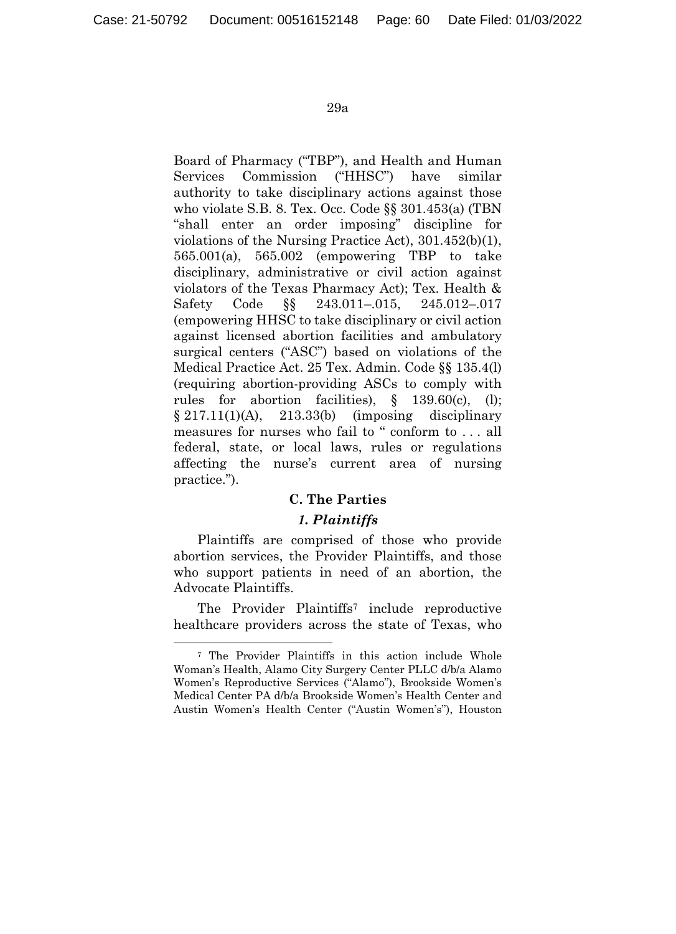Board of Pharmacy ("TBP"), and Health and Human Services Commission ("HHSC") have similar authority to take disciplinary actions against those who violate S.B. 8. Tex. Occ. Code §§ 301.453(a) (TBN "shall enter an order imposing" discipline for violations of the Nursing Practice Act), 301.452(b)(1), 565.001(a), 565.002 (empowering TBP to take disciplinary, administrative or civil action against violators of the Texas Pharmacy Act); Tex. Health & Safety Code §§ 243.011–.015, 245.012–.017 (empowering HHSC to take disciplinary or civil action against licensed abortion facilities and ambulatory surgical centers ("ASC") based on violations of the Medical Practice Act. 25 Tex. Admin. Code §§ 135.4(l) (requiring abortion-providing ASCs to comply with rules for abortion facilities), § 139.60(c), (l);  $§ 217.11(1) (A), 213.33(b)$  (imposing disciplinary measures for nurses who fail to " conform to . . . all federal, state, or local laws, rules or regulations affecting the nurse's current area of nursing practice.").

# **C. The Parties**

## *1. Plaintiffs*

Plaintiffs are comprised of those who provide abortion services, the Provider Plaintiffs, and those who support patients in need of an abortion, the Advocate Plaintiffs.

The Provider Plaintiffs<sup>7</sup> include reproductive healthcare providers across the state of Texas, who

 <sup>7</sup> The Provider Plaintiffs in this action include Whole Woman's Health, Alamo City Surgery Center PLLC d/b/a Alamo Women's Reproductive Services ("Alamo"), Brookside Women's Medical Center PA d/b/a Brookside Women's Health Center and Austin Women's Health Center ("Austin Women's"), Houston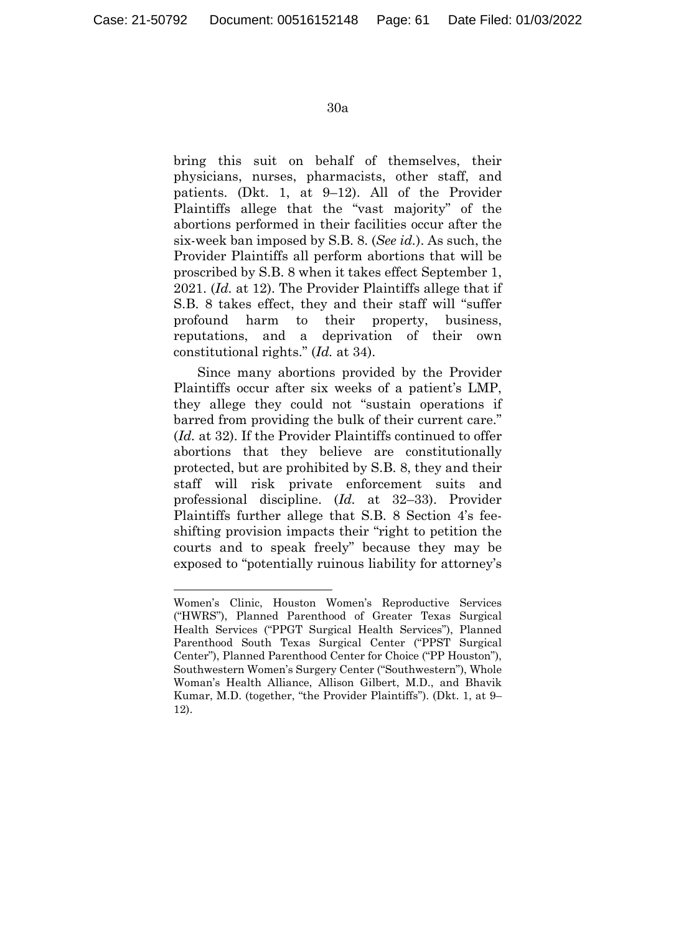1

#### 30a

bring this suit on behalf of themselves, their physicians, nurses, pharmacists, other staff, and patients. (Dkt. 1, at 9–12). All of the Provider Plaintiffs allege that the "vast majority" of the abortions performed in their facilities occur after the six-week ban imposed by S.B. 8. (*See id.*). As such, the Provider Plaintiffs all perform abortions that will be proscribed by S.B. 8 when it takes effect September 1, 2021. (*Id.* at 12). The Provider Plaintiffs allege that if S.B. 8 takes effect, they and their staff will "suffer profound harm to their property, business, reputations, and a deprivation of their own constitutional rights." (*Id.* at 34).

Since many abortions provided by the Provider Plaintiffs occur after six weeks of a patient's LMP, they allege they could not "sustain operations if barred from providing the bulk of their current care." (*Id.* at 32). If the Provider Plaintiffs continued to offer abortions that they believe are constitutionally protected, but are prohibited by S.B. 8, they and their staff will risk private enforcement suits and professional discipline. (*Id.* at 32–33). Provider Plaintiffs further allege that S.B. 8 Section 4's feeshifting provision impacts their "right to petition the courts and to speak freely" because they may be exposed to "potentially ruinous liability for attorney's

Women's Clinic, Houston Women's Reproductive Services ("HWRS"), Planned Parenthood of Greater Texas Surgical Health Services ("PPGT Surgical Health Services"), Planned Parenthood South Texas Surgical Center ("PPST Surgical Center"), Planned Parenthood Center for Choice ("PP Houston"), Southwestern Women's Surgery Center ("Southwestern"), Whole Woman's Health Alliance, Allison Gilbert, M.D., and Bhavik Kumar, M.D. (together, "the Provider Plaintiffs"). (Dkt. 1, at 9– 12).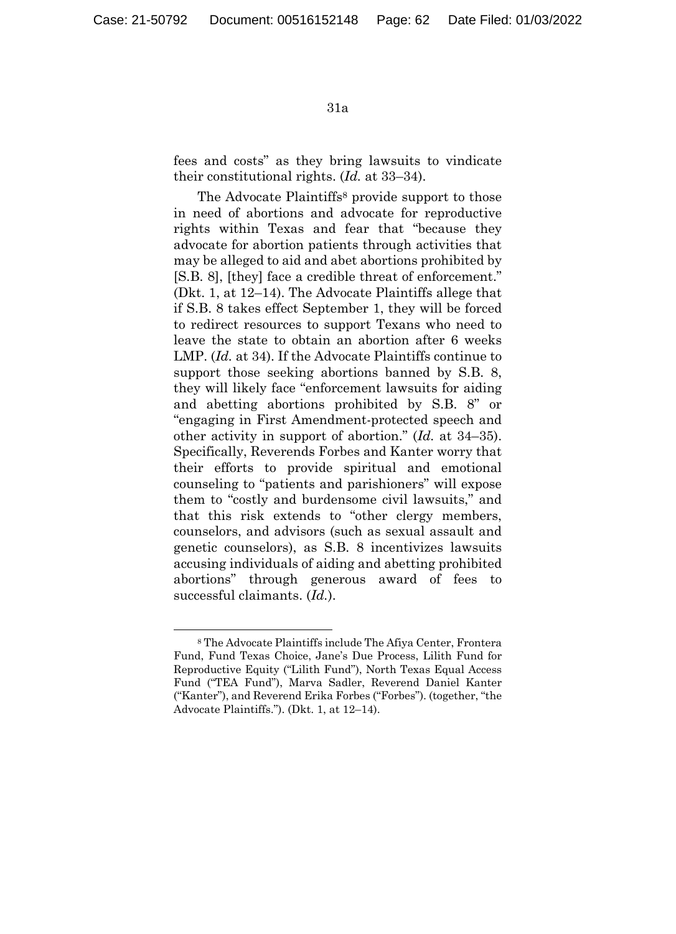fees and costs" as they bring lawsuits to vindicate their constitutional rights. (*Id.* at 33–34).

The Advocate Plaintiffs<sup>8</sup> provide support to those in need of abortions and advocate for reproductive rights within Texas and fear that "because they advocate for abortion patients through activities that may be alleged to aid and abet abortions prohibited by [S.B. 8], [they] face a credible threat of enforcement." (Dkt. 1, at 12–14). The Advocate Plaintiffs allege that if S.B. 8 takes effect September 1, they will be forced to redirect resources to support Texans who need to leave the state to obtain an abortion after 6 weeks LMP. (*Id.* at 34). If the Advocate Plaintiffs continue to support those seeking abortions banned by S.B. 8, they will likely face "enforcement lawsuits for aiding and abetting abortions prohibited by S.B. 8" or "engaging in First Amendment-protected speech and other activity in support of abortion." (*Id.* at 34–35). Specifically, Reverends Forbes and Kanter worry that their efforts to provide spiritual and emotional counseling to "patients and parishioners" will expose them to "costly and burdensome civil lawsuits," and that this risk extends to "other clergy members, counselors, and advisors (such as sexual assault and genetic counselors), as S.B. 8 incentivizes lawsuits accusing individuals of aiding and abetting prohibited abortions" through generous award of fees to successful claimants. (*Id.*).

 <sup>8</sup> The Advocate Plaintiffs include The Afiya Center, Frontera Fund, Fund Texas Choice, Jane's Due Process, Lilith Fund for Reproductive Equity ("Lilith Fund"), North Texas Equal Access Fund ("TEA Fund"), Marva Sadler, Reverend Daniel Kanter ("Kanter"), and Reverend Erika Forbes ("Forbes"). (together, "the Advocate Plaintiffs."). (Dkt. 1, at 12–14).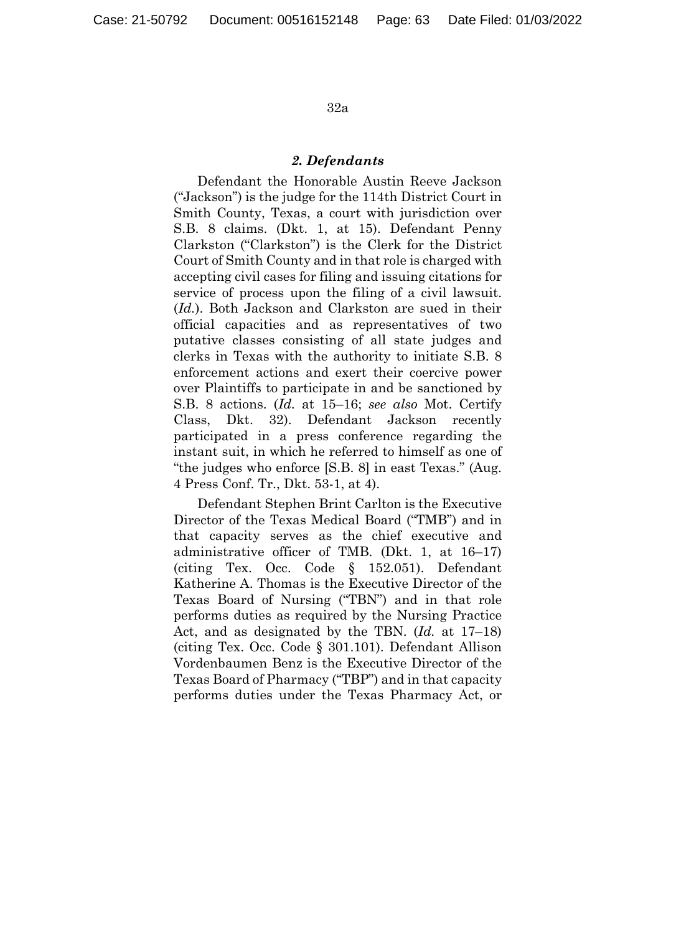#### *2. Defendants*

Defendant the Honorable Austin Reeve Jackson ("Jackson") is the judge for the 114th District Court in Smith County, Texas, a court with jurisdiction over S.B. 8 claims. (Dkt. 1, at 15). Defendant Penny Clarkston ("Clarkston") is the Clerk for the District Court of Smith County and in that role is charged with accepting civil cases for filing and issuing citations for service of process upon the filing of a civil lawsuit. (*Id.*). Both Jackson and Clarkston are sued in their official capacities and as representatives of two putative classes consisting of all state judges and clerks in Texas with the authority to initiate S.B. 8 enforcement actions and exert their coercive power over Plaintiffs to participate in and be sanctioned by S.B. 8 actions. (*Id.* at 15–16; *see also* Mot. Certify Class, Dkt. 32). Defendant Jackson recently participated in a press conference regarding the instant suit, in which he referred to himself as one of "the judges who enforce [S.B. 8] in east Texas." (Aug. 4 Press Conf. Tr., Dkt. 53-1, at 4).

Defendant Stephen Brint Carlton is the Executive Director of the Texas Medical Board ("TMB") and in that capacity serves as the chief executive and administrative officer of TMB. (Dkt. 1, at 16–17) (citing Tex. Occ. Code § 152.051). Defendant Katherine A. Thomas is the Executive Director of the Texas Board of Nursing ("TBN") and in that role performs duties as required by the Nursing Practice Act, and as designated by the TBN. (*Id.* at 17–18) (citing Tex. Occ. Code § 301.101). Defendant Allison Vordenbaumen Benz is the Executive Director of the Texas Board of Pharmacy ("TBP") and in that capacity performs duties under the Texas Pharmacy Act, or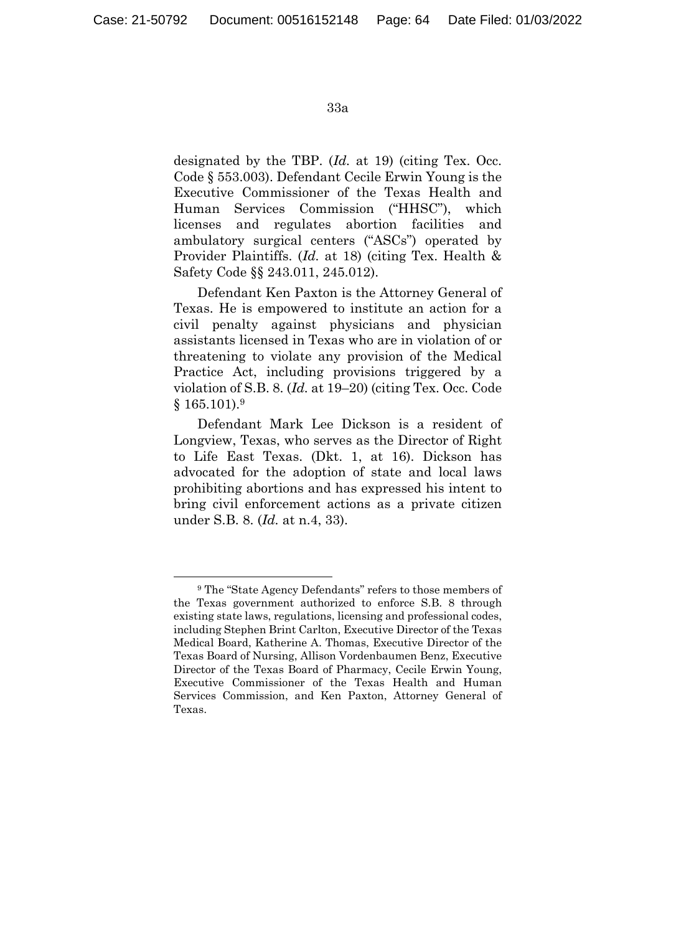designated by the TBP. (*Id.* at 19) (citing Tex. Occ. Code § 553.003). Defendant Cecile Erwin Young is the Executive Commissioner of the Texas Health and Human Services Commission ("HHSC"), which licenses and regulates abortion facilities and ambulatory surgical centers ("ASCs") operated by Provider Plaintiffs. (*Id.* at 18) (citing Tex. Health & Safety Code §§ 243.011, 245.012).

Defendant Ken Paxton is the Attorney General of Texas. He is empowered to institute an action for a civil penalty against physicians and physician assistants licensed in Texas who are in violation of or threatening to violate any provision of the Medical Practice Act, including provisions triggered by a violation of S.B. 8. (*Id.* at 19–20) (citing Tex. Occ. Code § 165.101).9

Defendant Mark Lee Dickson is a resident of Longview, Texas, who serves as the Director of Right to Life East Texas. (Dkt. 1, at 16). Dickson has advocated for the adoption of state and local laws prohibiting abortions and has expressed his intent to bring civil enforcement actions as a private citizen under S.B. 8. (*Id.* at n.4, 33).

 <sup>9</sup> The "State Agency Defendants" refers to those members of the Texas government authorized to enforce S.B. 8 through existing state laws, regulations, licensing and professional codes, including Stephen Brint Carlton, Executive Director of the Texas Medical Board, Katherine A. Thomas, Executive Director of the Texas Board of Nursing, Allison Vordenbaumen Benz, Executive Director of the Texas Board of Pharmacy, Cecile Erwin Young, Executive Commissioner of the Texas Health and Human Services Commission, and Ken Paxton, Attorney General of Texas.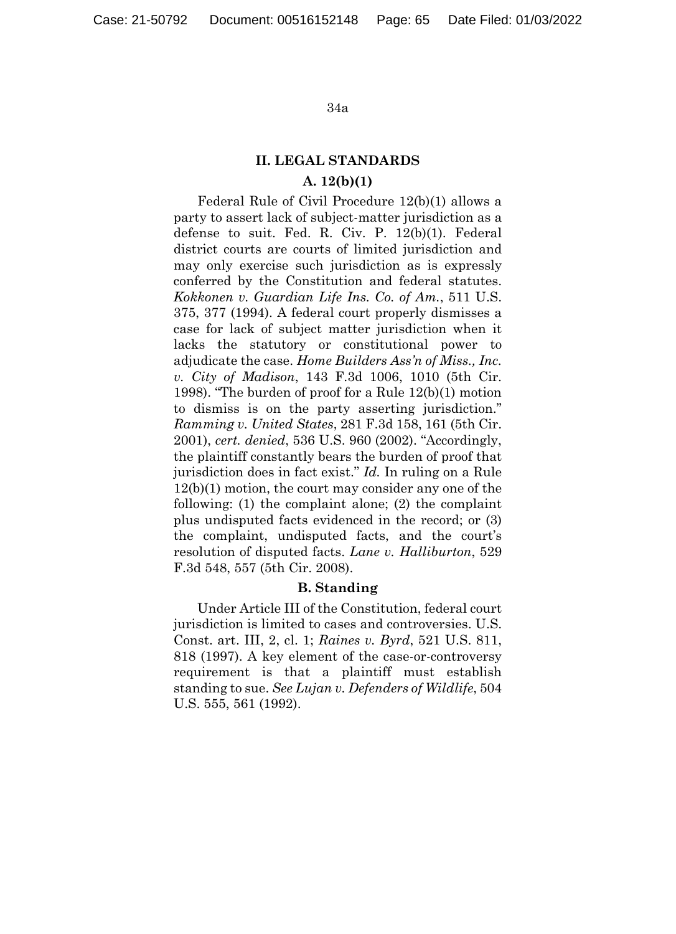## **II. LEGAL STANDARDS A. 12(b)(1)**

Federal Rule of Civil Procedure 12(b)(1) allows a party to assert lack of subject-matter jurisdiction as a defense to suit. Fed. R. Civ. P. 12(b)(1). Federal district courts are courts of limited jurisdiction and may only exercise such jurisdiction as is expressly conferred by the Constitution and federal statutes. *Kokkonen v. Guardian Life Ins. Co. of Am.*, 511 U.S. 375, 377 (1994). A federal court properly dismisses a case for lack of subject matter jurisdiction when it lacks the statutory or constitutional power to adjudicate the case. *Home Builders Ass'n of Miss., Inc. v. City of Madison*, 143 F.3d 1006, 1010 (5th Cir. 1998). "The burden of proof for a Rule 12(b)(1) motion to dismiss is on the party asserting jurisdiction." *Ramming v. United States*, 281 F.3d 158, 161 (5th Cir. 2001), *cert. denied*, 536 U.S. 960 (2002). "Accordingly, the plaintiff constantly bears the burden of proof that jurisdiction does in fact exist." *Id.* In ruling on a Rule 12(b)(1) motion, the court may consider any one of the following: (1) the complaint alone; (2) the complaint plus undisputed facts evidenced in the record; or (3) the complaint, undisputed facts, and the court's resolution of disputed facts. *Lane v. Halliburton*, 529 F.3d 548, 557 (5th Cir. 2008).

## **B. Standing**

Under Article III of the Constitution, federal court jurisdiction is limited to cases and controversies. U.S. Const. art. III, 2, cl. 1; *Raines v. Byrd*, 521 U.S. 811, 818 (1997). A key element of the case-or-controversy requirement is that a plaintiff must establish standing to sue. *See Lujan v. Defenders of Wildlife*, 504 U.S. 555, 561 (1992).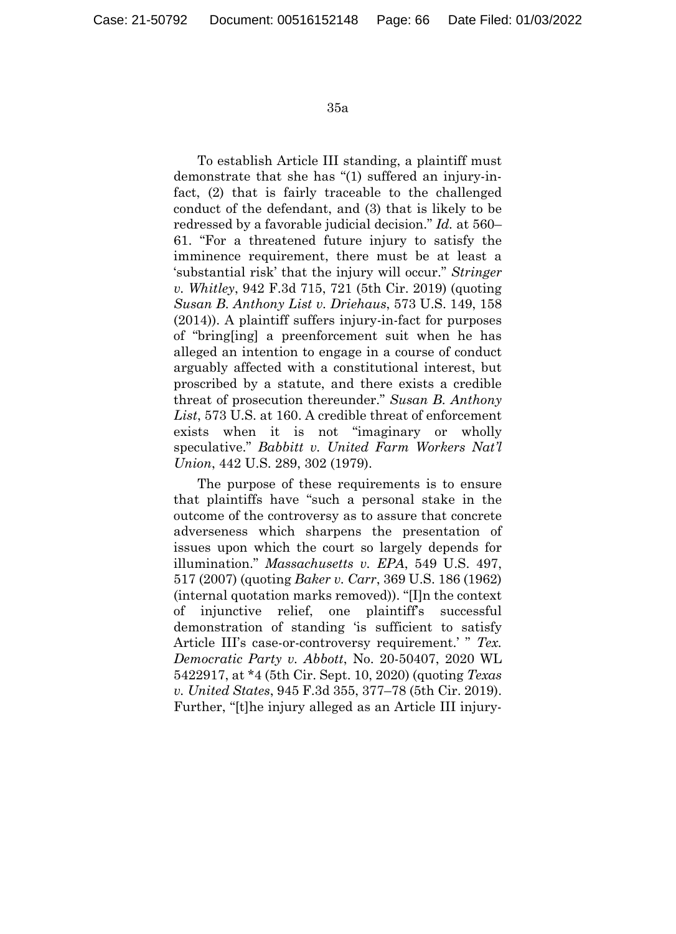To establish Article III standing, a plaintiff must demonstrate that she has "(1) suffered an injury-infact, (2) that is fairly traceable to the challenged conduct of the defendant, and (3) that is likely to be redressed by a favorable judicial decision." *Id.* at 560– 61. "For a threatened future injury to satisfy the imminence requirement, there must be at least a 'substantial risk' that the injury will occur." *Stringer v. Whitley*, 942 F.3d 715, 721 (5th Cir. 2019) (quoting *Susan B. Anthony List v. Driehaus*, 573 U.S. 149, 158 (2014)). A plaintiff suffers injury-in-fact for purposes of "bring[ing] a preenforcement suit when he has alleged an intention to engage in a course of conduct arguably affected with a constitutional interest, but proscribed by a statute, and there exists a credible threat of prosecution thereunder." *Susan B. Anthony List*, 573 U.S. at 160. A credible threat of enforcement exists when it is not "imaginary or wholly speculative." *Babbitt v. United Farm Workers Nat'l Union*, 442 U.S. 289, 302 (1979).

The purpose of these requirements is to ensure that plaintiffs have "such a personal stake in the outcome of the controversy as to assure that concrete adverseness which sharpens the presentation of issues upon which the court so largely depends for illumination." *Massachusetts v. EPA*, 549 U.S. 497, 517 (2007) (quoting *Baker v. Carr*, 369 U.S. 186 (1962) (internal quotation marks removed)). "[I]n the context of injunctive relief, one plaintiff's successful demonstration of standing 'is sufficient to satisfy Article III's case-or-controversy requirement.' " *Tex. Democratic Party v. Abbott*, No. 20-50407, 2020 WL 5422917, at \*4 (5th Cir. Sept. 10, 2020) (quoting *Texas v. United States*, 945 F.3d 355, 377–78 (5th Cir. 2019). Further, "[t]he injury alleged as an Article III injury-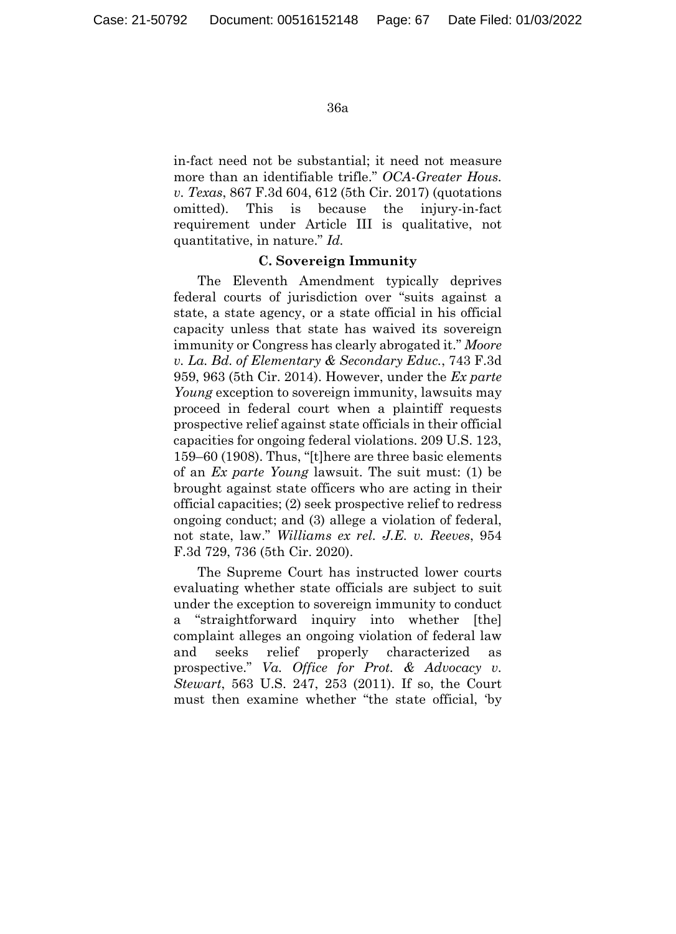in-fact need not be substantial; it need not measure more than an identifiable trifle." *OCA-Greater Hous. v. Texas*, 867 F.3d 604, 612 (5th Cir. 2017) (quotations omitted). This is because the injury-in-fact requirement under Article III is qualitative, not quantitative, in nature." *Id.*

## **C. Sovereign Immunity**

The Eleventh Amendment typically deprives federal courts of jurisdiction over "suits against a state, a state agency, or a state official in his official capacity unless that state has waived its sovereign immunity or Congress has clearly abrogated it." *Moore v. La. Bd. of Elementary & Secondary Educ.*, 743 F.3d 959, 963 (5th Cir. 2014). However, under the *Ex parte Young* exception to sovereign immunity, lawsuits may proceed in federal court when a plaintiff requests prospective relief against state officials in their official capacities for ongoing federal violations. 209 U.S. 123, 159–60 (1908). Thus, "[t]here are three basic elements of an *Ex parte Young* lawsuit. The suit must: (1) be brought against state officers who are acting in their official capacities; (2) seek prospective relief to redress ongoing conduct; and (3) allege a violation of federal, not state, law." *Williams ex rel. J.E. v. Reeves*, 954 F.3d 729, 736 (5th Cir. 2020).

The Supreme Court has instructed lower courts evaluating whether state officials are subject to suit under the exception to sovereign immunity to conduct a "straightforward inquiry into whether [the] complaint alleges an ongoing violation of federal law and seeks relief properly characterized as prospective." *Va. Office for Prot. & Advocacy v. Stewart*, 563 U.S. 247, 253 (2011). If so, the Court must then examine whether "the state official, 'by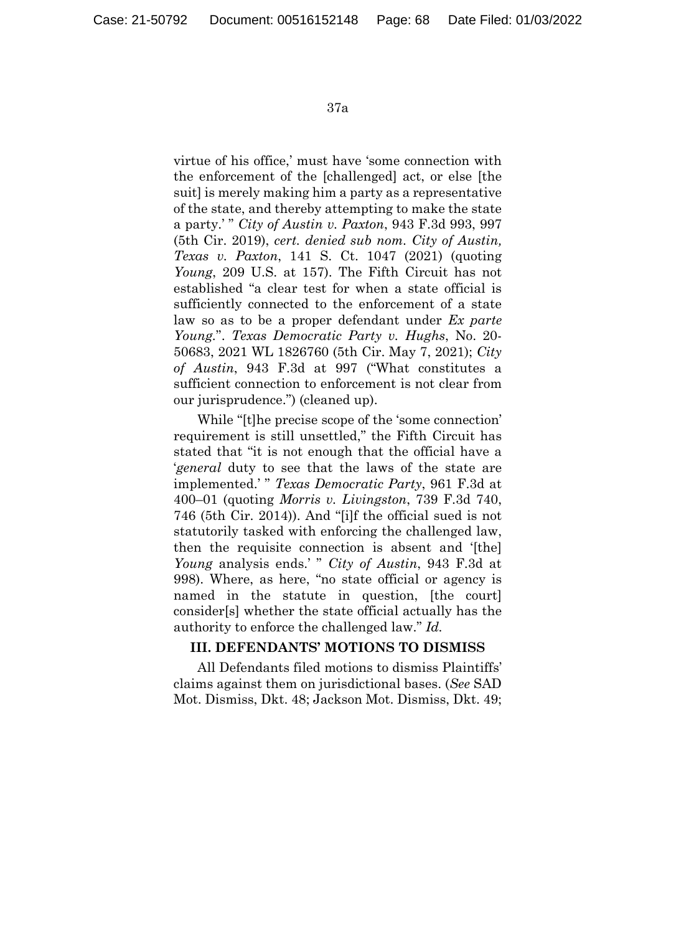virtue of his office,' must have 'some connection with the enforcement of the [challenged] act, or else [the suit] is merely making him a party as a representative of the state, and thereby attempting to make the state a party.' " *City of Austin v. Paxton*, 943 F.3d 993, 997 (5th Cir. 2019), *cert. denied sub nom. City of Austin, Texas v. Paxton*, 141 S. Ct. 1047 (2021) (quoting *Young*, 209 U.S. at 157). The Fifth Circuit has not established "a clear test for when a state official is sufficiently connected to the enforcement of a state law so as to be a proper defendant under *Ex parte Young.*". *Texas Democratic Party v. Hughs*, No. 20- 50683, 2021 WL 1826760 (5th Cir. May 7, 2021); *City of Austin*, 943 F.3d at 997 ("What constitutes a sufficient connection to enforcement is not clear from our jurisprudence.") (cleaned up).

While "[t]he precise scope of the 'some connection' requirement is still unsettled," the Fifth Circuit has stated that "it is not enough that the official have a '*general* duty to see that the laws of the state are implemented.' " *Texas Democratic Party*, 961 F.3d at 400–01 (quoting *Morris v. Livingston*, 739 F.3d 740, 746 (5th Cir. 2014)). And "[i]f the official sued is not statutorily tasked with enforcing the challenged law, then the requisite connection is absent and '[the] *Young* analysis ends.' " *City of Austin*, 943 F.3d at 998). Where, as here, "no state official or agency is named in the statute in question, [the court] consider[s] whether the state official actually has the authority to enforce the challenged law." *Id.*

## **III. DEFENDANTS' MOTIONS TO DISMISS**

All Defendants filed motions to dismiss Plaintiffs' claims against them on jurisdictional bases. (*See* SAD Mot. Dismiss, Dkt. 48; Jackson Mot. Dismiss, Dkt. 49;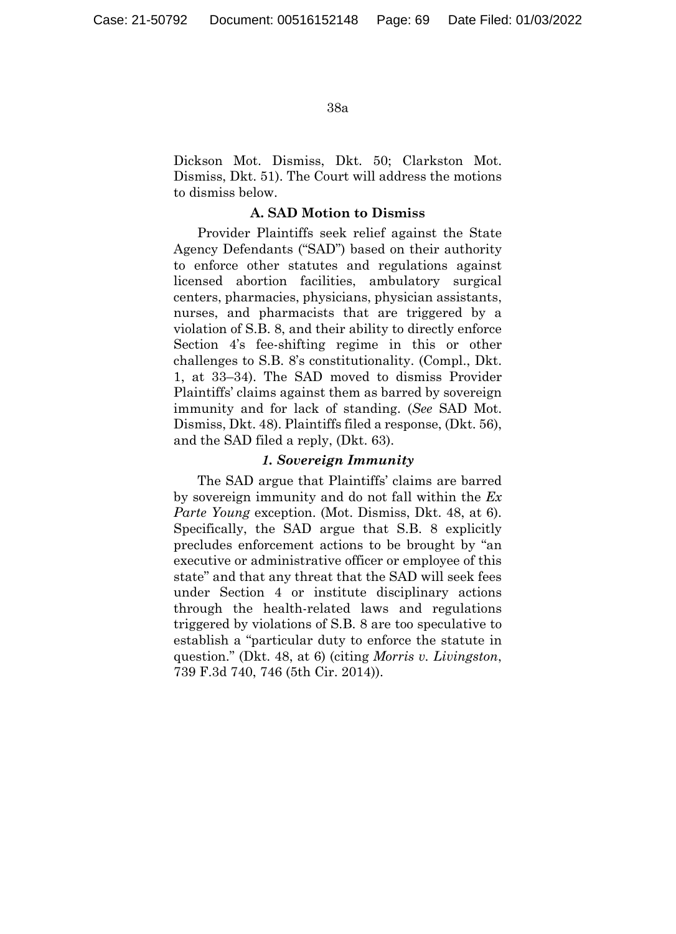Dickson Mot. Dismiss, Dkt. 50; Clarkston Mot. Dismiss, Dkt. 51). The Court will address the motions to dismiss below.

#### **A. SAD Motion to Dismiss**

Provider Plaintiffs seek relief against the State Agency Defendants ("SAD") based on their authority to enforce other statutes and regulations against licensed abortion facilities, ambulatory surgical centers, pharmacies, physicians, physician assistants, nurses, and pharmacists that are triggered by a violation of S.B. 8, and their ability to directly enforce Section 4's fee-shifting regime in this or other challenges to S.B. 8's constitutionality. (Compl., Dkt. 1, at 33–34). The SAD moved to dismiss Provider Plaintiffs' claims against them as barred by sovereign immunity and for lack of standing. (*See* SAD Mot. Dismiss, Dkt. 48). Plaintiffs filed a response, (Dkt. 56), and the SAD filed a reply, (Dkt. 63).

## *1. Sovereign Immunity*

The SAD argue that Plaintiffs' claims are barred by sovereign immunity and do not fall within the *Ex Parte Young* exception. (Mot. Dismiss, Dkt. 48, at 6). Specifically, the SAD argue that S.B. 8 explicitly precludes enforcement actions to be brought by "an executive or administrative officer or employee of this state" and that any threat that the SAD will seek fees under Section 4 or institute disciplinary actions through the health-related laws and regulations triggered by violations of S.B. 8 are too speculative to establish a "particular duty to enforce the statute in question." (Dkt. 48, at 6) (citing *Morris v. Livingston*, 739 F.3d 740, 746 (5th Cir. 2014)).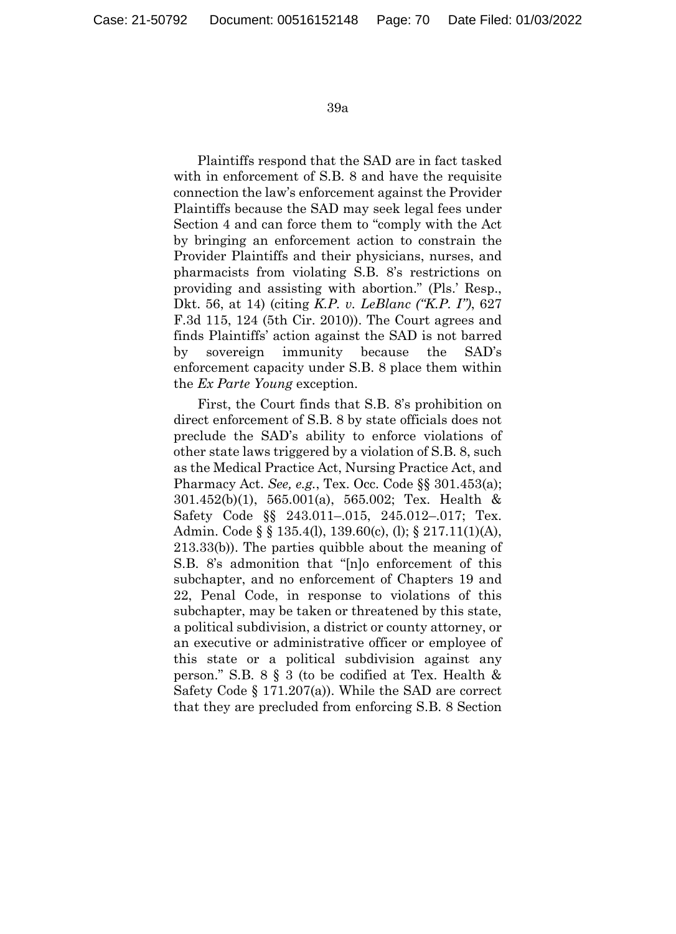Plaintiffs respond that the SAD are in fact tasked with in enforcement of S.B. 8 and have the requisite connection the law's enforcement against the Provider Plaintiffs because the SAD may seek legal fees under Section 4 and can force them to "comply with the Act by bringing an enforcement action to constrain the Provider Plaintiffs and their physicians, nurses, and pharmacists from violating S.B. 8's restrictions on providing and assisting with abortion." (Pls.' Resp., Dkt. 56, at 14) (citing *K.P. v. LeBlanc ("K.P. I")*, 627 F.3d 115, 124 (5th Cir. 2010)). The Court agrees and finds Plaintiffs' action against the SAD is not barred by sovereign immunity because the SAD's enforcement capacity under S.B. 8 place them within the *Ex Parte Young* exception.

First, the Court finds that S.B. 8's prohibition on direct enforcement of S.B. 8 by state officials does not preclude the SAD's ability to enforce violations of other state laws triggered by a violation of S.B. 8, such as the Medical Practice Act, Nursing Practice Act, and Pharmacy Act. *See, e.g.*, Tex. Occ. Code §§ 301.453(a); 301.452(b)(1), 565.001(a), 565.002; Tex. Health & Safety Code §§ 243.011–.015, 245.012–.017; Tex. Admin. Code § § 135.4(l), 139.60(c), (l); § 217.11(1)(A), 213.33(b)). The parties quibble about the meaning of S.B. 8's admonition that "[n]o enforcement of this subchapter, and no enforcement of Chapters 19 and 22, Penal Code, in response to violations of this subchapter, may be taken or threatened by this state, a political subdivision, a district or county attorney, or an executive or administrative officer or employee of this state or a political subdivision against any person." S.B. 8 § 3 (to be codified at Tex. Health & Safety Code § 171.207(a)). While the SAD are correct that they are precluded from enforcing S.B. 8 Section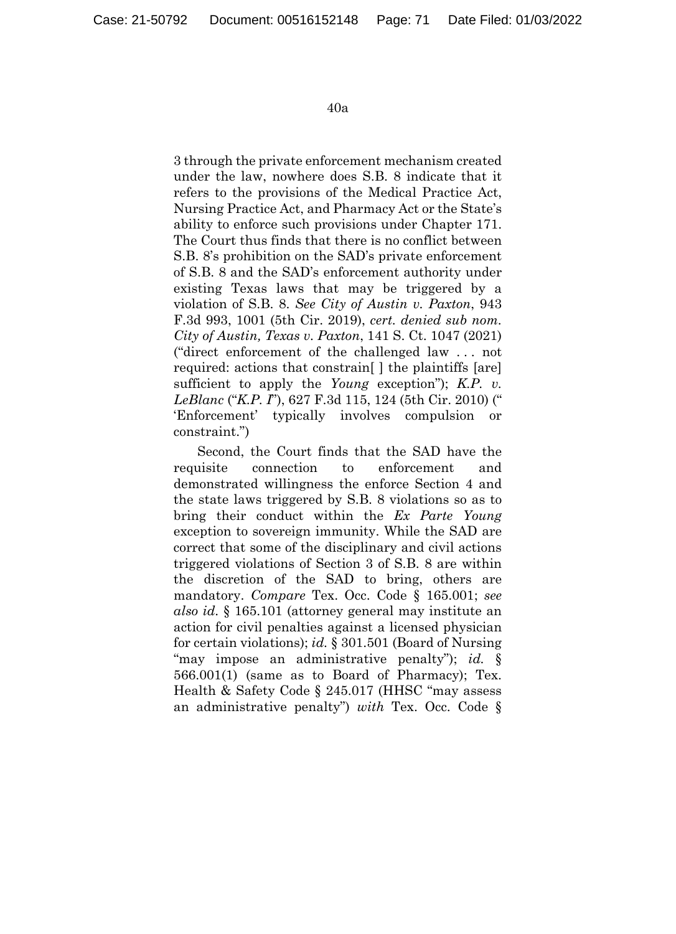3 through the private enforcement mechanism created under the law, nowhere does S.B. 8 indicate that it refers to the provisions of the Medical Practice Act, Nursing Practice Act, and Pharmacy Act or the State's ability to enforce such provisions under Chapter 171. The Court thus finds that there is no conflict between S.B. 8's prohibition on the SAD's private enforcement of S.B. 8 and the SAD's enforcement authority under existing Texas laws that may be triggered by a violation of S.B. 8. *See City of Austin v. Paxton*, 943 F.3d 993, 1001 (5th Cir. 2019), *cert. denied sub nom. City of Austin, Texas v. Paxton*, 141 S. Ct. 1047 (2021) ("direct enforcement of the challenged law . . . not required: actions that constrain[ ] the plaintiffs [are] sufficient to apply the *Young* exception"); *K.P. v. LeBlanc* ("*K.P. I*"), 627 F.3d 115, 124 (5th Cir. 2010) (" 'Enforcement' typically involves compulsion or constraint.")

Second, the Court finds that the SAD have the requisite connection to enforcement and demonstrated willingness the enforce Section 4 and the state laws triggered by S.B. 8 violations so as to bring their conduct within the *Ex Parte Young* exception to sovereign immunity. While the SAD are correct that some of the disciplinary and civil actions triggered violations of Section 3 of S.B. 8 are within the discretion of the SAD to bring, others are mandatory. *Compare* Tex. Occ. Code § 165.001; *see also id.* § 165.101 (attorney general may institute an action for civil penalties against a licensed physician for certain violations); *id.* § 301.501 (Board of Nursing "may impose an administrative penalty"); *id.* § 566.001(1) (same as to Board of Pharmacy); Tex. Health & Safety Code § 245.017 (HHSC "may assess an administrative penalty") *with* Tex. Occ. Code §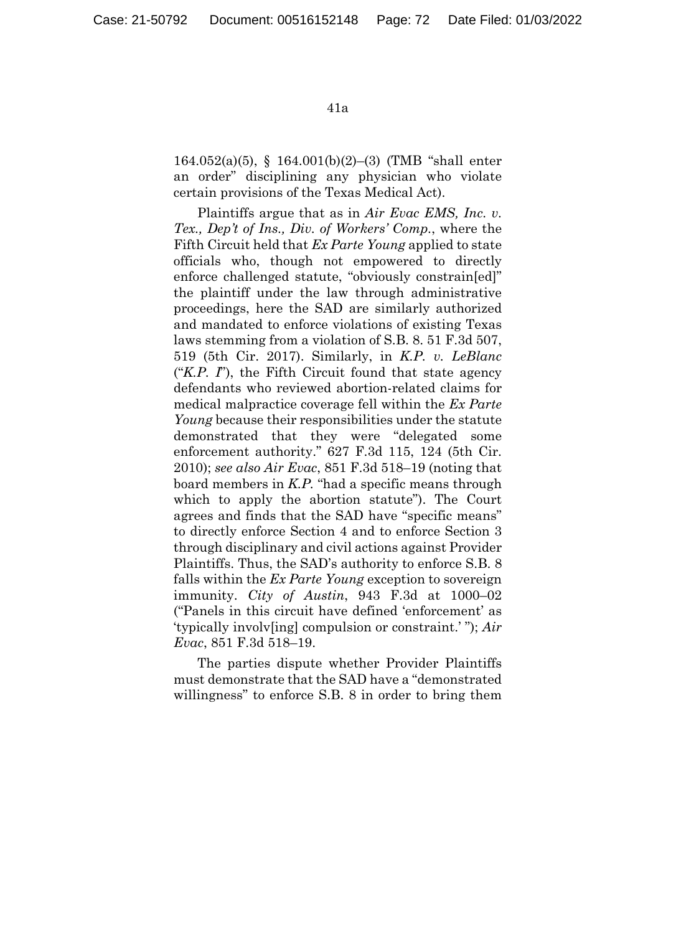164.052(a)(5), § 164.001(b)(2)–(3) (TMB "shall enter an order" disciplining any physician who violate certain provisions of the Texas Medical Act).

Plaintiffs argue that as in *Air Evac EMS, Inc. v. Tex., Dep't of Ins., Div. of Workers' Comp.*, where the Fifth Circuit held that *Ex Parte Young* applied to state officials who, though not empowered to directly enforce challenged statute, "obviously constrain[ed]" the plaintiff under the law through administrative proceedings, here the SAD are similarly authorized and mandated to enforce violations of existing Texas laws stemming from a violation of S.B. 8. 51 F.3d 507, 519 (5th Cir. 2017). Similarly, in *K.P. v. LeBlanc* ("*K.P. I*"), the Fifth Circuit found that state agency defendants who reviewed abortion-related claims for medical malpractice coverage fell within the *Ex Parte Young* because their responsibilities under the statute demonstrated that they were "delegated some enforcement authority." 627 F.3d 115, 124 (5th Cir. 2010); *see also Air Evac*, 851 F.3d 518–19 (noting that board members in *K.P.* "had a specific means through which to apply the abortion statute"). The Court agrees and finds that the SAD have "specific means" to directly enforce Section 4 and to enforce Section 3 through disciplinary and civil actions against Provider Plaintiffs. Thus, the SAD's authority to enforce S.B. 8 falls within the *Ex Parte Young* exception to sovereign immunity. *City of Austin*, 943 F.3d at 1000–02 ("Panels in this circuit have defined 'enforcement' as 'typically involv[ing] compulsion or constraint.' "); *Air Evac*, 851 F.3d 518–19.

The parties dispute whether Provider Plaintiffs must demonstrate that the SAD have a "demonstrated willingness" to enforce S.B. 8 in order to bring them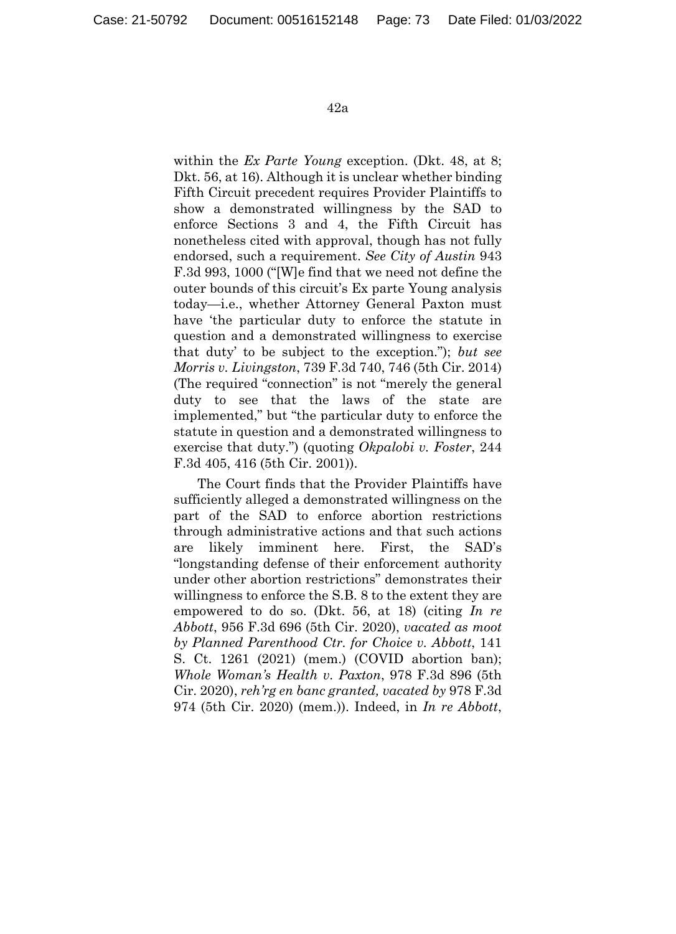within the *Ex Parte Young* exception. (Dkt. 48, at 8; Dkt. 56, at 16). Although it is unclear whether binding Fifth Circuit precedent requires Provider Plaintiffs to show a demonstrated willingness by the SAD to enforce Sections 3 and 4, the Fifth Circuit has nonetheless cited with approval, though has not fully endorsed, such a requirement. *See City of Austin* 943 F.3d 993, 1000 ("[W]e find that we need not define the outer bounds of this circuit's Ex parte Young analysis today—i.e., whether Attorney General Paxton must have 'the particular duty to enforce the statute in question and a demonstrated willingness to exercise that duty' to be subject to the exception."); *but see Morris v. Livingston*, 739 F.3d 740, 746 (5th Cir. 2014) (The required "connection" is not "merely the general duty to see that the laws of the state are implemented," but "the particular duty to enforce the statute in question and a demonstrated willingness to exercise that duty.") (quoting *Okpalobi v. Foster*, 244 F.3d 405, 416 (5th Cir. 2001)).

The Court finds that the Provider Plaintiffs have sufficiently alleged a demonstrated willingness on the part of the SAD to enforce abortion restrictions through administrative actions and that such actions are likely imminent here. First, the SAD's "longstanding defense of their enforcement authority under other abortion restrictions" demonstrates their willingness to enforce the S.B. 8 to the extent they are empowered to do so. (Dkt. 56, at 18) (citing *In re Abbott*, 956 F.3d 696 (5th Cir. 2020), *vacated as moot by Planned Parenthood Ctr. for Choice v. Abbott*, 141 S. Ct. 1261 (2021) (mem.) (COVID abortion ban); *Whole Woman's Health v. Paxton*, 978 F.3d 896 (5th Cir. 2020), *reh'rg en banc granted, vacated by* 978 F.3d 974 (5th Cir. 2020) (mem.)). Indeed, in *In re Abbott*,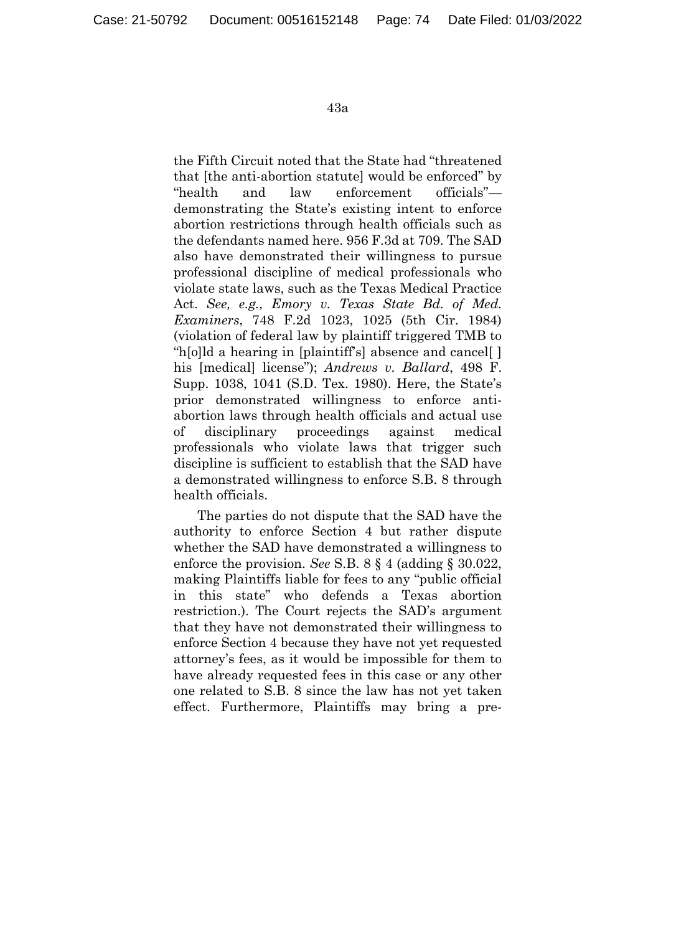the Fifth Circuit noted that the State had "threatened that [the anti-abortion statute] would be enforced" by "health and law enforcement officials" demonstrating the State's existing intent to enforce abortion restrictions through health officials such as the defendants named here. 956 F.3d at 709. The SAD also have demonstrated their willingness to pursue professional discipline of medical professionals who violate state laws, such as the Texas Medical Practice Act. *See, e.g., Emory v. Texas State Bd. of Med. Examiners*, 748 F.2d 1023, 1025 (5th Cir. 1984) (violation of federal law by plaintiff triggered TMB to "h[o]ld a hearing in [plaintiff's] absence and cancel[ ] his [medical] license"); *Andrews v. Ballard*, 498 F. Supp. 1038, 1041 (S.D. Tex. 1980). Here, the State's prior demonstrated willingness to enforce antiabortion laws through health officials and actual use of disciplinary proceedings against medical professionals who violate laws that trigger such discipline is sufficient to establish that the SAD have a demonstrated willingness to enforce S.B. 8 through health officials.

The parties do not dispute that the SAD have the authority to enforce Section 4 but rather dispute whether the SAD have demonstrated a willingness to enforce the provision. *See* S.B. 8 § 4 (adding § 30.022, making Plaintiffs liable for fees to any "public official in this state" who defends a Texas abortion restriction.). The Court rejects the SAD's argument that they have not demonstrated their willingness to enforce Section 4 because they have not yet requested attorney's fees, as it would be impossible for them to have already requested fees in this case or any other one related to S.B. 8 since the law has not yet taken effect. Furthermore, Plaintiffs may bring a pre-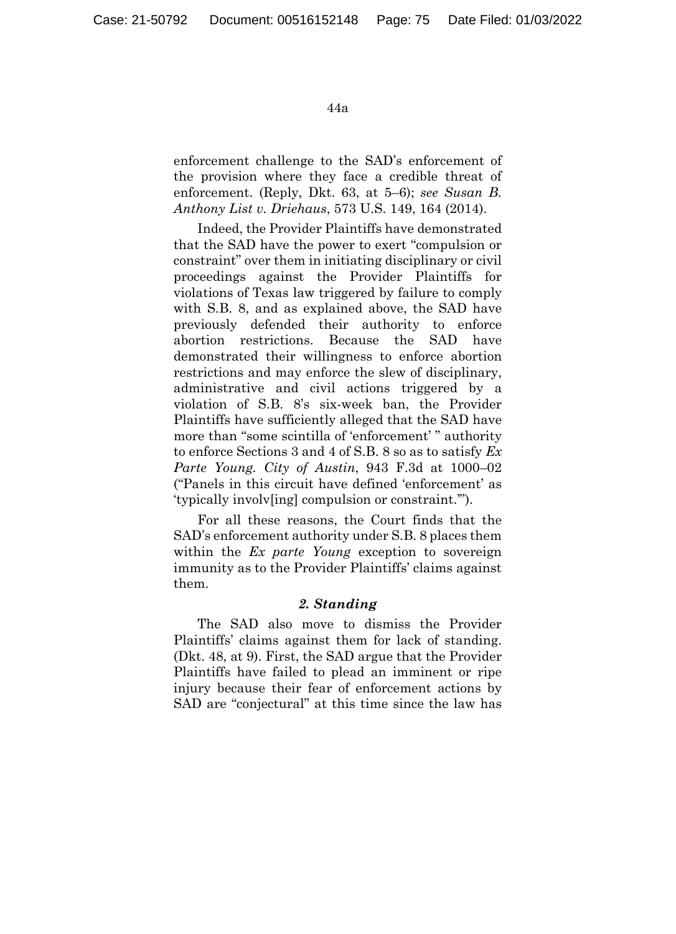enforcement challenge to the SAD's enforcement of the provision where they face a credible threat of enforcement. (Reply, Dkt. 63, at 5–6); *see Susan B. Anthony List v. Driehaus*, 573 U.S. 149, 164 (2014).

Indeed, the Provider Plaintiffs have demonstrated that the SAD have the power to exert "compulsion or constraint" over them in initiating disciplinary or civil proceedings against the Provider Plaintiffs for violations of Texas law triggered by failure to comply with S.B. 8, and as explained above, the SAD have previously defended their authority to enforce abortion restrictions. Because the SAD have demonstrated their willingness to enforce abortion restrictions and may enforce the slew of disciplinary, administrative and civil actions triggered by a violation of S.B. 8's six-week ban, the Provider Plaintiffs have sufficiently alleged that the SAD have more than "some scintilla of 'enforcement' " authority to enforce Sections 3 and 4 of S.B. 8 so as to satisfy *Ex Parte Young. City of Austin*, 943 F.3d at 1000–02 ("Panels in this circuit have defined 'enforcement' as 'typically involv[ing] compulsion or constraint.'").

For all these reasons, the Court finds that the SAD's enforcement authority under S.B. 8 places them within the *Ex parte Young* exception to sovereign immunity as to the Provider Plaintiffs' claims against them.

# *2. Standing*

The SAD also move to dismiss the Provider Plaintiffs' claims against them for lack of standing. (Dkt. 48, at 9). First, the SAD argue that the Provider Plaintiffs have failed to plead an imminent or ripe injury because their fear of enforcement actions by SAD are "conjectural" at this time since the law has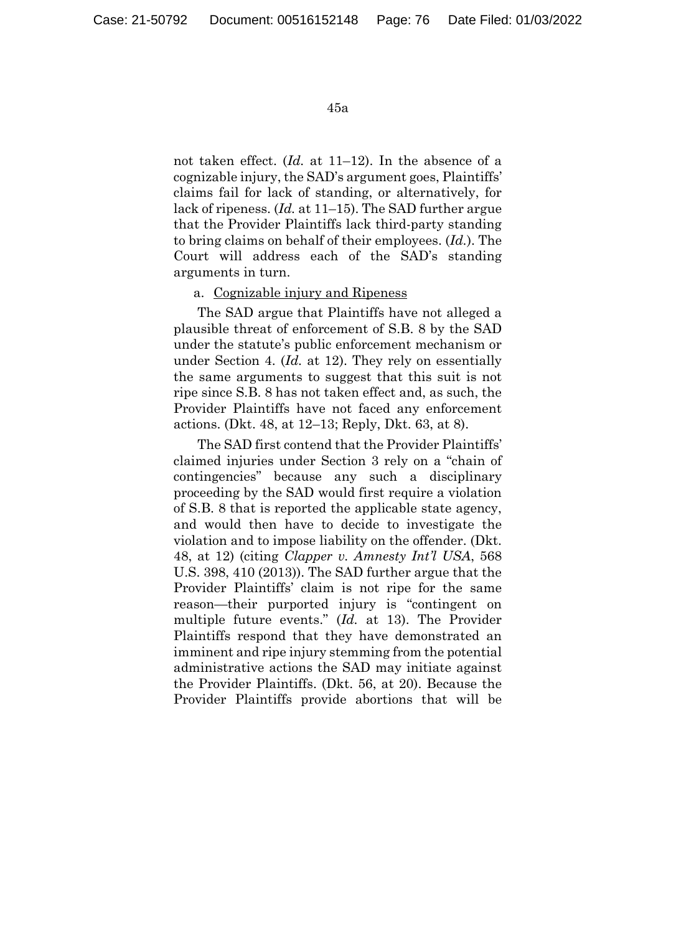not taken effect. (*Id.* at 11–12). In the absence of a cognizable injury, the SAD's argument goes, Plaintiffs' claims fail for lack of standing, or alternatively, for lack of ripeness. (*Id.* at 11–15). The SAD further argue that the Provider Plaintiffs lack third-party standing to bring claims on behalf of their employees. (*Id.*). The Court will address each of the SAD's standing arguments in turn.

## a. Cognizable injury and Ripeness

The SAD argue that Plaintiffs have not alleged a plausible threat of enforcement of S.B. 8 by the SAD under the statute's public enforcement mechanism or under Section 4. (*Id.* at 12). They rely on essentially the same arguments to suggest that this suit is not ripe since S.B. 8 has not taken effect and, as such, the Provider Plaintiffs have not faced any enforcement actions. (Dkt. 48, at 12–13; Reply, Dkt. 63, at 8).

The SAD first contend that the Provider Plaintiffs' claimed injuries under Section 3 rely on a "chain of contingencies" because any such a disciplinary proceeding by the SAD would first require a violation of S.B. 8 that is reported the applicable state agency, and would then have to decide to investigate the violation and to impose liability on the offender. (Dkt. 48, at 12) (citing *Clapper v. Amnesty Int'l USA*, 568 U.S. 398, 410 (2013)). The SAD further argue that the Provider Plaintiffs' claim is not ripe for the same reason—their purported injury is "contingent on multiple future events." (*Id.* at 13). The Provider Plaintiffs respond that they have demonstrated an imminent and ripe injury stemming from the potential administrative actions the SAD may initiate against the Provider Plaintiffs. (Dkt. 56, at 20). Because the Provider Plaintiffs provide abortions that will be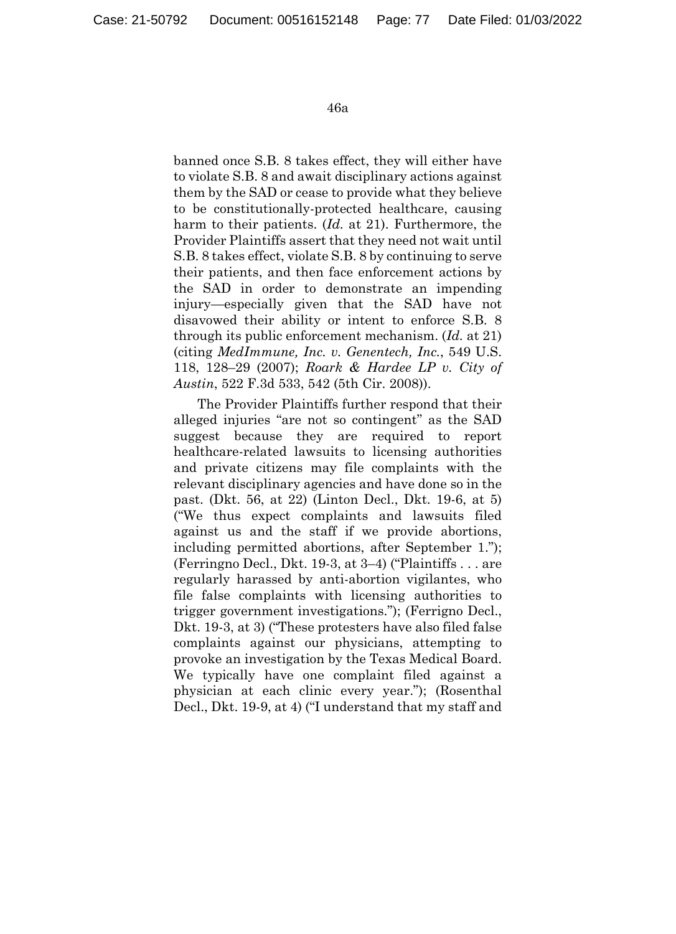banned once S.B. 8 takes effect, they will either have to violate S.B. 8 and await disciplinary actions against them by the SAD or cease to provide what they believe to be constitutionally-protected healthcare, causing harm to their patients. (*Id.* at 21). Furthermore, the Provider Plaintiffs assert that they need not wait until S.B. 8 takes effect, violate S.B. 8 by continuing to serve their patients, and then face enforcement actions by the SAD in order to demonstrate an impending injury—especially given that the SAD have not disavowed their ability or intent to enforce S.B. 8 through its public enforcement mechanism. (*Id.* at 21) (citing *MedImmune, Inc. v. Genentech, Inc.*, 549 U.S. 118, 128–29 (2007); *Roark & Hardee LP v. City of Austin*, 522 F.3d 533, 542 (5th Cir. 2008)).

The Provider Plaintiffs further respond that their alleged injuries "are not so contingent" as the SAD suggest because they are required to report healthcare-related lawsuits to licensing authorities and private citizens may file complaints with the relevant disciplinary agencies and have done so in the past. (Dkt. 56, at 22) (Linton Decl., Dkt. 19-6, at 5) ("We thus expect complaints and lawsuits filed against us and the staff if we provide abortions, including permitted abortions, after September 1."); (Ferringno Decl., Dkt. 19-3, at 3–4) ("Plaintiffs . . . are regularly harassed by anti-abortion vigilantes, who file false complaints with licensing authorities to trigger government investigations."); (Ferrigno Decl., Dkt. 19-3, at 3) ("These protesters have also filed false complaints against our physicians, attempting to provoke an investigation by the Texas Medical Board. We typically have one complaint filed against a physician at each clinic every year."); (Rosenthal Decl., Dkt. 19-9, at 4) ("I understand that my staff and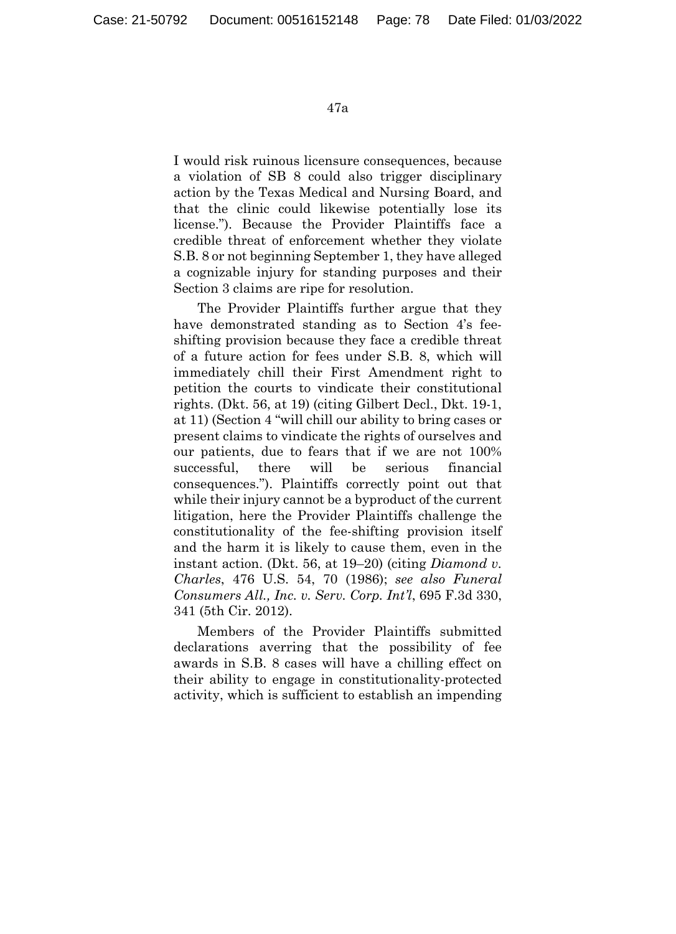I would risk ruinous licensure consequences, because a violation of SB 8 could also trigger disciplinary action by the Texas Medical and Nursing Board, and that the clinic could likewise potentially lose its license."). Because the Provider Plaintiffs face a credible threat of enforcement whether they violate S.B. 8 or not beginning September 1, they have alleged a cognizable injury for standing purposes and their Section 3 claims are ripe for resolution.

The Provider Plaintiffs further argue that they have demonstrated standing as to Section 4's feeshifting provision because they face a credible threat of a future action for fees under S.B. 8, which will immediately chill their First Amendment right to petition the courts to vindicate their constitutional rights. (Dkt. 56, at 19) (citing Gilbert Decl., Dkt. 19-1, at 11) (Section 4 "will chill our ability to bring cases or present claims to vindicate the rights of ourselves and our patients, due to fears that if we are not 100% successful, there will be serious financial consequences."). Plaintiffs correctly point out that while their injury cannot be a byproduct of the current litigation, here the Provider Plaintiffs challenge the constitutionality of the fee-shifting provision itself and the harm it is likely to cause them, even in the instant action. (Dkt. 56, at 19–20) (citing *Diamond v. Charles*, 476 U.S. 54, 70 (1986); *see also Funeral Consumers All., Inc. v. Serv. Corp. Int'l*, 695 F.3d 330, 341 (5th Cir. 2012).

Members of the Provider Plaintiffs submitted declarations averring that the possibility of fee awards in S.B. 8 cases will have a chilling effect on their ability to engage in constitutionality-protected activity, which is sufficient to establish an impending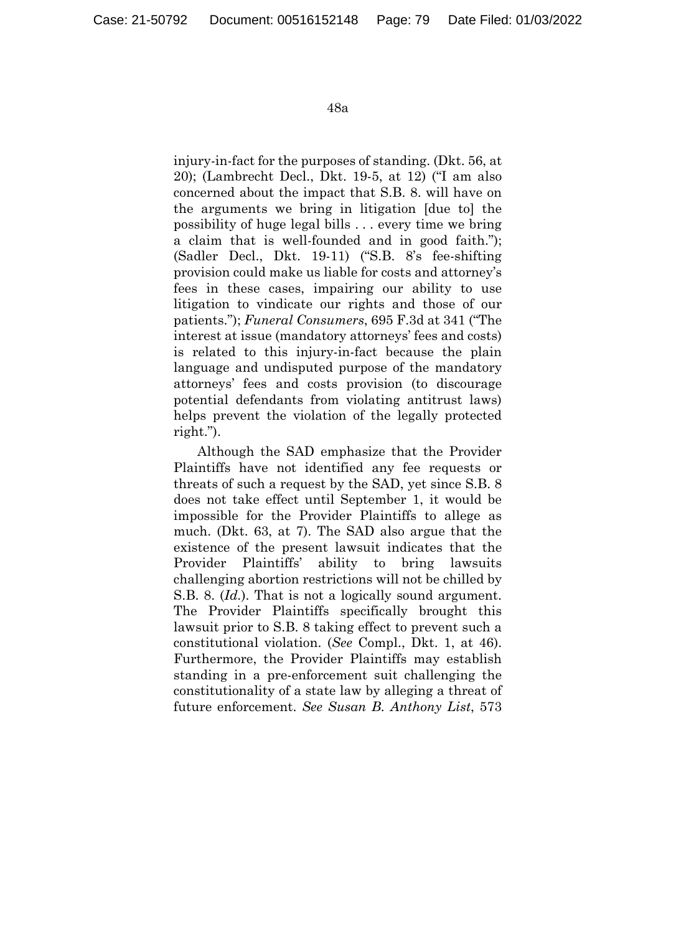injury-in-fact for the purposes of standing. (Dkt. 56, at 20); (Lambrecht Decl., Dkt. 19-5, at 12) ("I am also concerned about the impact that S.B. 8. will have on the arguments we bring in litigation [due to] the possibility of huge legal bills . . . every time we bring a claim that is well-founded and in good faith."); (Sadler Decl., Dkt. 19-11) ("S.B. 8's fee-shifting provision could make us liable for costs and attorney's fees in these cases, impairing our ability to use litigation to vindicate our rights and those of our patients."); *Funeral Consumers*, 695 F.3d at 341 ("The interest at issue (mandatory attorneys' fees and costs) is related to this injury-in-fact because the plain language and undisputed purpose of the mandatory attorneys' fees and costs provision (to discourage potential defendants from violating antitrust laws) helps prevent the violation of the legally protected right.").

Although the SAD emphasize that the Provider Plaintiffs have not identified any fee requests or threats of such a request by the SAD, yet since S.B. 8 does not take effect until September 1, it would be impossible for the Provider Plaintiffs to allege as much. (Dkt. 63, at 7). The SAD also argue that the existence of the present lawsuit indicates that the Provider Plaintiffs' ability to bring lawsuits challenging abortion restrictions will not be chilled by S.B. 8. (*Id.*). That is not a logically sound argument. The Provider Plaintiffs specifically brought this lawsuit prior to S.B. 8 taking effect to prevent such a constitutional violation. (*See* Compl., Dkt. 1, at 46). Furthermore, the Provider Plaintiffs may establish standing in a pre-enforcement suit challenging the constitutionality of a state law by alleging a threat of future enforcement. *See Susan B. Anthony List*, 573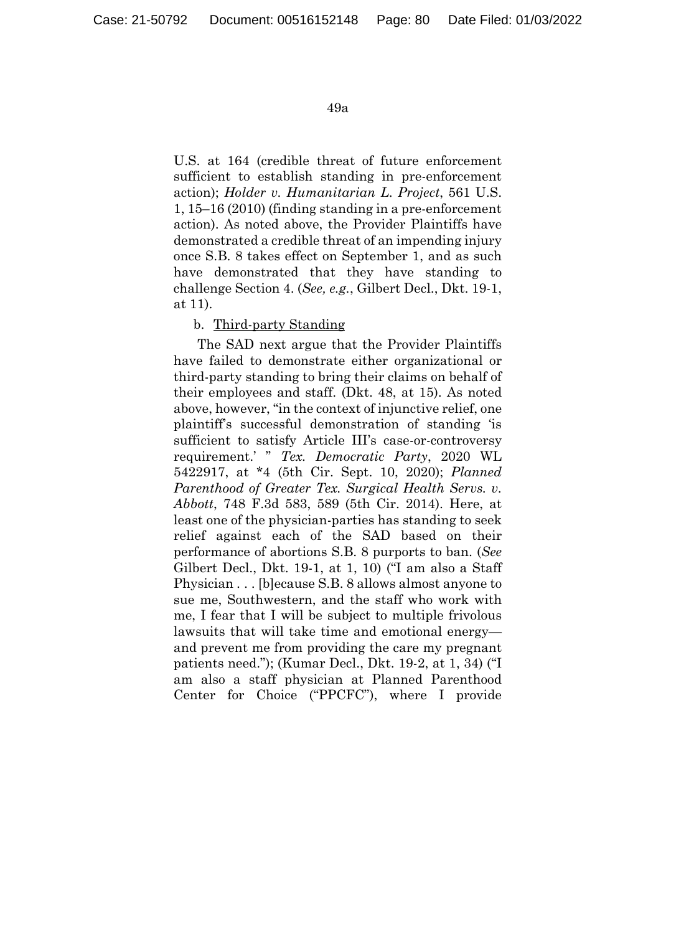U.S. at 164 (credible threat of future enforcement sufficient to establish standing in pre-enforcement action); *Holder v. Humanitarian L. Project*, 561 U.S. 1, 15–16 (2010) (finding standing in a pre-enforcement action). As noted above, the Provider Plaintiffs have demonstrated a credible threat of an impending injury once S.B. 8 takes effect on September 1, and as such have demonstrated that they have standing to challenge Section 4. (*See, e.g.*, Gilbert Decl., Dkt. 19-1, at 11).

# b. Third-party Standing

The SAD next argue that the Provider Plaintiffs have failed to demonstrate either organizational or third-party standing to bring their claims on behalf of their employees and staff. (Dkt. 48, at 15). As noted above, however, "in the context of injunctive relief, one plaintiff's successful demonstration of standing 'is sufficient to satisfy Article III's case-or-controversy requirement.' " *Tex. Democratic Party*, 2020 WL 5422917, at \*4 (5th Cir. Sept. 10, 2020); *Planned Parenthood of Greater Tex. Surgical Health Servs. v. Abbott*, 748 F.3d 583, 589 (5th Cir. 2014). Here, at least one of the physician-parties has standing to seek relief against each of the SAD based on their performance of abortions S.B. 8 purports to ban. (*See* Gilbert Decl., Dkt. 19-1, at 1, 10) ("I am also a Staff Physician . . . [b]ecause S.B. 8 allows almost anyone to sue me, Southwestern, and the staff who work with me, I fear that I will be subject to multiple frivolous lawsuits that will take time and emotional energy and prevent me from providing the care my pregnant patients need."); (Kumar Decl., Dkt. 19-2, at 1, 34) ("I am also a staff physician at Planned Parenthood Center for Choice ("PPCFC"), where I provide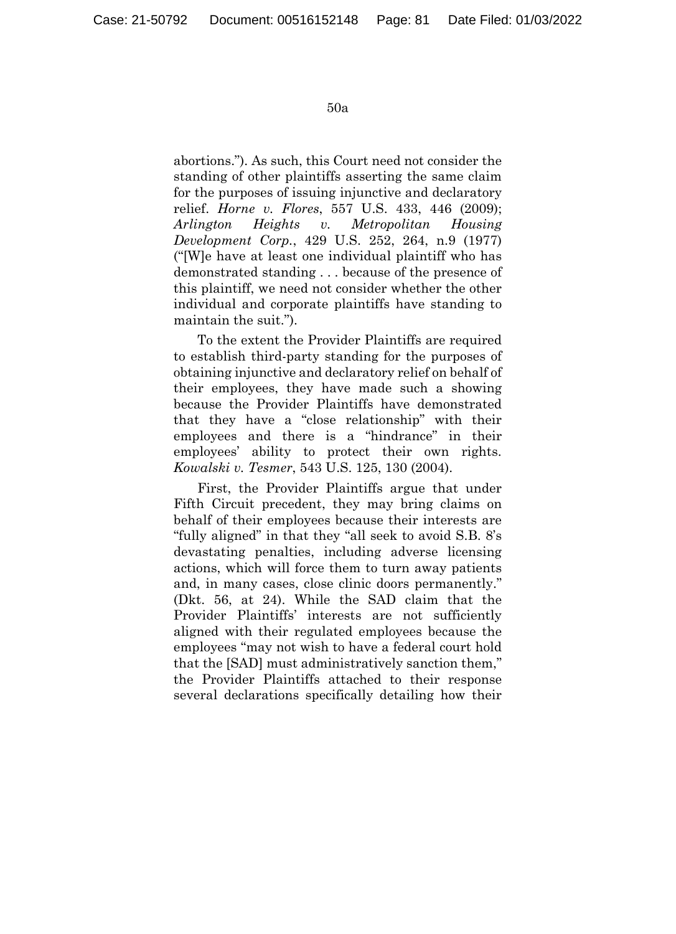abortions."). As such, this Court need not consider the standing of other plaintiffs asserting the same claim for the purposes of issuing injunctive and declaratory relief. *Horne v. Flores*, 557 U.S. 433, 446 (2009); *Arlington Heights v. Metropolitan Housing Development Corp.*, 429 U.S. 252, 264, n.9 (1977) ("[W]e have at least one individual plaintiff who has demonstrated standing . . . because of the presence of this plaintiff, we need not consider whether the other individual and corporate plaintiffs have standing to maintain the suit.").

To the extent the Provider Plaintiffs are required to establish third-party standing for the purposes of obtaining injunctive and declaratory relief on behalf of their employees, they have made such a showing because the Provider Plaintiffs have demonstrated that they have a "close relationship" with their employees and there is a "hindrance" in their employees' ability to protect their own rights. *Kowalski v. Tesmer*, 543 U.S. 125, 130 (2004).

First, the Provider Plaintiffs argue that under Fifth Circuit precedent, they may bring claims on behalf of their employees because their interests are "fully aligned" in that they "all seek to avoid S.B. 8's devastating penalties, including adverse licensing actions, which will force them to turn away patients and, in many cases, close clinic doors permanently." (Dkt. 56, at 24). While the SAD claim that the Provider Plaintiffs' interests are not sufficiently aligned with their regulated employees because the employees "may not wish to have a federal court hold that the [SAD] must administratively sanction them," the Provider Plaintiffs attached to their response several declarations specifically detailing how their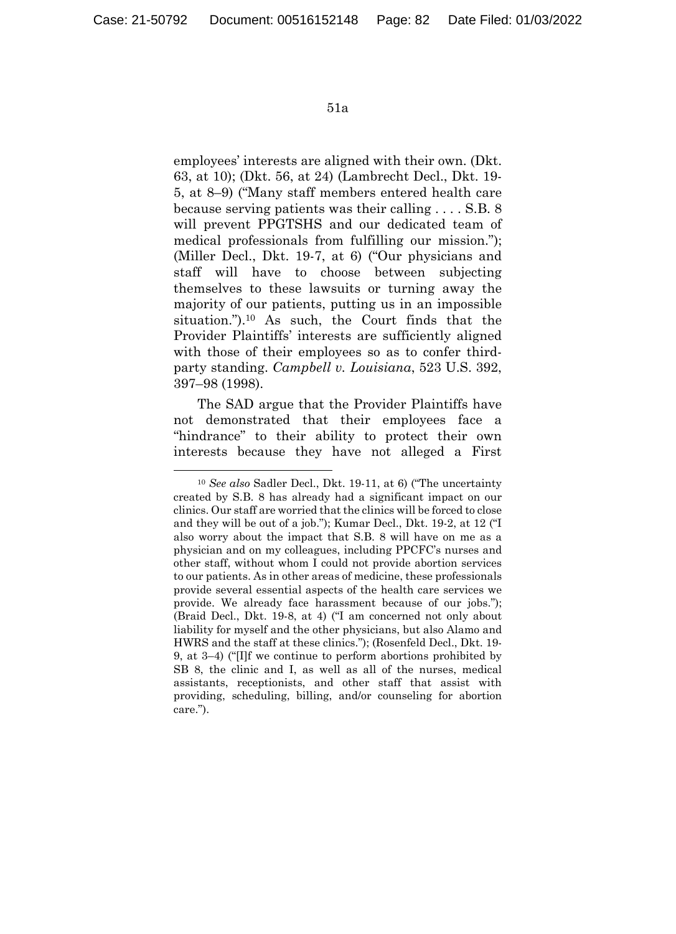employees' interests are aligned with their own. (Dkt. 63, at 10); (Dkt. 56, at 24) (Lambrecht Decl., Dkt. 19- 5, at 8–9) ("Many staff members entered health care because serving patients was their calling . . . . S.B. 8 will prevent PPGTSHS and our dedicated team of medical professionals from fulfilling our mission."); (Miller Decl., Dkt. 19-7, at 6) ("Our physicians and staff will have to choose between subjecting themselves to these lawsuits or turning away the majority of our patients, putting us in an impossible situation.").10 As such, the Court finds that the Provider Plaintiffs' interests are sufficiently aligned with those of their employees so as to confer thirdparty standing. *Campbell v. Louisiana*, 523 U.S. 392, 397–98 (1998).

The SAD argue that the Provider Plaintiffs have not demonstrated that their employees face a "hindrance" to their ability to protect their own interests because they have not alleged a First

 <sup>10</sup> *See also* Sadler Decl., Dkt. 19-11, at 6) ("The uncertainty created by S.B. 8 has already had a significant impact on our clinics. Our staff are worried that the clinics will be forced to close and they will be out of a job."); Kumar Decl., Dkt. 19-2, at 12 ("I also worry about the impact that S.B. 8 will have on me as a physician and on my colleagues, including PPCFC's nurses and other staff, without whom I could not provide abortion services to our patients. As in other areas of medicine, these professionals provide several essential aspects of the health care services we provide. We already face harassment because of our jobs."); (Braid Decl., Dkt. 19-8, at 4) ("I am concerned not only about liability for myself and the other physicians, but also Alamo and HWRS and the staff at these clinics."); (Rosenfeld Decl., Dkt. 19- 9, at 3–4) ("[I]f we continue to perform abortions prohibited by SB 8, the clinic and I, as well as all of the nurses, medical assistants, receptionists, and other staff that assist with providing, scheduling, billing, and/or counseling for abortion care.").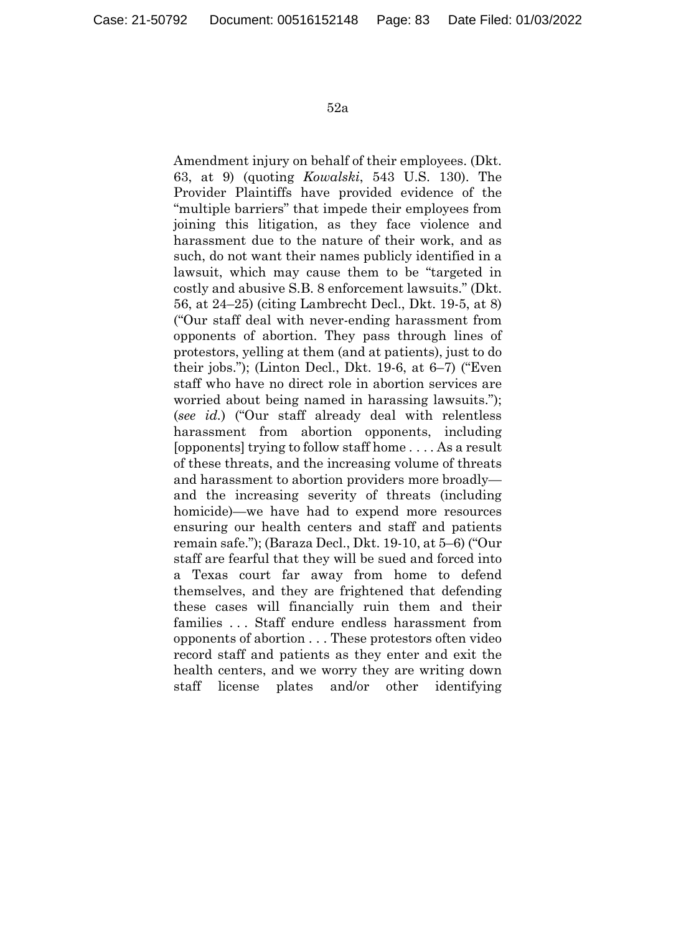Amendment injury on behalf of their employees. (Dkt. 63, at 9) (quoting *Kowalski*, 543 U.S. 130). The Provider Plaintiffs have provided evidence of the "multiple barriers" that impede their employees from joining this litigation, as they face violence and harassment due to the nature of their work, and as such, do not want their names publicly identified in a lawsuit, which may cause them to be "targeted in costly and abusive S.B. 8 enforcement lawsuits." (Dkt. 56, at 24–25) (citing Lambrecht Decl., Dkt. 19-5, at 8) ("Our staff deal with never-ending harassment from opponents of abortion. They pass through lines of protestors, yelling at them (and at patients), just to do their jobs."); (Linton Decl., Dkt. 19-6, at 6–7) ("Even staff who have no direct role in abortion services are worried about being named in harassing lawsuits."); (*see id.*) ("Our staff already deal with relentless harassment from abortion opponents, including [opponents] trying to follow staff home . . . . As a result of these threats, and the increasing volume of threats and harassment to abortion providers more broadly and the increasing severity of threats (including homicide)—we have had to expend more resources ensuring our health centers and staff and patients remain safe."); (Baraza Decl., Dkt. 19-10, at 5–6) ("Our staff are fearful that they will be sued and forced into a Texas court far away from home to defend themselves, and they are frightened that defending these cases will financially ruin them and their families . . . Staff endure endless harassment from opponents of abortion . . . These protestors often video record staff and patients as they enter and exit the health centers, and we worry they are writing down staff license plates and/or other identifying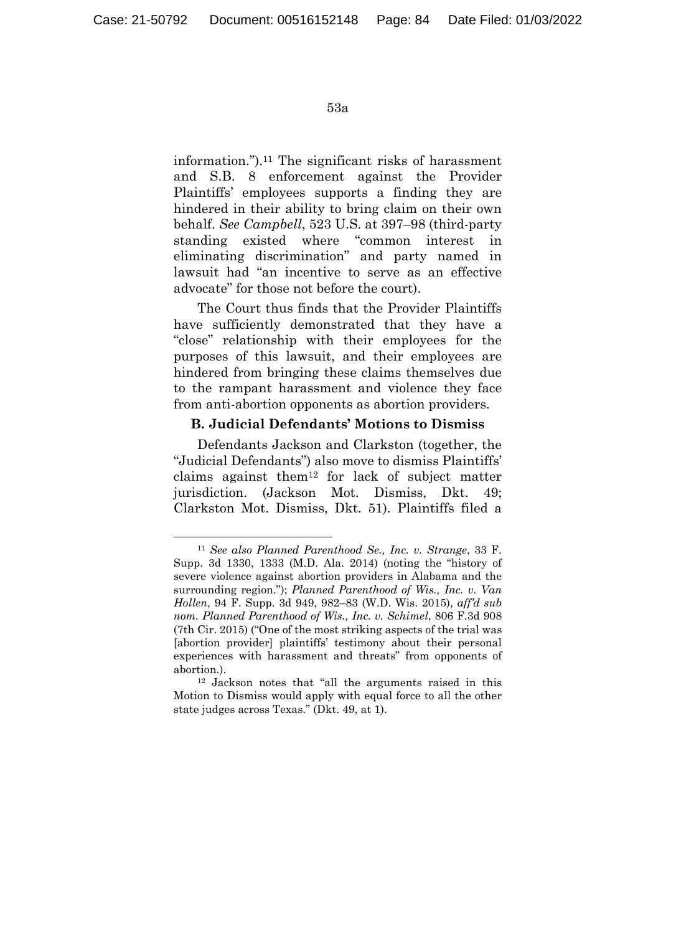information.").11 The significant risks of harassment and S.B. 8 enforcement against the Provider Plaintiffs' employees supports a finding they are hindered in their ability to bring claim on their own behalf. *See Campbell*, 523 U.S. at 397–98 (third-party standing existed where "common interest in eliminating discrimination" and party named in lawsuit had "an incentive to serve as an effective advocate" for those not before the court).

The Court thus finds that the Provider Plaintiffs have sufficiently demonstrated that they have a "close" relationship with their employees for the purposes of this lawsuit, and their employees are hindered from bringing these claims themselves due to the rampant harassment and violence they face from anti-abortion opponents as abortion providers.

## **B. Judicial Defendants' Motions to Dismiss**

Defendants Jackson and Clarkston (together, the "Judicial Defendants") also move to dismiss Plaintiffs' claims against them12 for lack of subject matter jurisdiction. (Jackson Mot. Dismiss, Dkt. 49; Clarkston Mot. Dismiss, Dkt. 51). Plaintiffs filed a

 <sup>11</sup> *See also Planned Parenthood Se., Inc. v. Strange*, 33 F. Supp. 3d 1330, 1333 (M.D. Ala. 2014) (noting the "history of severe violence against abortion providers in Alabama and the surrounding region."); *Planned Parenthood of Wis., Inc. v. Van Hollen*, 94 F. Supp. 3d 949, 982–83 (W.D. Wis. 2015), *aff'd sub nom. Planned Parenthood of Wis., Inc. v. Schimel*, 806 F.3d 908 (7th Cir. 2015) ("One of the most striking aspects of the trial was [abortion provider] plaintiffs' testimony about their personal experiences with harassment and threats" from opponents of

abortion.). 12 Jackson notes that "all the arguments raised in this Motion to Dismiss would apply with equal force to all the other state judges across Texas." (Dkt. 49, at 1).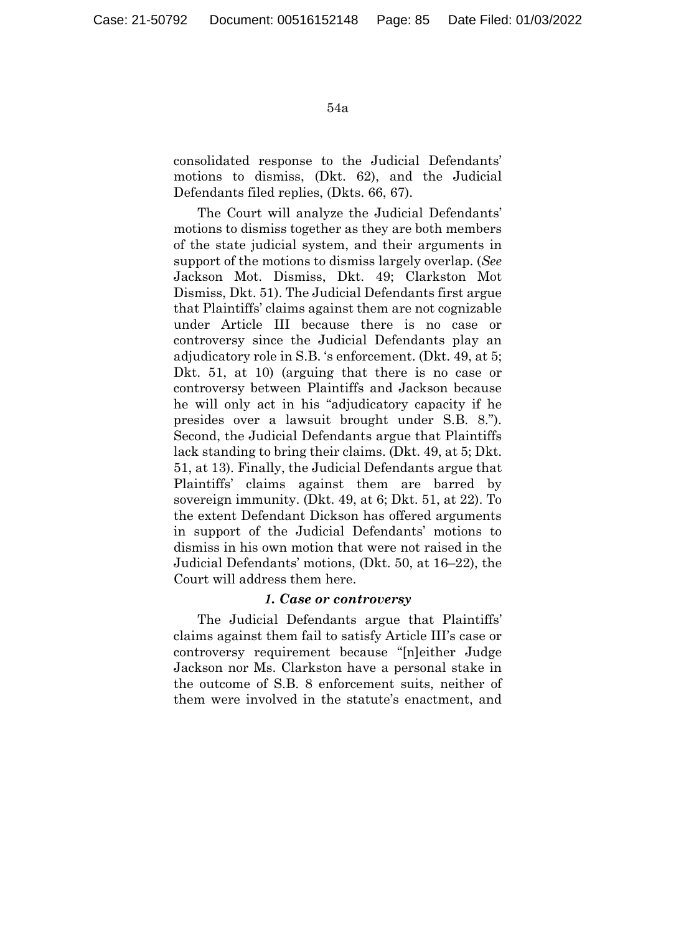consolidated response to the Judicial Defendants' motions to dismiss, (Dkt. 62), and the Judicial Defendants filed replies, (Dkts. 66, 67).

The Court will analyze the Judicial Defendants' motions to dismiss together as they are both members of the state judicial system, and their arguments in support of the motions to dismiss largely overlap. (*See* Jackson Mot. Dismiss, Dkt. 49; Clarkston Mot Dismiss, Dkt. 51). The Judicial Defendants first argue that Plaintiffs' claims against them are not cognizable under Article III because there is no case or controversy since the Judicial Defendants play an adjudicatory role in S.B. 's enforcement. (Dkt. 49, at 5; Dkt. 51, at 10) (arguing that there is no case or controversy between Plaintiffs and Jackson because he will only act in his "adjudicatory capacity if he presides over a lawsuit brought under S.B. 8."). Second, the Judicial Defendants argue that Plaintiffs lack standing to bring their claims. (Dkt. 49, at 5; Dkt. 51, at 13). Finally, the Judicial Defendants argue that Plaintiffs' claims against them are barred by sovereign immunity. (Dkt. 49, at 6; Dkt. 51, at 22). To the extent Defendant Dickson has offered arguments in support of the Judicial Defendants' motions to dismiss in his own motion that were not raised in the Judicial Defendants' motions, (Dkt. 50, at 16–22), the Court will address them here.

### *1. Case or controversy*

The Judicial Defendants argue that Plaintiffs' claims against them fail to satisfy Article III's case or controversy requirement because "[n]either Judge Jackson nor Ms. Clarkston have a personal stake in the outcome of S.B. 8 enforcement suits, neither of them were involved in the statute's enactment, and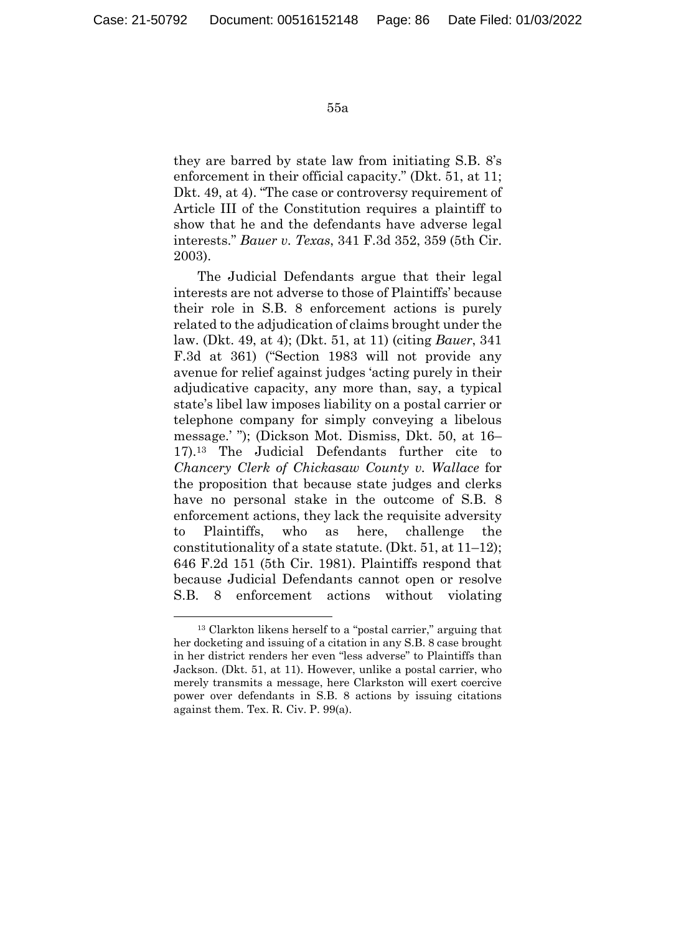they are barred by state law from initiating S.B. 8's enforcement in their official capacity." (Dkt. 51, at 11; Dkt. 49, at 4). "The case or controversy requirement of Article III of the Constitution requires a plaintiff to show that he and the defendants have adverse legal interests." *Bauer v. Texas*, 341 F.3d 352, 359 (5th Cir. 2003).

The Judicial Defendants argue that their legal interests are not adverse to those of Plaintiffs' because their role in S.B. 8 enforcement actions is purely related to the adjudication of claims brought under the law. (Dkt. 49, at 4); (Dkt. 51, at 11) (citing *Bauer*, 341 F.3d at 361) ("Section 1983 will not provide any avenue for relief against judges 'acting purely in their adjudicative capacity, any more than, say, a typical state's libel law imposes liability on a postal carrier or telephone company for simply conveying a libelous message.' "); (Dickson Mot. Dismiss, Dkt. 50, at 16– 17).13 The Judicial Defendants further cite to *Chancery Clerk of Chickasaw County v. Wallace* for the proposition that because state judges and clerks have no personal stake in the outcome of S.B. 8 enforcement actions, they lack the requisite adversity to Plaintiffs, who as here, challenge the constitutionality of a state statute. (Dkt. 51, at 11–12); 646 F.2d 151 (5th Cir. 1981). Plaintiffs respond that because Judicial Defendants cannot open or resolve S.B. 8 enforcement actions without violating

 <sup>13</sup> Clarkton likens herself to a "postal carrier," arguing that her docketing and issuing of a citation in any S.B. 8 case brought in her district renders her even "less adverse" to Plaintiffs than Jackson. (Dkt. 51, at 11). However, unlike a postal carrier, who merely transmits a message, here Clarkston will exert coercive power over defendants in S.B. 8 actions by issuing citations against them. Tex. R. Civ. P. 99(a).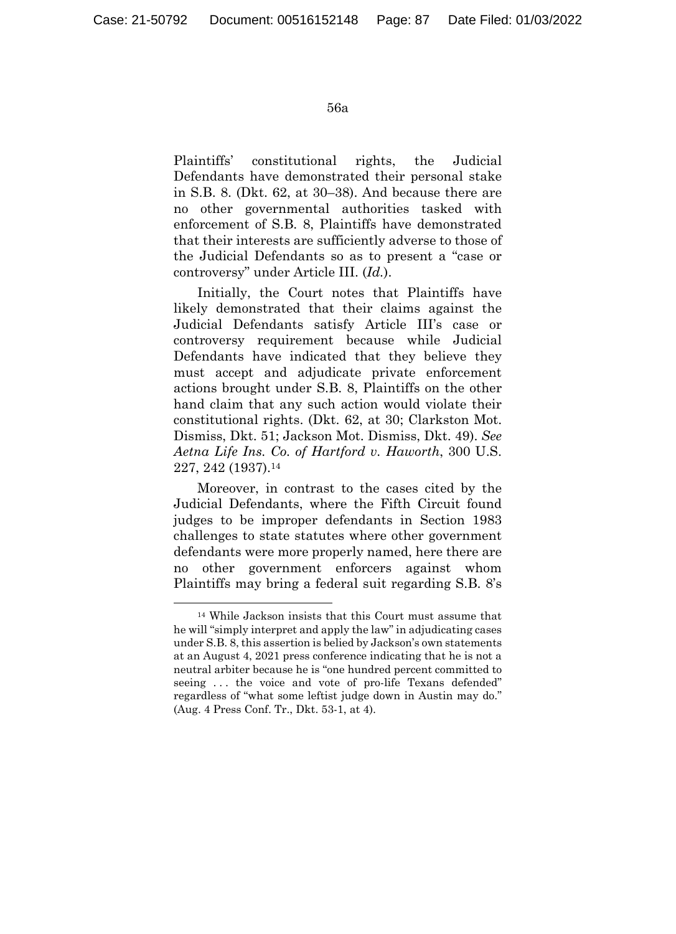Plaintiffs' constitutional rights, the Judicial Defendants have demonstrated their personal stake in S.B. 8. (Dkt. 62, at 30–38). And because there are no other governmental authorities tasked with enforcement of S.B. 8, Plaintiffs have demonstrated that their interests are sufficiently adverse to those of the Judicial Defendants so as to present a "case or controversy" under Article III. (*Id.*).

Initially, the Court notes that Plaintiffs have likely demonstrated that their claims against the Judicial Defendants satisfy Article III's case or controversy requirement because while Judicial Defendants have indicated that they believe they must accept and adjudicate private enforcement actions brought under S.B. 8, Plaintiffs on the other hand claim that any such action would violate their constitutional rights. (Dkt. 62, at 30; Clarkston Mot. Dismiss, Dkt. 51; Jackson Mot. Dismiss, Dkt. 49). *See Aetna Life Ins. Co. of Hartford v. Haworth*, 300 U.S. 227, 242 (1937).14

Moreover, in contrast to the cases cited by the Judicial Defendants, where the Fifth Circuit found judges to be improper defendants in Section 1983 challenges to state statutes where other government defendants were more properly named, here there are no other government enforcers against whom Plaintiffs may bring a federal suit regarding S.B. 8's

 <sup>14</sup> While Jackson insists that this Court must assume that he will "simply interpret and apply the law" in adjudicating cases under S.B. 8, this assertion is belied by Jackson's own statements at an August 4, 2021 press conference indicating that he is not a neutral arbiter because he is "one hundred percent committed to seeing ... the voice and vote of pro-life Texans defended" regardless of "what some leftist judge down in Austin may do." (Aug. 4 Press Conf. Tr., Dkt. 53-1, at 4).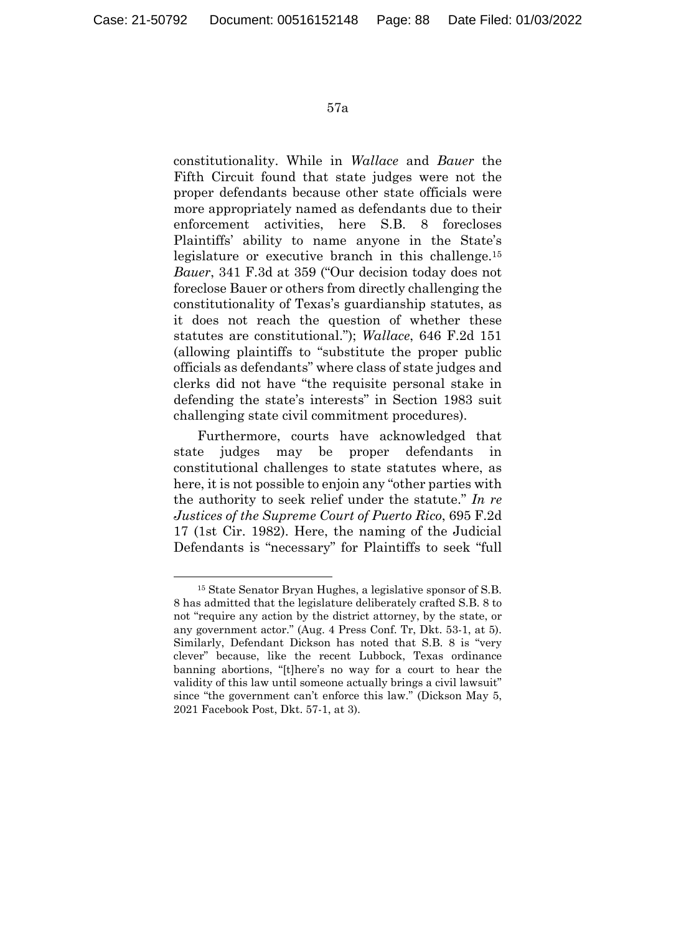constitutionality. While in *Wallace* and *Bauer* the Fifth Circuit found that state judges were not the proper defendants because other state officials were more appropriately named as defendants due to their enforcement activities, here S.B. 8 forecloses Plaintiffs' ability to name anyone in the State's legislature or executive branch in this challenge.15 *Bauer*, 341 F.3d at 359 ("Our decision today does not foreclose Bauer or others from directly challenging the constitutionality of Texas's guardianship statutes, as it does not reach the question of whether these statutes are constitutional."); *Wallace*, 646 F.2d 151 (allowing plaintiffs to "substitute the proper public officials as defendants" where class of state judges and clerks did not have "the requisite personal stake in defending the state's interests" in Section 1983 suit challenging state civil commitment procedures).

Furthermore, courts have acknowledged that state judges may be proper defendants in constitutional challenges to state statutes where, as here, it is not possible to enjoin any "other parties with the authority to seek relief under the statute." *In re Justices of the Supreme Court of Puerto Rico*, 695 F.2d 17 (1st Cir. 1982). Here, the naming of the Judicial Defendants is "necessary" for Plaintiffs to seek "full

 <sup>15</sup> State Senator Bryan Hughes, a legislative sponsor of S.B. 8 has admitted that the legislature deliberately crafted S.B. 8 to not "require any action by the district attorney, by the state, or any government actor." (Aug. 4 Press Conf. Tr, Dkt. 53-1, at 5). Similarly, Defendant Dickson has noted that S.B. 8 is "very clever" because, like the recent Lubbock, Texas ordinance banning abortions, "[t]here's no way for a court to hear the validity of this law until someone actually brings a civil lawsuit" since "the government can't enforce this law." (Dickson May 5, 2021 Facebook Post, Dkt. 57-1, at 3).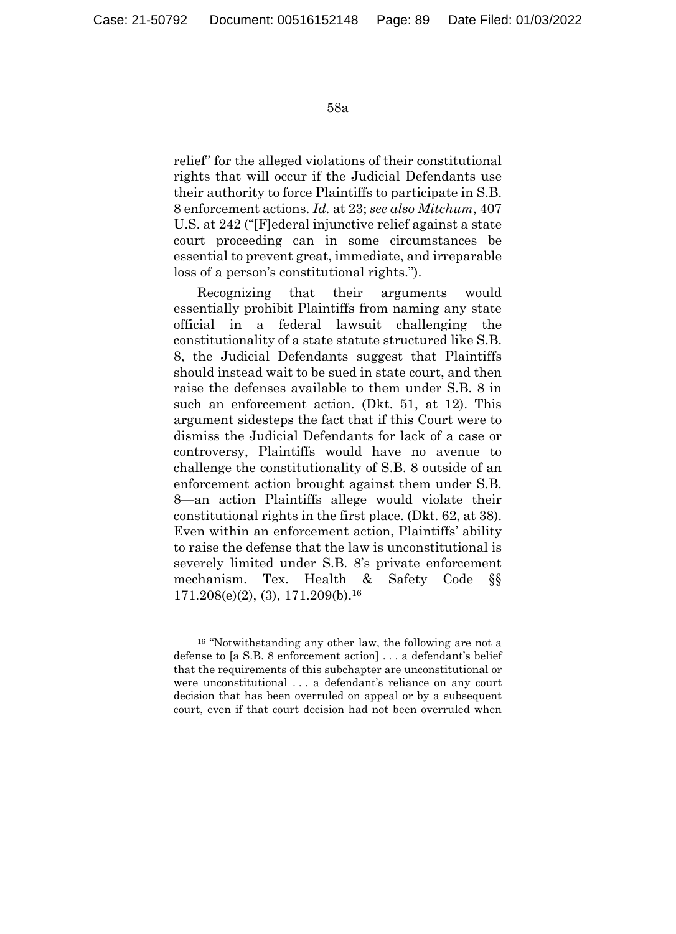relief" for the alleged violations of their constitutional rights that will occur if the Judicial Defendants use their authority to force Plaintiffs to participate in S.B. 8 enforcement actions. *Id.* at 23; *see also Mitchum*, 407 U.S. at 242 ("[F]ederal injunctive relief against a state court proceeding can in some circumstances be essential to prevent great, immediate, and irreparable loss of a person's constitutional rights.").

Recognizing that their arguments would essentially prohibit Plaintiffs from naming any state official in a federal lawsuit challenging the constitutionality of a state statute structured like S.B. 8, the Judicial Defendants suggest that Plaintiffs should instead wait to be sued in state court, and then raise the defenses available to them under S.B. 8 in such an enforcement action. (Dkt. 51, at 12). This argument sidesteps the fact that if this Court were to dismiss the Judicial Defendants for lack of a case or controversy, Plaintiffs would have no avenue to challenge the constitutionality of S.B. 8 outside of an enforcement action brought against them under S.B. 8—an action Plaintiffs allege would violate their constitutional rights in the first place. (Dkt. 62, at 38). Even within an enforcement action, Plaintiffs' ability to raise the defense that the law is unconstitutional is severely limited under S.B. 8's private enforcement mechanism. Tex. Health & Safety Code §§ 171.208(e)(2), (3), 171.209(b).16

 <sup>16 &</sup>quot;Notwithstanding any other law, the following are not a defense to [a S.B. 8 enforcement action] . . . a defendant's belief that the requirements of this subchapter are unconstitutional or were unconstitutional . . . a defendant's reliance on any court decision that has been overruled on appeal or by a subsequent court, even if that court decision had not been overruled when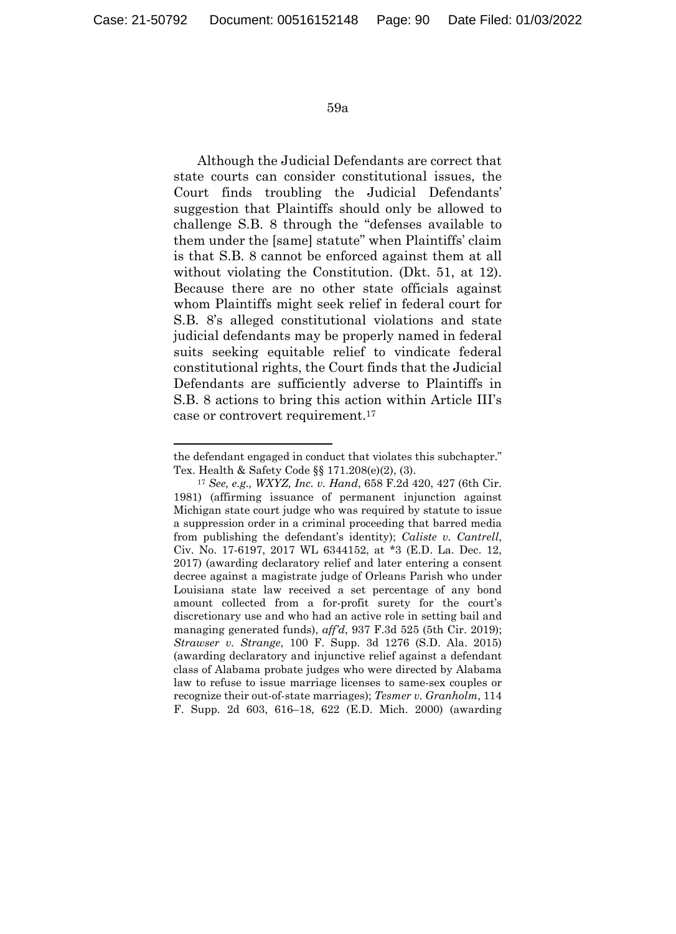1

59a

Although the Judicial Defendants are correct that state courts can consider constitutional issues, the Court finds troubling the Judicial Defendants' suggestion that Plaintiffs should only be allowed to challenge S.B. 8 through the "defenses available to them under the [same] statute" when Plaintiffs' claim is that S.B. 8 cannot be enforced against them at all without violating the Constitution. (Dkt. 51, at 12). Because there are no other state officials against whom Plaintiffs might seek relief in federal court for S.B. 8's alleged constitutional violations and state judicial defendants may be properly named in federal suits seeking equitable relief to vindicate federal constitutional rights, the Court finds that the Judicial Defendants are sufficiently adverse to Plaintiffs in S.B. 8 actions to bring this action within Article III's case or controvert requirement.17

the defendant engaged in conduct that violates this subchapter." Tex. Health & Safety Code §§ 171.208(e)(2), (3).

<sup>17</sup> *See, e.g., WXYZ, Inc. v. Hand*, 658 F.2d 420, 427 (6th Cir. 1981) (affirming issuance of permanent injunction against Michigan state court judge who was required by statute to issue a suppression order in a criminal proceeding that barred media from publishing the defendant's identity); *Caliste v. Cantrell*, Civ. No. 17-6197, 2017 WL 6344152, at \*3 (E.D. La. Dec. 12, 2017) (awarding declaratory relief and later entering a consent decree against a magistrate judge of Orleans Parish who under Louisiana state law received a set percentage of any bond amount collected from a for-profit surety for the court's discretionary use and who had an active role in setting bail and managing generated funds), *aff'd*, 937 F.3d 525 (5th Cir. 2019); *Strawser v. Strange*, 100 F. Supp. 3d 1276 (S.D. Ala. 2015) (awarding declaratory and injunctive relief against a defendant class of Alabama probate judges who were directed by Alabama law to refuse to issue marriage licenses to same-sex couples or recognize their out-of-state marriages); *Tesmer v. Granholm*, 114 F. Supp. 2d 603, 616–18, 622 (E.D. Mich. 2000) (awarding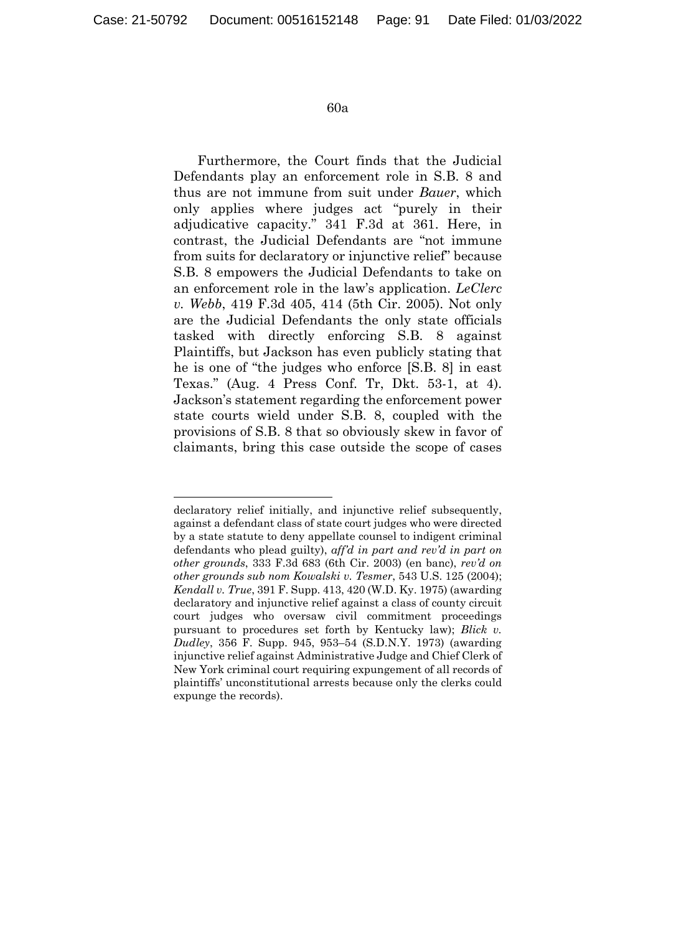1

#### 60a

Furthermore, the Court finds that the Judicial Defendants play an enforcement role in S.B. 8 and thus are not immune from suit under *Bauer*, which only applies where judges act "purely in their adjudicative capacity." 341 F.3d at 361. Here, in contrast, the Judicial Defendants are "not immune from suits for declaratory or injunctive relief" because S.B. 8 empowers the Judicial Defendants to take on an enforcement role in the law's application. *LeClerc v. Webb*, 419 F.3d 405, 414 (5th Cir. 2005). Not only are the Judicial Defendants the only state officials tasked with directly enforcing S.B. 8 against Plaintiffs, but Jackson has even publicly stating that he is one of "the judges who enforce [S.B. 8] in east Texas." (Aug. 4 Press Conf. Tr, Dkt. 53-1, at 4). Jackson's statement regarding the enforcement power state courts wield under S.B. 8, coupled with the provisions of S.B. 8 that so obviously skew in favor of claimants, bring this case outside the scope of cases

declaratory relief initially, and injunctive relief subsequently, against a defendant class of state court judges who were directed by a state statute to deny appellate counsel to indigent criminal defendants who plead guilty), *aff'd in part and rev'd in part on other grounds*, 333 F.3d 683 (6th Cir. 2003) (en banc), *rev'd on other grounds sub nom Kowalski v. Tesmer*, 543 U.S. 125 (2004); *Kendall v. True*, 391 F. Supp. 413, 420 (W.D. Ky. 1975) (awarding declaratory and injunctive relief against a class of county circuit court judges who oversaw civil commitment proceedings pursuant to procedures set forth by Kentucky law); *Blick v. Dudley*, 356 F. Supp. 945, 953–54 (S.D.N.Y. 1973) (awarding injunctive relief against Administrative Judge and Chief Clerk of New York criminal court requiring expungement of all records of plaintiffs' unconstitutional arrests because only the clerks could expunge the records).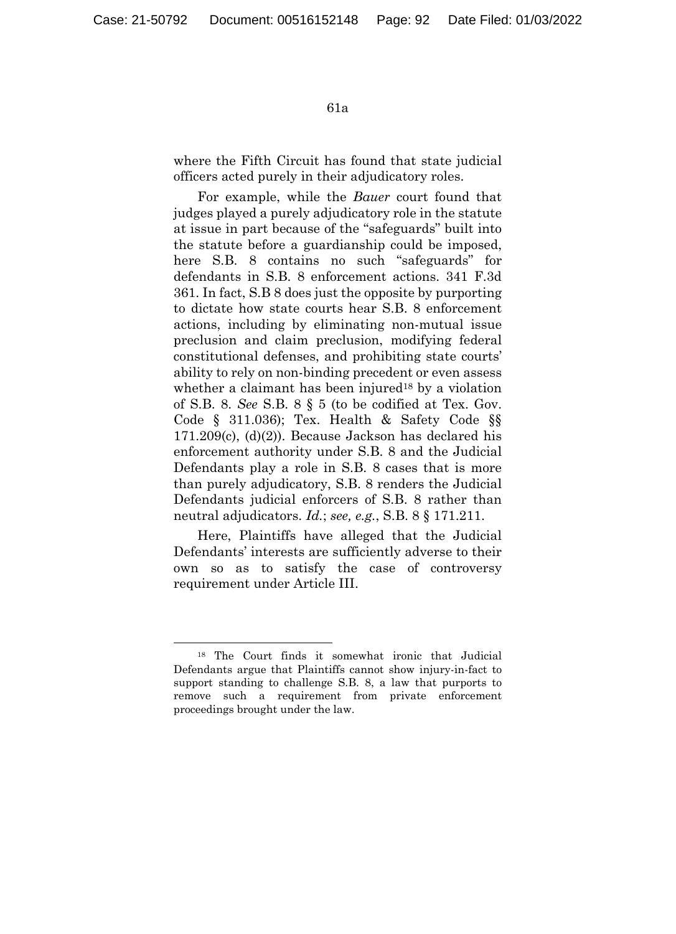where the Fifth Circuit has found that state judicial officers acted purely in their adjudicatory roles.

For example, while the *Bauer* court found that judges played a purely adjudicatory role in the statute at issue in part because of the "safeguards" built into the statute before a guardianship could be imposed, here S.B. 8 contains no such "safeguards" for defendants in S.B. 8 enforcement actions. 341 F.3d 361. In fact, S.B 8 does just the opposite by purporting to dictate how state courts hear S.B. 8 enforcement actions, including by eliminating non-mutual issue preclusion and claim preclusion, modifying federal constitutional defenses, and prohibiting state courts' ability to rely on non-binding precedent or even assess whether a claimant has been injured<sup>18</sup> by a violation of S.B. 8. *See* S.B. 8 § 5 (to be codified at Tex. Gov. Code § 311.036); Tex. Health & Safety Code §§ 171.209(c), (d)(2)). Because Jackson has declared his enforcement authority under S.B. 8 and the Judicial Defendants play a role in S.B. 8 cases that is more than purely adjudicatory, S.B. 8 renders the Judicial Defendants judicial enforcers of S.B. 8 rather than neutral adjudicators. *Id.*; *see, e.g.*, S.B. 8 § 171.211.

Here, Plaintiffs have alleged that the Judicial Defendants' interests are sufficiently adverse to their own so as to satisfy the case of controversy requirement under Article III.

 <sup>18</sup> The Court finds it somewhat ironic that Judicial Defendants argue that Plaintiffs cannot show injury-in-fact to support standing to challenge S.B. 8, a law that purports to remove such a requirement from private enforcement proceedings brought under the law.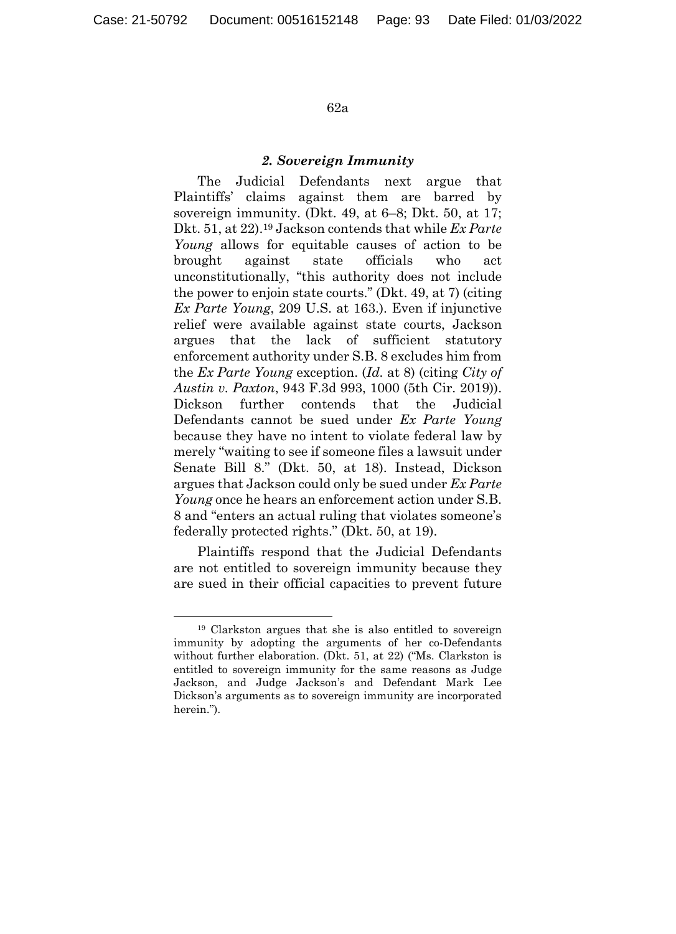#### *2. Sovereign Immunity*

The Judicial Defendants next argue that Plaintiffs' claims against them are barred by sovereign immunity. (Dkt. 49, at 6–8; Dkt. 50, at 17; Dkt. 51, at 22).19 Jackson contends that while *Ex Parte Young* allows for equitable causes of action to be brought against state officials who act unconstitutionally, "this authority does not include the power to enjoin state courts." (Dkt. 49, at 7) (citing *Ex Parte Young*, 209 U.S. at 163.). Even if injunctive relief were available against state courts, Jackson argues that the lack of sufficient statutory enforcement authority under S.B. 8 excludes him from the *Ex Parte Young* exception. (*Id.* at 8) (citing *City of Austin v. Paxton*, 943 F.3d 993, 1000 (5th Cir. 2019)). Dickson further contends that the Judicial Defendants cannot be sued under *Ex Parte Young* because they have no intent to violate federal law by merely "waiting to see if someone files a lawsuit under Senate Bill 8." (Dkt. 50, at 18). Instead, Dickson argues that Jackson could only be sued under *Ex Parte Young* once he hears an enforcement action under S.B. 8 and "enters an actual ruling that violates someone's federally protected rights." (Dkt. 50, at 19).

Plaintiffs respond that the Judicial Defendants are not entitled to sovereign immunity because they are sued in their official capacities to prevent future

 <sup>19</sup> Clarkston argues that she is also entitled to sovereign immunity by adopting the arguments of her co-Defendants without further elaboration. (Dkt. 51, at 22) ("Ms. Clarkston is entitled to sovereign immunity for the same reasons as Judge Jackson, and Judge Jackson's and Defendant Mark Lee Dickson's arguments as to sovereign immunity are incorporated herein.").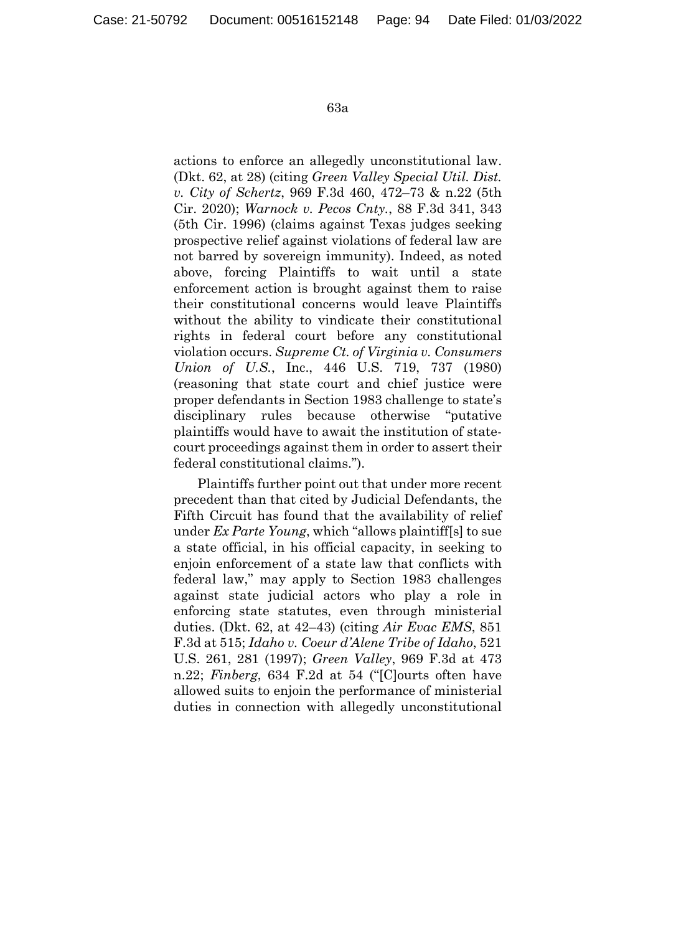actions to enforce an allegedly unconstitutional law. (Dkt. 62, at 28) (citing *Green Valley Special Util. Dist. v. City of Schertz*, 969 F.3d 460, 472–73 & n.22 (5th Cir. 2020); *Warnock v. Pecos Cnty.*, 88 F.3d 341, 343 (5th Cir. 1996) (claims against Texas judges seeking prospective relief against violations of federal law are not barred by sovereign immunity). Indeed, as noted above, forcing Plaintiffs to wait until a state enforcement action is brought against them to raise their constitutional concerns would leave Plaintiffs without the ability to vindicate their constitutional rights in federal court before any constitutional violation occurs. *Supreme Ct. of Virginia v. Consumers Union of U.S.*, Inc., 446 U.S. 719, 737 (1980) (reasoning that state court and chief justice were proper defendants in Section 1983 challenge to state's disciplinary rules because otherwise "putative plaintiffs would have to await the institution of statecourt proceedings against them in order to assert their federal constitutional claims.").

Plaintiffs further point out that under more recent precedent than that cited by Judicial Defendants, the Fifth Circuit has found that the availability of relief under *Ex Parte Young*, which "allows plaintiff[s] to sue a state official, in his official capacity, in seeking to enjoin enforcement of a state law that conflicts with federal law," may apply to Section 1983 challenges against state judicial actors who play a role in enforcing state statutes, even through ministerial duties. (Dkt. 62, at 42–43) (citing *Air Evac EMS*, 851 F.3d at 515; *Idaho v. Coeur d'Alene Tribe of Idaho*, 521 U.S. 261, 281 (1997); *Green Valley*, 969 F.3d at 473 n.22; *Finberg*, 634 F.2d at 54 ("[C]ourts often have allowed suits to enjoin the performance of ministerial duties in connection with allegedly unconstitutional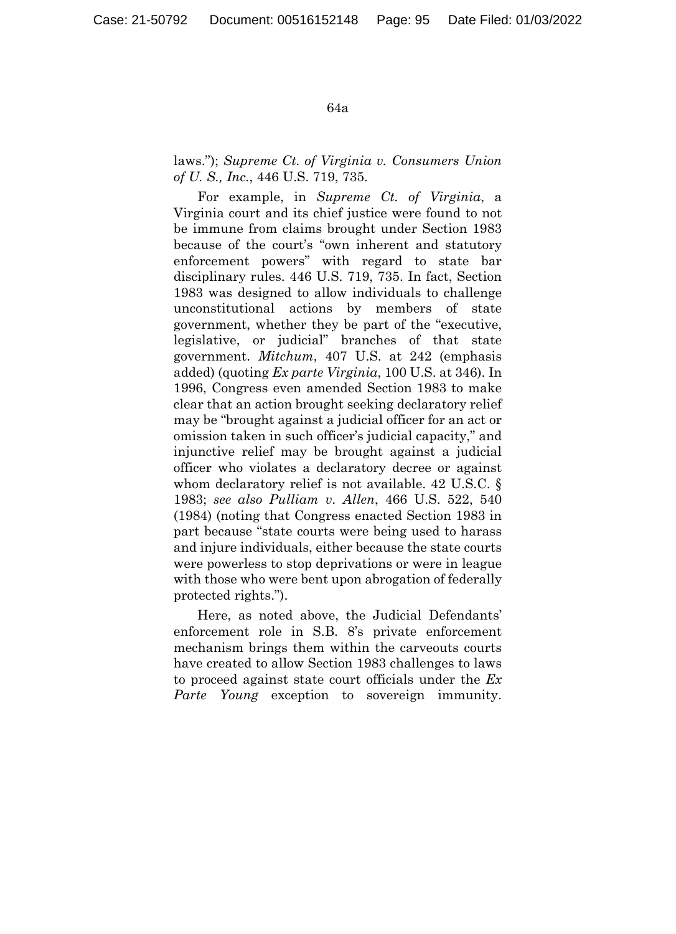laws."); *Supreme Ct. of Virginia v. Consumers Union of U. S., Inc.*, 446 U.S. 719, 735.

For example, in *Supreme Ct. of Virginia*, a Virginia court and its chief justice were found to not be immune from claims brought under Section 1983 because of the court's "own inherent and statutory enforcement powers" with regard to state bar disciplinary rules. 446 U.S. 719, 735. In fact, Section 1983 was designed to allow individuals to challenge unconstitutional actions by members of state government, whether they be part of the "executive, legislative, or judicial" branches of that state government. *Mitchum*, 407 U.S. at 242 (emphasis added) (quoting *Ex parte Virginia*, 100 U.S. at 346). In 1996, Congress even amended Section 1983 to make clear that an action brought seeking declaratory relief may be "brought against a judicial officer for an act or omission taken in such officer's judicial capacity," and injunctive relief may be brought against a judicial officer who violates a declaratory decree or against whom declaratory relief is not available. 42 U.S.C. § 1983; *see also Pulliam v. Allen*, 466 U.S. 522, 540 (1984) (noting that Congress enacted Section 1983 in part because "state courts were being used to harass and injure individuals, either because the state courts were powerless to stop deprivations or were in league with those who were bent upon abrogation of federally protected rights.").

Here, as noted above, the Judicial Defendants' enforcement role in S.B. 8's private enforcement mechanism brings them within the carveouts courts have created to allow Section 1983 challenges to laws to proceed against state court officials under the *Ex Parte Young* exception to sovereign immunity.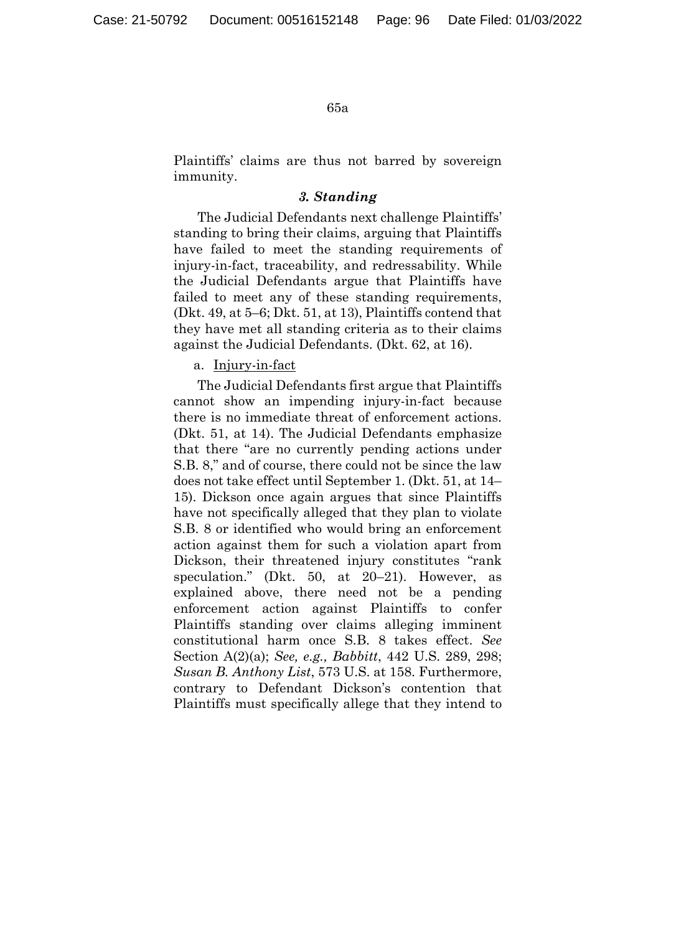Plaintiffs' claims are thus not barred by sovereign immunity.

# *3. Standing*

The Judicial Defendants next challenge Plaintiffs' standing to bring their claims, arguing that Plaintiffs have failed to meet the standing requirements of injury-in-fact, traceability, and redressability. While the Judicial Defendants argue that Plaintiffs have failed to meet any of these standing requirements, (Dkt. 49, at 5–6; Dkt. 51, at 13), Plaintiffs contend that they have met all standing criteria as to their claims against the Judicial Defendants. (Dkt. 62, at 16).

# a. Injury-in-fact

The Judicial Defendants first argue that Plaintiffs cannot show an impending injury-in-fact because there is no immediate threat of enforcement actions. (Dkt. 51, at 14). The Judicial Defendants emphasize that there "are no currently pending actions under S.B. 8," and of course, there could not be since the law does not take effect until September 1. (Dkt. 51, at 14– 15). Dickson once again argues that since Plaintiffs have not specifically alleged that they plan to violate S.B. 8 or identified who would bring an enforcement action against them for such a violation apart from Dickson, their threatened injury constitutes "rank speculation." (Dkt. 50, at 20–21). However, as explained above, there need not be a pending enforcement action against Plaintiffs to confer Plaintiffs standing over claims alleging imminent constitutional harm once S.B. 8 takes effect. *See* Section A(2)(a); *See, e.g., Babbitt*, 442 U.S. 289, 298; *Susan B. Anthony List*, 573 U.S. at 158. Furthermore, contrary to Defendant Dickson's contention that Plaintiffs must specifically allege that they intend to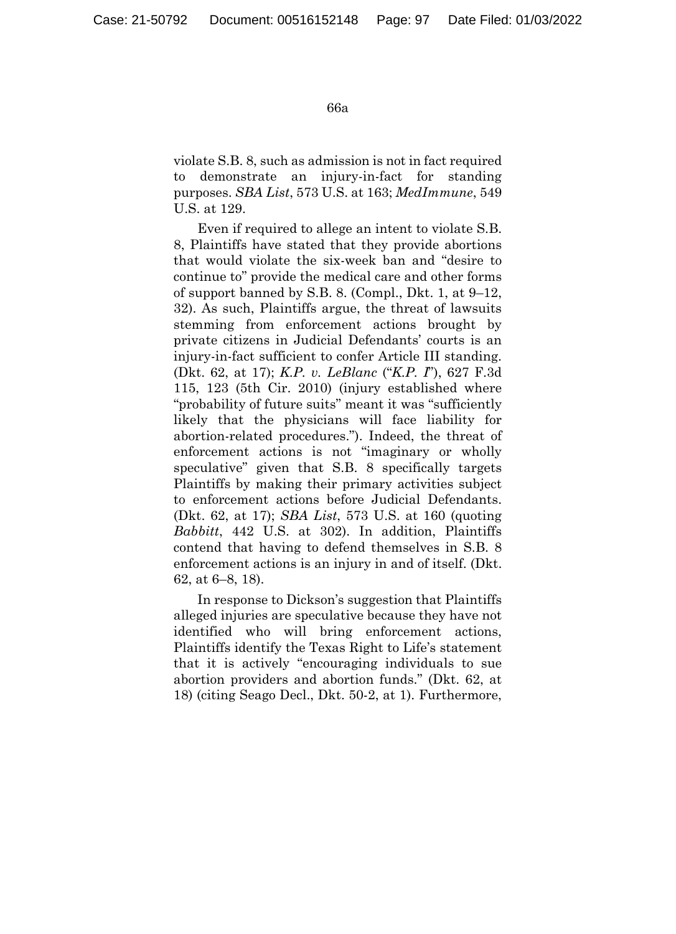violate S.B. 8, such as admission is not in fact required to demonstrate an injury-in-fact for standing purposes. *SBA List*, 573 U.S. at 163; *MedImmune*, 549 U.S. at 129.

Even if required to allege an intent to violate S.B. 8, Plaintiffs have stated that they provide abortions that would violate the six-week ban and "desire to continue to" provide the medical care and other forms of support banned by S.B. 8. (Compl., Dkt. 1, at 9–12, 32). As such, Plaintiffs argue, the threat of lawsuits stemming from enforcement actions brought by private citizens in Judicial Defendants' courts is an injury-in-fact sufficient to confer Article III standing. (Dkt. 62, at 17); *K.P. v. LeBlanc* ("*K.P. I*"), 627 F.3d 115, 123 (5th Cir. 2010) (injury established where "probability of future suits" meant it was "sufficiently likely that the physicians will face liability for abortion-related procedures."). Indeed, the threat of enforcement actions is not "imaginary or wholly speculative" given that S.B. 8 specifically targets Plaintiffs by making their primary activities subject to enforcement actions before Judicial Defendants. (Dkt. 62, at 17); *SBA List*, 573 U.S. at 160 (quoting *Babbitt*, 442 U.S. at 302). In addition, Plaintiffs contend that having to defend themselves in S.B. 8 enforcement actions is an injury in and of itself. (Dkt. 62, at 6–8, 18).

In response to Dickson's suggestion that Plaintiffs alleged injuries are speculative because they have not identified who will bring enforcement actions, Plaintiffs identify the Texas Right to Life's statement that it is actively "encouraging individuals to sue abortion providers and abortion funds." (Dkt. 62, at 18) (citing Seago Decl., Dkt. 50-2, at 1). Furthermore,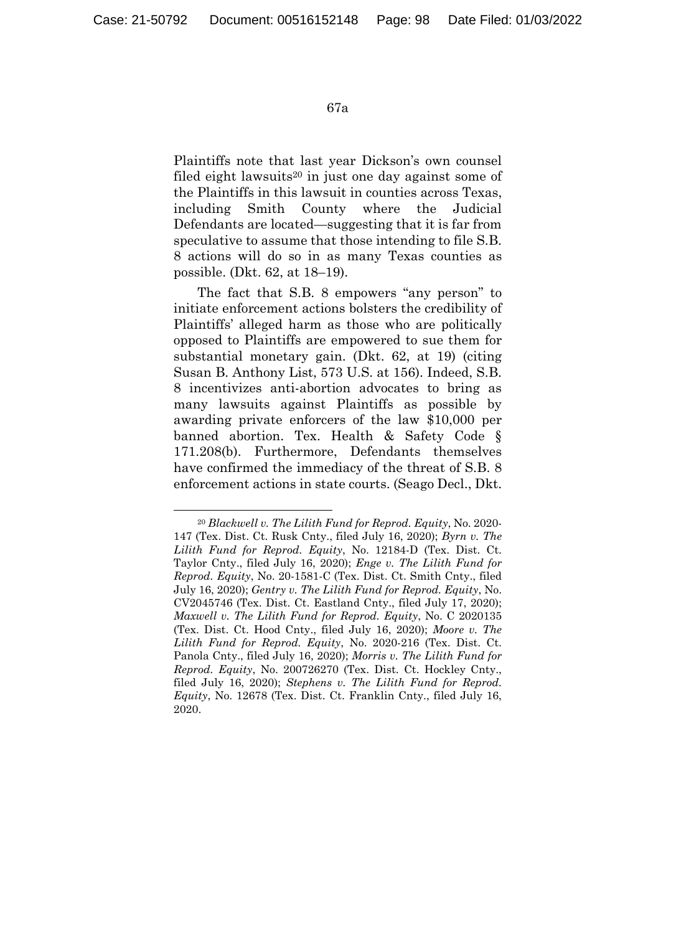Plaintiffs note that last year Dickson's own counsel filed eight lawsuits<sup>20</sup> in just one day against some of the Plaintiffs in this lawsuit in counties across Texas, including Smith County where the Judicial Defendants are located—suggesting that it is far from speculative to assume that those intending to file S.B. 8 actions will do so in as many Texas counties as possible. (Dkt. 62, at 18–19).

The fact that S.B. 8 empowers "any person" to initiate enforcement actions bolsters the credibility of Plaintiffs' alleged harm as those who are politically opposed to Plaintiffs are empowered to sue them for substantial monetary gain. (Dkt. 62, at 19) (citing Susan B. Anthony List, 573 U.S. at 156). Indeed, S.B. 8 incentivizes anti-abortion advocates to bring as many lawsuits against Plaintiffs as possible by awarding private enforcers of the law \$10,000 per banned abortion. Tex. Health & Safety Code § 171.208(b). Furthermore, Defendants themselves have confirmed the immediacy of the threat of S.B. 8 enforcement actions in state courts. (Seago Decl., Dkt.

 <sup>20</sup> *Blackwell v. The Lilith Fund for Reprod. Equity*, No. 2020- 147 (Tex. Dist. Ct. Rusk Cnty., filed July 16, 2020); *Byrn v. The Lilith Fund for Reprod. Equity*, No. 12184-D (Tex. Dist. Ct. Taylor Cnty., filed July 16, 2020); *Enge v. The Lilith Fund for Reprod. Equity*, No. 20-1581-C (Tex. Dist. Ct. Smith Cnty., filed July 16, 2020); *Gentry v. The Lilith Fund for Reprod. Equity*, No. CV2045746 (Tex. Dist. Ct. Eastland Cnty., filed July 17, 2020); *Maxwell v. The Lilith Fund for Reprod. Equity*, No. C 2020135 (Tex. Dist. Ct. Hood Cnty., filed July 16, 2020); *Moore v. The Lilith Fund for Reprod. Equity*, No. 2020-216 (Tex. Dist. Ct. Panola Cnty., filed July 16, 2020); *Morris v. The Lilith Fund for Reprod. Equity*, No. 200726270 (Tex. Dist. Ct. Hockley Cnty., filed July 16, 2020); *Stephens v. The Lilith Fund for Reprod. Equity*, No. 12678 (Tex. Dist. Ct. Franklin Cnty., filed July 16, 2020.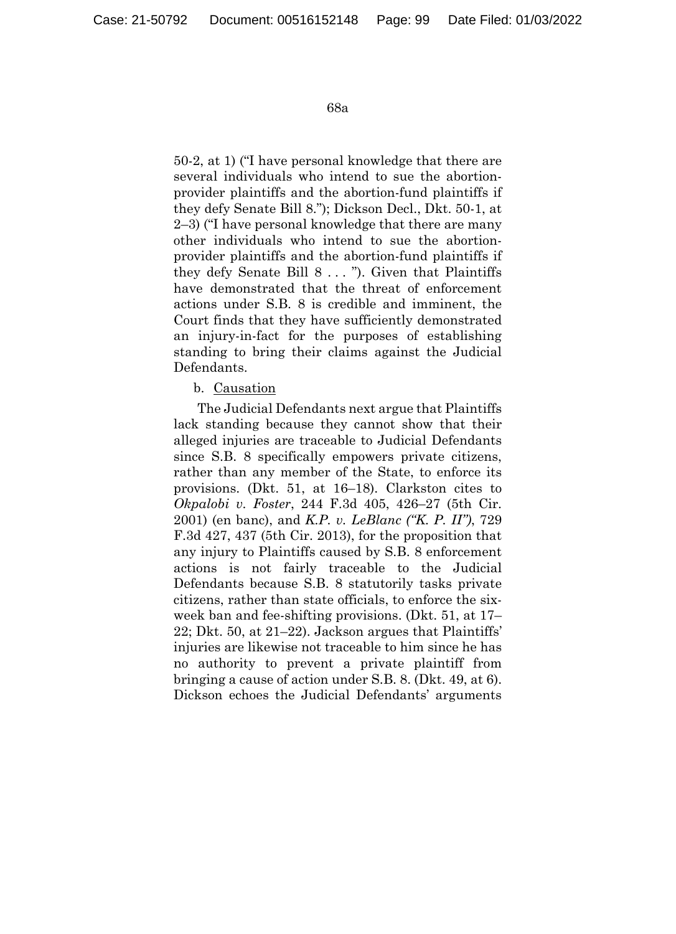50-2, at 1) ("I have personal knowledge that there are several individuals who intend to sue the abortionprovider plaintiffs and the abortion-fund plaintiffs if they defy Senate Bill 8."); Dickson Decl., Dkt. 50-1, at 2–3) ("I have personal knowledge that there are many other individuals who intend to sue the abortionprovider plaintiffs and the abortion-fund plaintiffs if they defy Senate Bill 8 . . . "). Given that Plaintiffs have demonstrated that the threat of enforcement actions under S.B. 8 is credible and imminent, the Court finds that they have sufficiently demonstrated an injury-in-fact for the purposes of establishing standing to bring their claims against the Judicial Defendants.

## b. Causation

The Judicial Defendants next argue that Plaintiffs lack standing because they cannot show that their alleged injuries are traceable to Judicial Defendants since S.B. 8 specifically empowers private citizens, rather than any member of the State, to enforce its provisions. (Dkt. 51, at 16–18). Clarkston cites to *Okpalobi v. Foster*, 244 F.3d 405, 426–27 (5th Cir. 2001) (en banc), and *K.P. v. LeBlanc ("K. P. II")*, 729 F.3d 427, 437 (5th Cir. 2013), for the proposition that any injury to Plaintiffs caused by S.B. 8 enforcement actions is not fairly traceable to the Judicial Defendants because S.B. 8 statutorily tasks private citizens, rather than state officials, to enforce the sixweek ban and fee-shifting provisions. (Dkt. 51, at 17– 22; Dkt. 50, at 21–22). Jackson argues that Plaintiffs' injuries are likewise not traceable to him since he has no authority to prevent a private plaintiff from bringing a cause of action under S.B. 8. (Dkt. 49, at 6). Dickson echoes the Judicial Defendants' arguments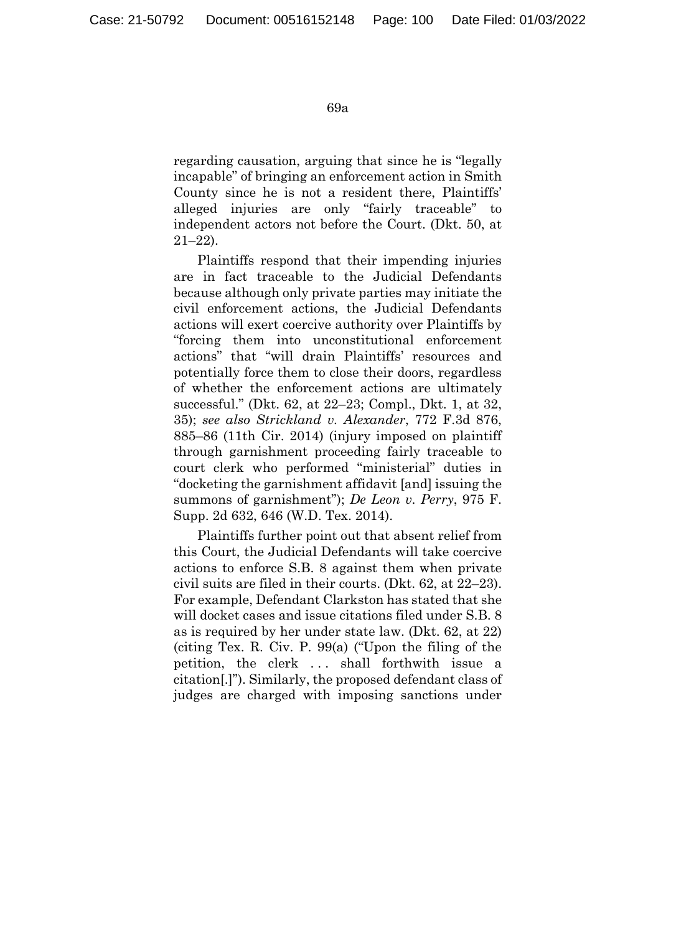regarding causation, arguing that since he is "legally incapable" of bringing an enforcement action in Smith County since he is not a resident there, Plaintiffs' alleged injuries are only "fairly traceable" to independent actors not before the Court. (Dkt. 50, at 21–22).

Plaintiffs respond that their impending injuries are in fact traceable to the Judicial Defendants because although only private parties may initiate the civil enforcement actions, the Judicial Defendants actions will exert coercive authority over Plaintiffs by "forcing them into unconstitutional enforcement actions" that "will drain Plaintiffs' resources and potentially force them to close their doors, regardless of whether the enforcement actions are ultimately successful." (Dkt. 62, at 22–23; Compl., Dkt. 1, at 32, 35); *see also Strickland v. Alexander*, 772 F.3d 876, 885–86 (11th Cir. 2014) (injury imposed on plaintiff through garnishment proceeding fairly traceable to court clerk who performed "ministerial" duties in "docketing the garnishment affidavit [and] issuing the summons of garnishment"); *De Leon v. Perry*, 975 F. Supp. 2d 632, 646 (W.D. Tex. 2014).

Plaintiffs further point out that absent relief from this Court, the Judicial Defendants will take coercive actions to enforce S.B. 8 against them when private civil suits are filed in their courts. (Dkt. 62, at 22–23). For example, Defendant Clarkston has stated that she will docket cases and issue citations filed under S.B. 8 as is required by her under state law. (Dkt. 62, at 22) (citing Tex. R. Civ. P. 99(a) ("Upon the filing of the petition, the clerk . . . shall forthwith issue a citation[.]"). Similarly, the proposed defendant class of judges are charged with imposing sanctions under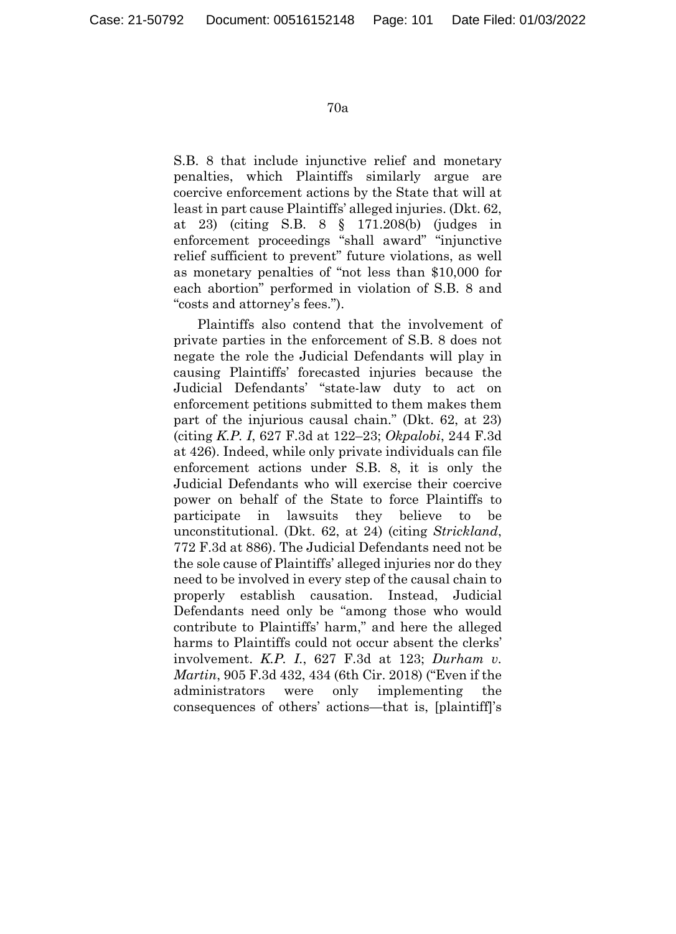S.B. 8 that include injunctive relief and monetary penalties, which Plaintiffs similarly argue are coercive enforcement actions by the State that will at least in part cause Plaintiffs' alleged injuries. (Dkt. 62, at 23) (citing S.B. 8 § 171.208(b) (judges in enforcement proceedings "shall award" "injunctive relief sufficient to prevent" future violations, as well as monetary penalties of "not less than \$10,000 for each abortion" performed in violation of S.B. 8 and "costs and attorney's fees.").

Plaintiffs also contend that the involvement of private parties in the enforcement of S.B. 8 does not negate the role the Judicial Defendants will play in causing Plaintiffs' forecasted injuries because the Judicial Defendants' "state-law duty to act on enforcement petitions submitted to them makes them part of the injurious causal chain." (Dkt. 62, at 23) (citing *K.P. I*, 627 F.3d at 122–23; *Okpalobi*, 244 F.3d at 426). Indeed, while only private individuals can file enforcement actions under S.B. 8, it is only the Judicial Defendants who will exercise their coercive power on behalf of the State to force Plaintiffs to participate in lawsuits they believe to be unconstitutional. (Dkt. 62, at 24) (citing *Strickland*, 772 F.3d at 886). The Judicial Defendants need not be the sole cause of Plaintiffs' alleged injuries nor do they need to be involved in every step of the causal chain to properly establish causation. Instead, Judicial Defendants need only be "among those who would contribute to Plaintiffs' harm," and here the alleged harms to Plaintiffs could not occur absent the clerks' involvement. *K.P. I.*, 627 F.3d at 123; *Durham v. Martin*, 905 F.3d 432, 434 (6th Cir. 2018) ("Even if the administrators were only implementing the consequences of others' actions—that is, [plaintiff]'s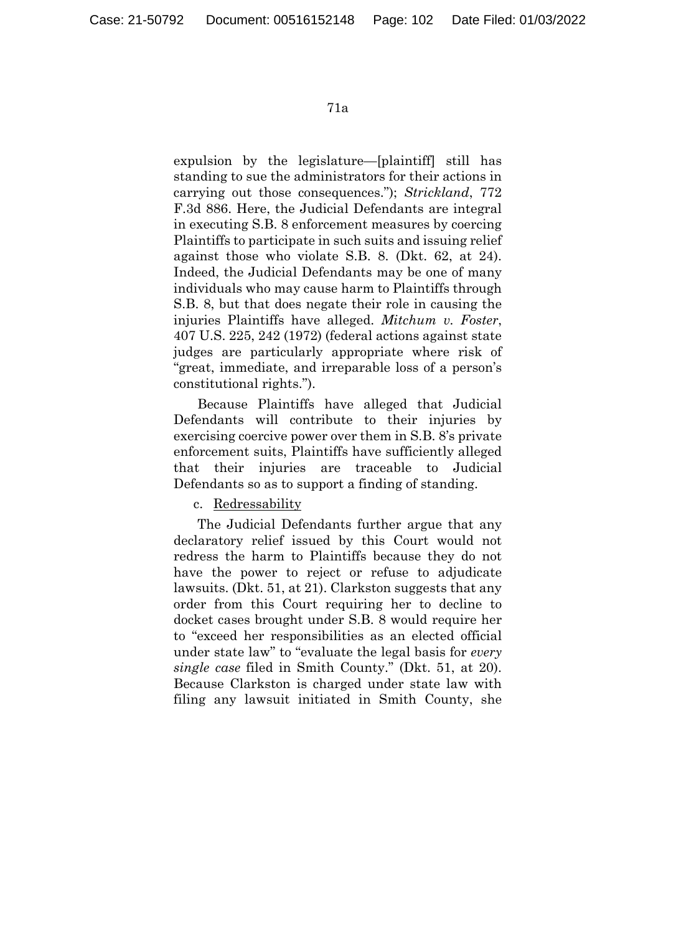expulsion by the legislature—[plaintiff] still has standing to sue the administrators for their actions in carrying out those consequences."); *Strickland*, 772 F.3d 886. Here, the Judicial Defendants are integral in executing S.B. 8 enforcement measures by coercing Plaintiffs to participate in such suits and issuing relief against those who violate S.B. 8. (Dkt. 62, at 24). Indeed, the Judicial Defendants may be one of many individuals who may cause harm to Plaintiffs through S.B. 8, but that does negate their role in causing the injuries Plaintiffs have alleged. *Mitchum v. Foster*, 407 U.S. 225, 242 (1972) (federal actions against state judges are particularly appropriate where risk of "great, immediate, and irreparable loss of a person's constitutional rights.").

Because Plaintiffs have alleged that Judicial Defendants will contribute to their injuries by exercising coercive power over them in S.B. 8's private enforcement suits, Plaintiffs have sufficiently alleged that their injuries are traceable to Judicial Defendants so as to support a finding of standing.

c. Redressability

The Judicial Defendants further argue that any declaratory relief issued by this Court would not redress the harm to Plaintiffs because they do not have the power to reject or refuse to adjudicate lawsuits. (Dkt. 51, at 21). Clarkston suggests that any order from this Court requiring her to decline to docket cases brought under S.B. 8 would require her to "exceed her responsibilities as an elected official under state law" to "evaluate the legal basis for *every single case* filed in Smith County." (Dkt. 51, at 20). Because Clarkston is charged under state law with filing any lawsuit initiated in Smith County, she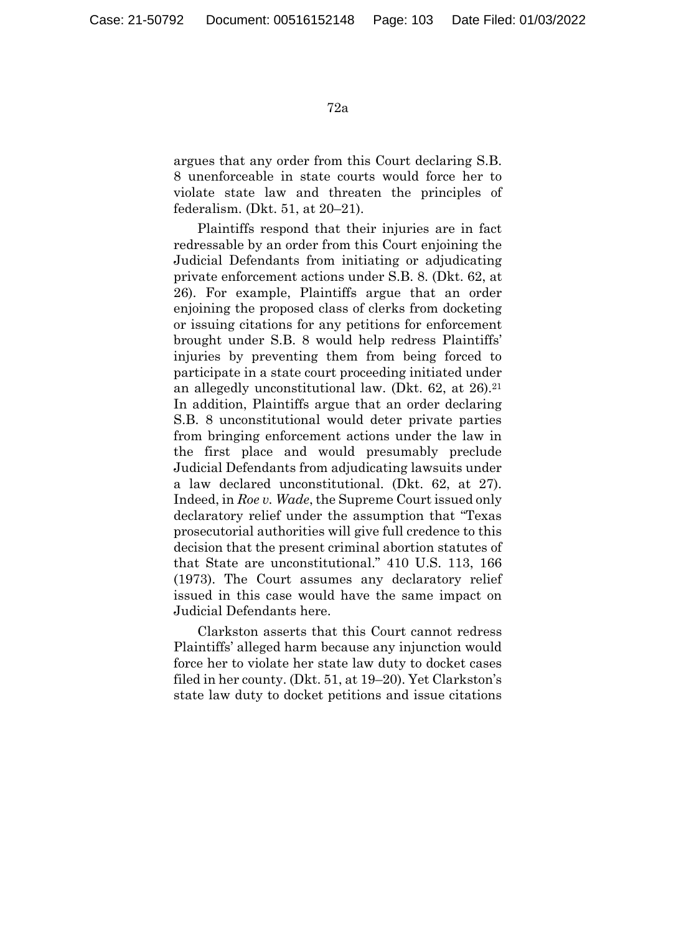argues that any order from this Court declaring S.B. 8 unenforceable in state courts would force her to violate state law and threaten the principles of federalism. (Dkt. 51, at 20–21).

Plaintiffs respond that their injuries are in fact redressable by an order from this Court enjoining the Judicial Defendants from initiating or adjudicating private enforcement actions under S.B. 8. (Dkt. 62, at 26). For example, Plaintiffs argue that an order enjoining the proposed class of clerks from docketing or issuing citations for any petitions for enforcement brought under S.B. 8 would help redress Plaintiffs' injuries by preventing them from being forced to participate in a state court proceeding initiated under an allegedly unconstitutional law. (Dkt. 62, at 26).21 In addition, Plaintiffs argue that an order declaring S.B. 8 unconstitutional would deter private parties from bringing enforcement actions under the law in the first place and would presumably preclude Judicial Defendants from adjudicating lawsuits under a law declared unconstitutional. (Dkt. 62, at 27). Indeed, in *Roe v. Wade*, the Supreme Court issued only declaratory relief under the assumption that "Texas prosecutorial authorities will give full credence to this decision that the present criminal abortion statutes of that State are unconstitutional." 410 U.S. 113, 166 (1973). The Court assumes any declaratory relief issued in this case would have the same impact on Judicial Defendants here.

Clarkston asserts that this Court cannot redress Plaintiffs' alleged harm because any injunction would force her to violate her state law duty to docket cases filed in her county. (Dkt. 51, at 19–20). Yet Clarkston's state law duty to docket petitions and issue citations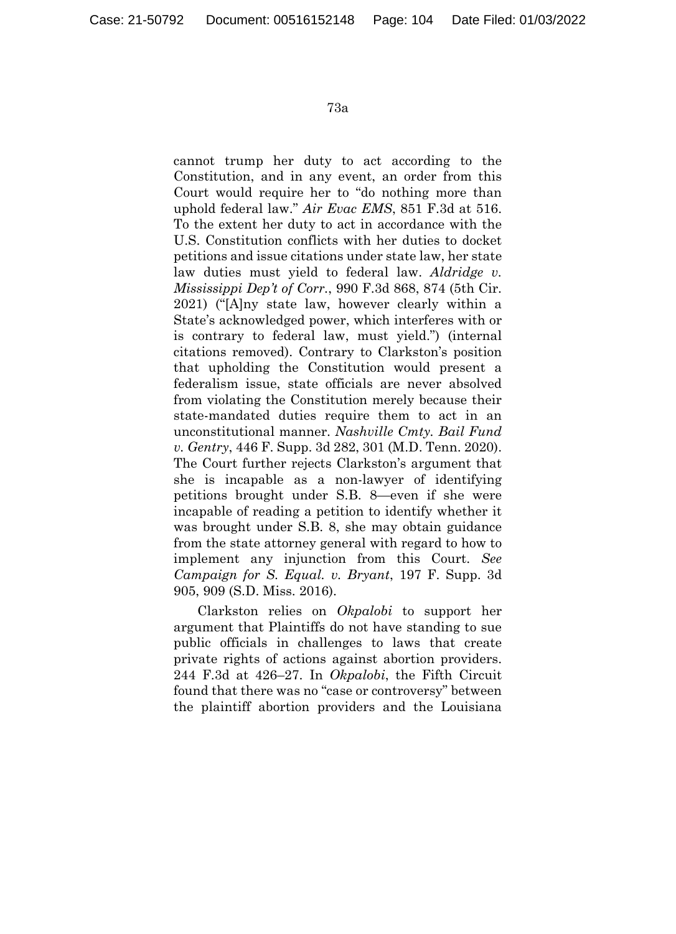cannot trump her duty to act according to the Constitution, and in any event, an order from this Court would require her to "do nothing more than uphold federal law." *Air Evac EMS*, 851 F.3d at 516. To the extent her duty to act in accordance with the U.S. Constitution conflicts with her duties to docket petitions and issue citations under state law, her state law duties must yield to federal law. *Aldridge v. Mississippi Dep't of Corr.*, 990 F.3d 868, 874 (5th Cir. 2021) ("[A]ny state law, however clearly within a State's acknowledged power, which interferes with or is contrary to federal law, must yield.") (internal citations removed). Contrary to Clarkston's position that upholding the Constitution would present a federalism issue, state officials are never absolved from violating the Constitution merely because their state-mandated duties require them to act in an unconstitutional manner. *Nashville Cmty. Bail Fund v. Gentry*, 446 F. Supp. 3d 282, 301 (M.D. Tenn. 2020). The Court further rejects Clarkston's argument that she is incapable as a non-lawyer of identifying petitions brought under S.B. 8—even if she were incapable of reading a petition to identify whether it was brought under S.B. 8, she may obtain guidance from the state attorney general with regard to how to implement any injunction from this Court. *See Campaign for S. Equal. v. Bryant*, 197 F. Supp. 3d 905, 909 (S.D. Miss. 2016).

Clarkston relies on *Okpalobi* to support her argument that Plaintiffs do not have standing to sue public officials in challenges to laws that create private rights of actions against abortion providers. 244 F.3d at 426–27. In *Okpalobi*, the Fifth Circuit found that there was no "case or controversy" between the plaintiff abortion providers and the Louisiana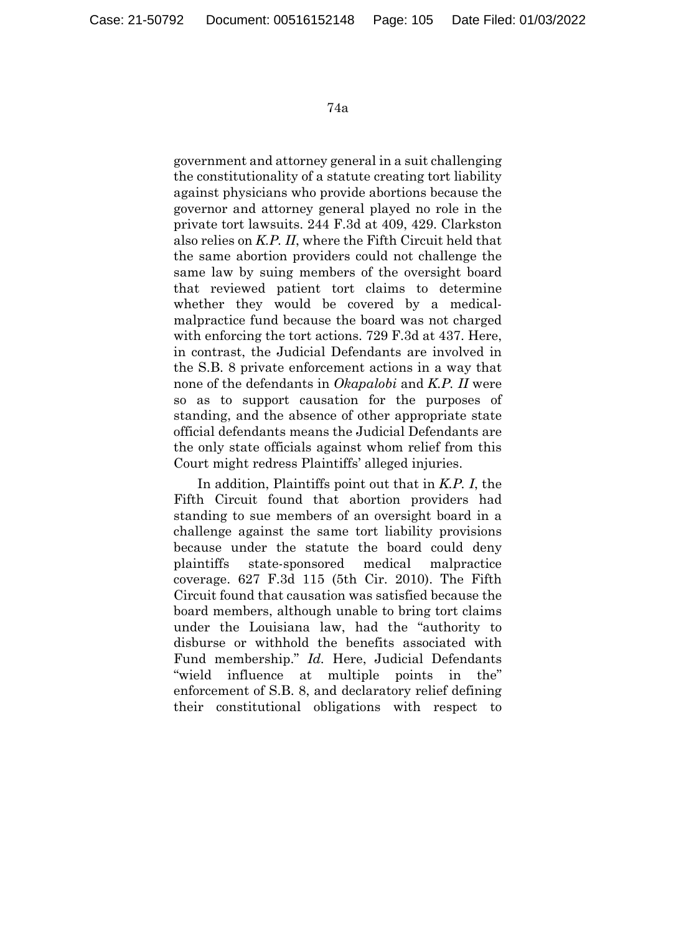government and attorney general in a suit challenging the constitutionality of a statute creating tort liability against physicians who provide abortions because the governor and attorney general played no role in the private tort lawsuits. 244 F.3d at 409, 429. Clarkston also relies on *K.P. II*, where the Fifth Circuit held that the same abortion providers could not challenge the same law by suing members of the oversight board that reviewed patient tort claims to determine whether they would be covered by a medicalmalpractice fund because the board was not charged with enforcing the tort actions. 729 F.3d at 437. Here, in contrast, the Judicial Defendants are involved in the S.B. 8 private enforcement actions in a way that none of the defendants in *Okapalobi* and *K.P. II* were so as to support causation for the purposes of standing, and the absence of other appropriate state official defendants means the Judicial Defendants are the only state officials against whom relief from this Court might redress Plaintiffs' alleged injuries.

In addition, Plaintiffs point out that in *K.P. I*, the Fifth Circuit found that abortion providers had standing to sue members of an oversight board in a challenge against the same tort liability provisions because under the statute the board could deny plaintiffs state-sponsored medical malpractice coverage. 627 F.3d 115 (5th Cir. 2010). The Fifth Circuit found that causation was satisfied because the board members, although unable to bring tort claims under the Louisiana law, had the "authority to disburse or withhold the benefits associated with Fund membership." *Id.* Here, Judicial Defendants "wield influence at multiple points in the" enforcement of S.B. 8, and declaratory relief defining their constitutional obligations with respect to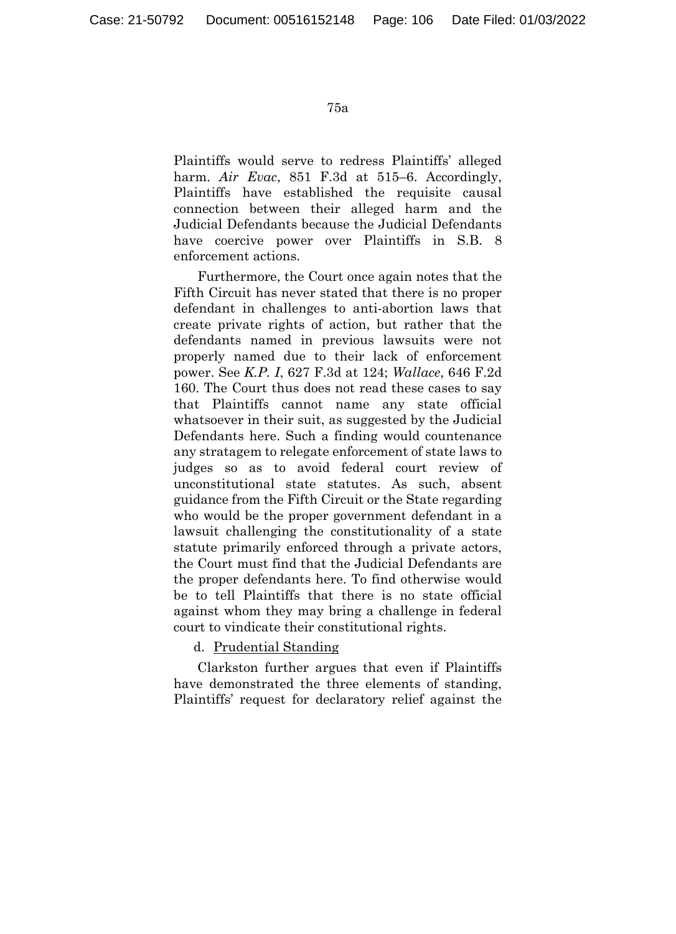Plaintiffs would serve to redress Plaintiffs' alleged harm. *Air Evac*, 851 F.3d at 515–6. Accordingly, Plaintiffs have established the requisite causal connection between their alleged harm and the Judicial Defendants because the Judicial Defendants have coercive power over Plaintiffs in S.B. 8 enforcement actions.

Furthermore, the Court once again notes that the Fifth Circuit has never stated that there is no proper defendant in challenges to anti-abortion laws that create private rights of action, but rather that the defendants named in previous lawsuits were not properly named due to their lack of enforcement power. See *K.P. I*, 627 F.3d at 124; *Wallace*, 646 F.2d 160. The Court thus does not read these cases to say that Plaintiffs cannot name any state official whatsoever in their suit, as suggested by the Judicial Defendants here. Such a finding would countenance any stratagem to relegate enforcement of state laws to judges so as to avoid federal court review of unconstitutional state statutes. As such, absent guidance from the Fifth Circuit or the State regarding who would be the proper government defendant in a lawsuit challenging the constitutionality of a state statute primarily enforced through a private actors, the Court must find that the Judicial Defendants are the proper defendants here. To find otherwise would be to tell Plaintiffs that there is no state official against whom they may bring a challenge in federal court to vindicate their constitutional rights.

d. Prudential Standing

Clarkston further argues that even if Plaintiffs have demonstrated the three elements of standing, Plaintiffs' request for declaratory relief against the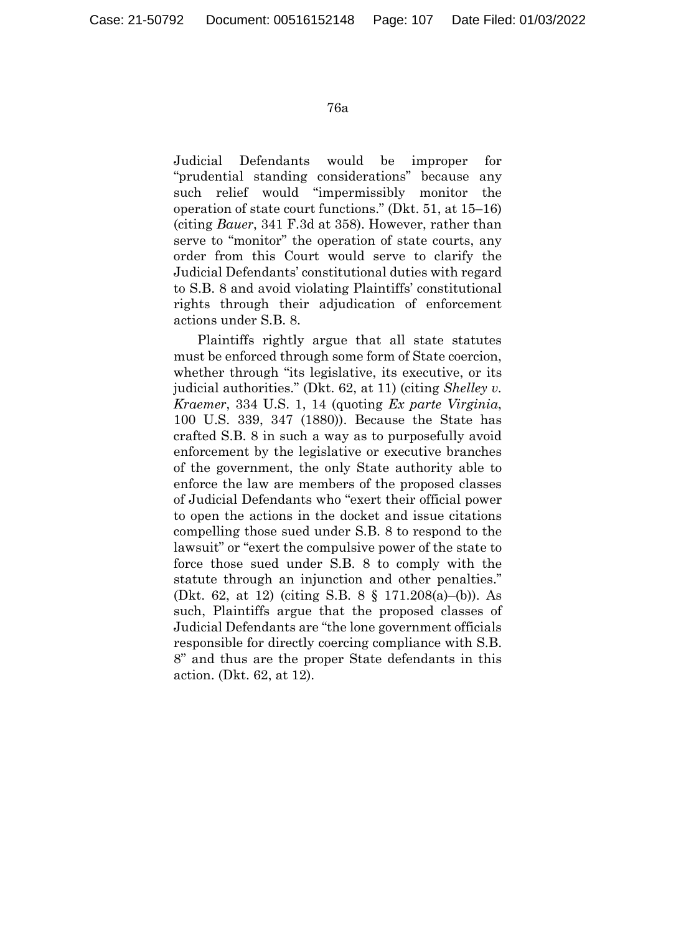Judicial Defendants would be improper for "prudential standing considerations" because any such relief would "impermissibly monitor the operation of state court functions." (Dkt. 51, at 15–16) (citing *Bauer*, 341 F.3d at 358). However, rather than serve to "monitor" the operation of state courts, any order from this Court would serve to clarify the Judicial Defendants' constitutional duties with regard to S.B. 8 and avoid violating Plaintiffs' constitutional rights through their adjudication of enforcement actions under S.B. 8.

Plaintiffs rightly argue that all state statutes must be enforced through some form of State coercion, whether through "its legislative, its executive, or its judicial authorities." (Dkt. 62, at 11) (citing *Shelley v. Kraemer*, 334 U.S. 1, 14 (quoting *Ex parte Virginia*, 100 U.S. 339, 347 (1880)). Because the State has crafted S.B. 8 in such a way as to purposefully avoid enforcement by the legislative or executive branches of the government, the only State authority able to enforce the law are members of the proposed classes of Judicial Defendants who "exert their official power to open the actions in the docket and issue citations compelling those sued under S.B. 8 to respond to the lawsuit" or "exert the compulsive power of the state to force those sued under S.B. 8 to comply with the statute through an injunction and other penalties." (Dkt. 62, at 12) (citing S.B. 8 § 171.208(a)–(b)). As such, Plaintiffs argue that the proposed classes of Judicial Defendants are "the lone government officials responsible for directly coercing compliance with S.B. 8" and thus are the proper State defendants in this action. (Dkt. 62, at 12).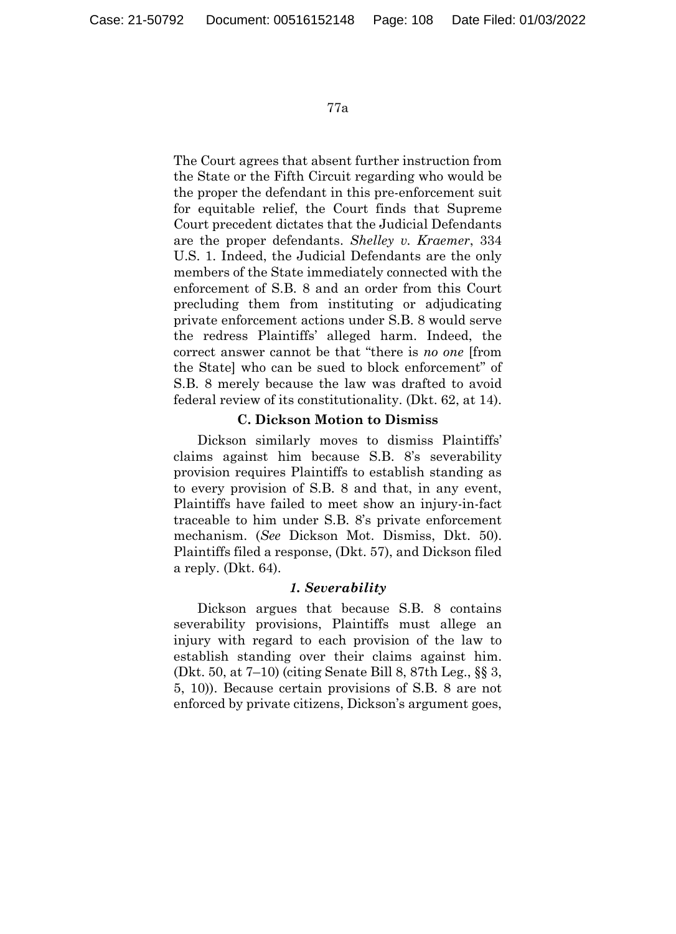The Court agrees that absent further instruction from the State or the Fifth Circuit regarding who would be the proper the defendant in this pre-enforcement suit for equitable relief, the Court finds that Supreme Court precedent dictates that the Judicial Defendants are the proper defendants. *Shelley v. Kraemer*, 334 U.S. 1. Indeed, the Judicial Defendants are the only members of the State immediately connected with the enforcement of S.B. 8 and an order from this Court precluding them from instituting or adjudicating private enforcement actions under S.B. 8 would serve the redress Plaintiffs' alleged harm. Indeed, the correct answer cannot be that "there is *no one* [from the State] who can be sued to block enforcement" of S.B. 8 merely because the law was drafted to avoid federal review of its constitutionality. (Dkt. 62, at 14).

## **C. Dickson Motion to Dismiss**

Dickson similarly moves to dismiss Plaintiffs' claims against him because S.B. 8's severability provision requires Plaintiffs to establish standing as to every provision of S.B. 8 and that, in any event, Plaintiffs have failed to meet show an injury-in-fact traceable to him under S.B. 8's private enforcement mechanism. (*See* Dickson Mot. Dismiss, Dkt. 50). Plaintiffs filed a response, (Dkt. 57), and Dickson filed a reply. (Dkt. 64).

### *1. Severability*

Dickson argues that because S.B. 8 contains severability provisions, Plaintiffs must allege an injury with regard to each provision of the law to establish standing over their claims against him. (Dkt. 50, at 7–10) (citing Senate Bill 8, 87th Leg., §§ 3, 5, 10)). Because certain provisions of S.B. 8 are not enforced by private citizens, Dickson's argument goes,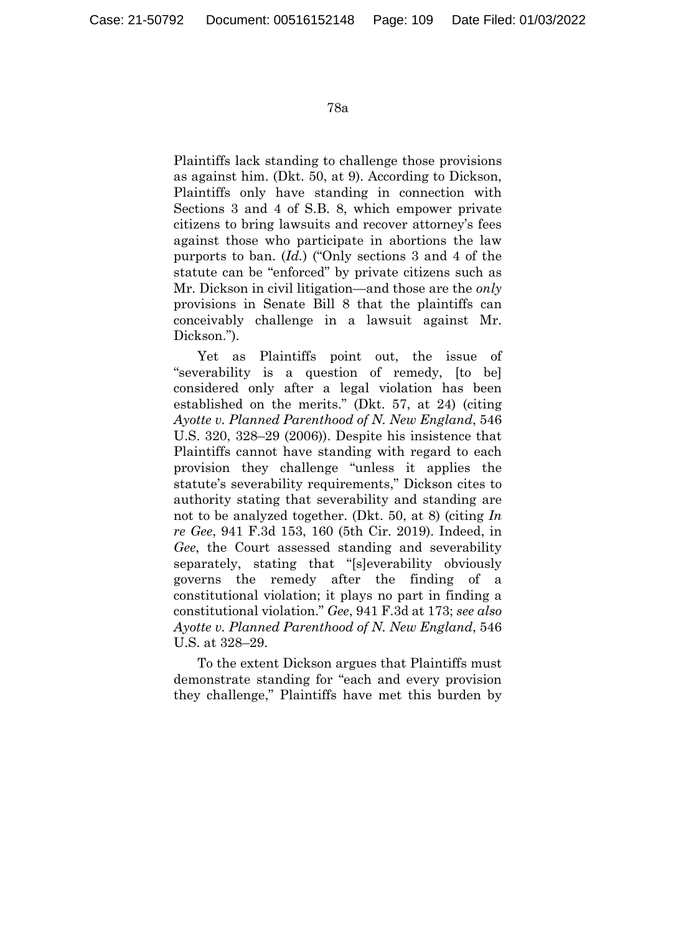Plaintiffs lack standing to challenge those provisions as against him. (Dkt. 50, at 9). According to Dickson, Plaintiffs only have standing in connection with Sections 3 and 4 of S.B. 8, which empower private citizens to bring lawsuits and recover attorney's fees against those who participate in abortions the law purports to ban. (*Id.*) ("Only sections 3 and 4 of the statute can be "enforced" by private citizens such as Mr. Dickson in civil litigation—and those are the *only* provisions in Senate Bill 8 that the plaintiffs can conceivably challenge in a lawsuit against Mr. Dickson.").

Yet as Plaintiffs point out, the issue of "severability is a question of remedy, [to be] considered only after a legal violation has been established on the merits." (Dkt. 57, at 24) (citing *Ayotte v. Planned Parenthood of N. New England*, 546 U.S. 320, 328–29 (2006)). Despite his insistence that Plaintiffs cannot have standing with regard to each provision they challenge "unless it applies the statute's severability requirements," Dickson cites to authority stating that severability and standing are not to be analyzed together. (Dkt. 50, at 8) (citing *In re Gee*, 941 F.3d 153, 160 (5th Cir. 2019). Indeed, in *Gee*, the Court assessed standing and severability separately, stating that "[s]everability obviously governs the remedy after the finding of a constitutional violation; it plays no part in finding a constitutional violation." *Gee*, 941 F.3d at 173; *see also Ayotte v. Planned Parenthood of N. New England*, 546 U.S. at 328–29.

To the extent Dickson argues that Plaintiffs must demonstrate standing for "each and every provision they challenge," Plaintiffs have met this burden by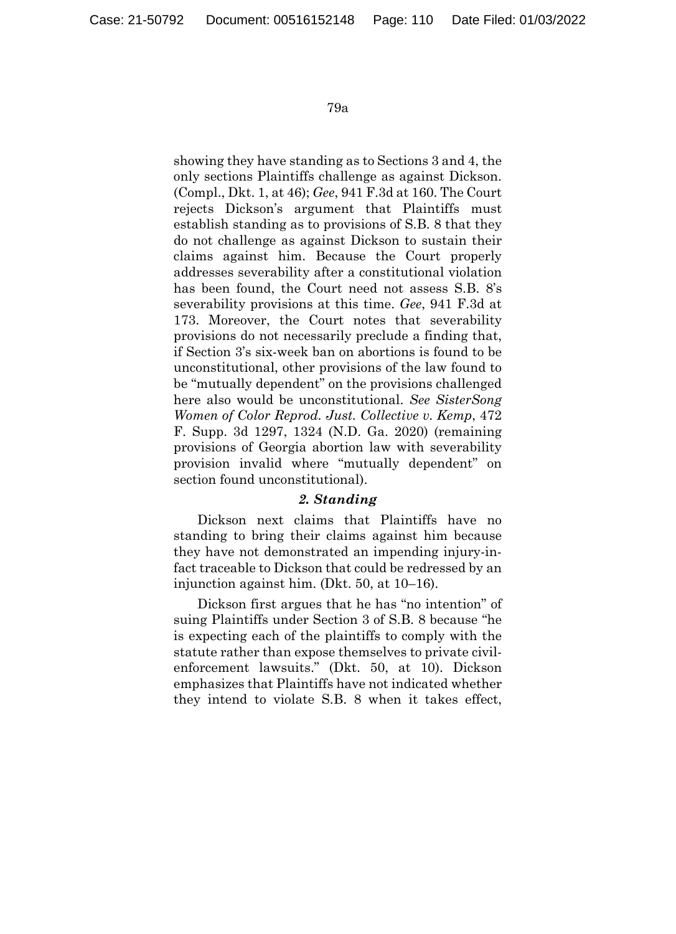showing they have standing as to Sections 3 and 4, the only sections Plaintiffs challenge as against Dickson. (Compl., Dkt. 1, at 46); *Gee*, 941 F.3d at 160. The Court rejects Dickson's argument that Plaintiffs must establish standing as to provisions of S.B. 8 that they do not challenge as against Dickson to sustain their claims against him. Because the Court properly addresses severability after a constitutional violation has been found, the Court need not assess S.B. 8's severability provisions at this time. *Gee*, 941 F.3d at 173. Moreover, the Court notes that severability provisions do not necessarily preclude a finding that, if Section 3's six-week ban on abortions is found to be unconstitutional, other provisions of the law found to be "mutually dependent" on the provisions challenged here also would be unconstitutional. *See SisterSong Women of Color Reprod. Just. Collective v. Kemp*, 472 F. Supp. 3d 1297, 1324 (N.D. Ga. 2020) (remaining provisions of Georgia abortion law with severability provision invalid where "mutually dependent" on section found unconstitutional).

## *2. Standing*

Dickson next claims that Plaintiffs have no standing to bring their claims against him because they have not demonstrated an impending injury-infact traceable to Dickson that could be redressed by an injunction against him. (Dkt. 50, at 10–16).

Dickson first argues that he has "no intention" of suing Plaintiffs under Section 3 of S.B. 8 because "he is expecting each of the plaintiffs to comply with the statute rather than expose themselves to private civilenforcement lawsuits." (Dkt. 50, at 10). Dickson emphasizes that Plaintiffs have not indicated whether they intend to violate S.B. 8 when it takes effect,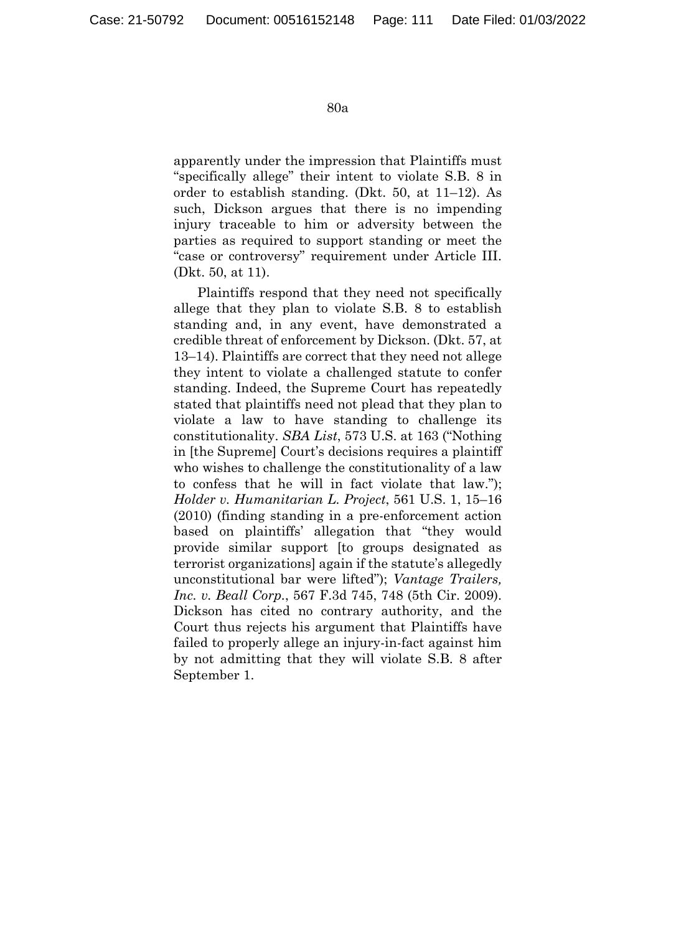apparently under the impression that Plaintiffs must "specifically allege" their intent to violate S.B. 8 in order to establish standing. (Dkt. 50, at 11–12). As such, Dickson argues that there is no impending injury traceable to him or adversity between the parties as required to support standing or meet the "case or controversy" requirement under Article III. (Dkt. 50, at 11).

Plaintiffs respond that they need not specifically allege that they plan to violate S.B. 8 to establish standing and, in any event, have demonstrated a credible threat of enforcement by Dickson. (Dkt. 57, at 13–14). Plaintiffs are correct that they need not allege they intent to violate a challenged statute to confer standing. Indeed, the Supreme Court has repeatedly stated that plaintiffs need not plead that they plan to violate a law to have standing to challenge its constitutionality. *SBA List*, 573 U.S. at 163 ("Nothing in [the Supreme] Court's decisions requires a plaintiff who wishes to challenge the constitutionality of a law to confess that he will in fact violate that law."); *Holder v. Humanitarian L. Project*, 561 U.S. 1, 15–16 (2010) (finding standing in a pre-enforcement action based on plaintiffs' allegation that "they would provide similar support [to groups designated as terrorist organizations] again if the statute's allegedly unconstitutional bar were lifted"); *Vantage Trailers, Inc. v. Beall Corp.*, 567 F.3d 745, 748 (5th Cir. 2009). Dickson has cited no contrary authority, and the Court thus rejects his argument that Plaintiffs have failed to properly allege an injury-in-fact against him by not admitting that they will violate S.B. 8 after September 1.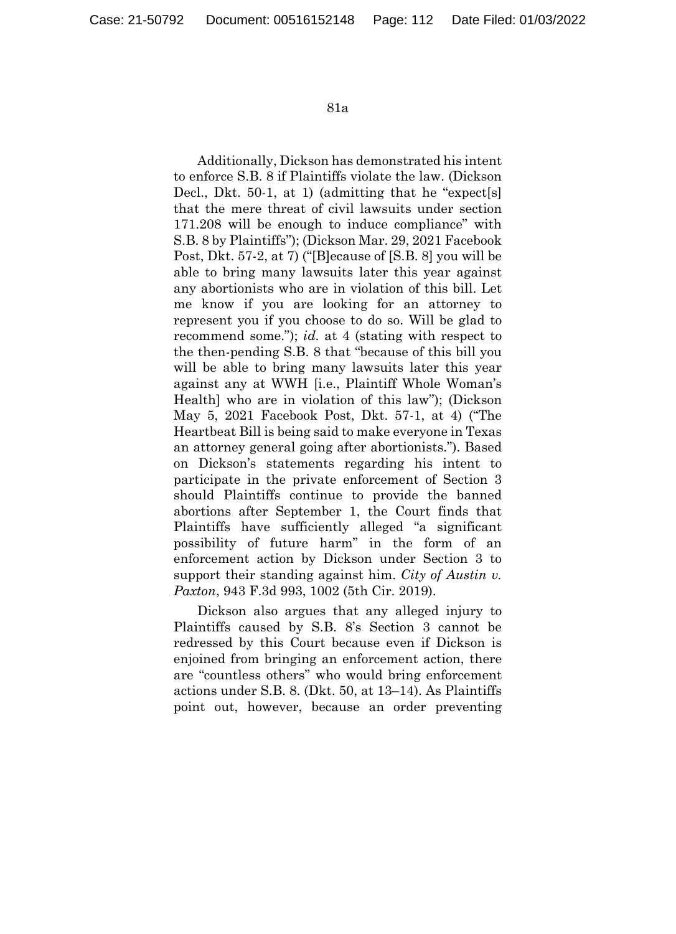Additionally, Dickson has demonstrated his intent to enforce S.B. 8 if Plaintiffs violate the law. (Dickson Decl., Dkt. 50-1, at 1) (admitting that he "expect[s] that the mere threat of civil lawsuits under section 171.208 will be enough to induce compliance" with S.B. 8 by Plaintiffs"); (Dickson Mar. 29, 2021 Facebook Post, Dkt. 57-2, at 7) ("[B]ecause of [S.B. 8] you will be able to bring many lawsuits later this year against any abortionists who are in violation of this bill. Let me know if you are looking for an attorney to represent you if you choose to do so. Will be glad to recommend some."); *id.* at 4 (stating with respect to the then-pending S.B. 8 that "because of this bill you will be able to bring many lawsuits later this year against any at WWH [i.e., Plaintiff Whole Woman's Health] who are in violation of this law"); (Dickson May 5, 2021 Facebook Post, Dkt. 57-1, at 4) ("The Heartbeat Bill is being said to make everyone in Texas an attorney general going after abortionists."). Based on Dickson's statements regarding his intent to participate in the private enforcement of Section 3 should Plaintiffs continue to provide the banned abortions after September 1, the Court finds that Plaintiffs have sufficiently alleged "a significant possibility of future harm" in the form of an enforcement action by Dickson under Section 3 to support their standing against him. *City of Austin v. Paxton*, 943 F.3d 993, 1002 (5th Cir. 2019).

Dickson also argues that any alleged injury to Plaintiffs caused by S.B. 8's Section 3 cannot be redressed by this Court because even if Dickson is enjoined from bringing an enforcement action, there are "countless others" who would bring enforcement actions under S.B. 8. (Dkt. 50, at 13–14). As Plaintiffs point out, however, because an order preventing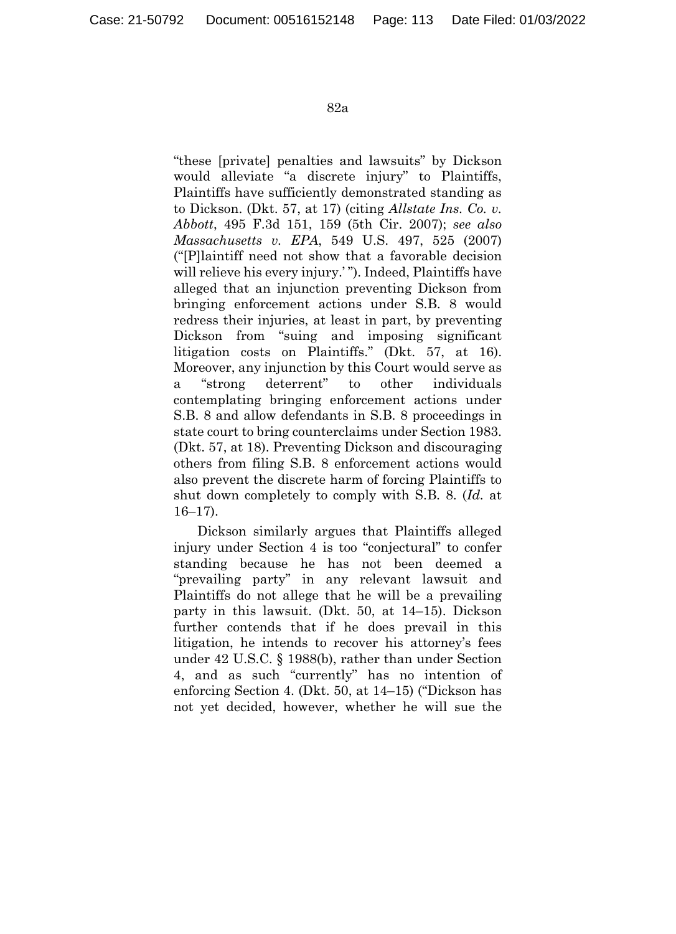"these [private] penalties and lawsuits" by Dickson would alleviate "a discrete injury" to Plaintiffs, Plaintiffs have sufficiently demonstrated standing as to Dickson. (Dkt. 57, at 17) (citing *Allstate Ins. Co. v. Abbott*, 495 F.3d 151, 159 (5th Cir. 2007); *see also Massachusetts v. EPA*, 549 U.S. 497, 525 (2007) ("[P]laintiff need not show that a favorable decision will relieve his every injury.' "). Indeed, Plaintiffs have alleged that an injunction preventing Dickson from bringing enforcement actions under S.B. 8 would redress their injuries, at least in part, by preventing Dickson from "suing and imposing significant litigation costs on Plaintiffs." (Dkt. 57, at 16). Moreover, any injunction by this Court would serve as a "strong deterrent" to other individuals contemplating bringing enforcement actions under S.B. 8 and allow defendants in S.B. 8 proceedings in state court to bring counterclaims under Section 1983. (Dkt. 57, at 18). Preventing Dickson and discouraging others from filing S.B. 8 enforcement actions would also prevent the discrete harm of forcing Plaintiffs to shut down completely to comply with S.B. 8. (*Id.* at 16–17).

Dickson similarly argues that Plaintiffs alleged injury under Section 4 is too "conjectural" to confer standing because he has not been deemed a "prevailing party" in any relevant lawsuit and Plaintiffs do not allege that he will be a prevailing party in this lawsuit. (Dkt. 50, at 14–15). Dickson further contends that if he does prevail in this litigation, he intends to recover his attorney's fees under 42 U.S.C. § 1988(b), rather than under Section 4, and as such "currently" has no intention of enforcing Section 4. (Dkt. 50, at 14–15) ("Dickson has not yet decided, however, whether he will sue the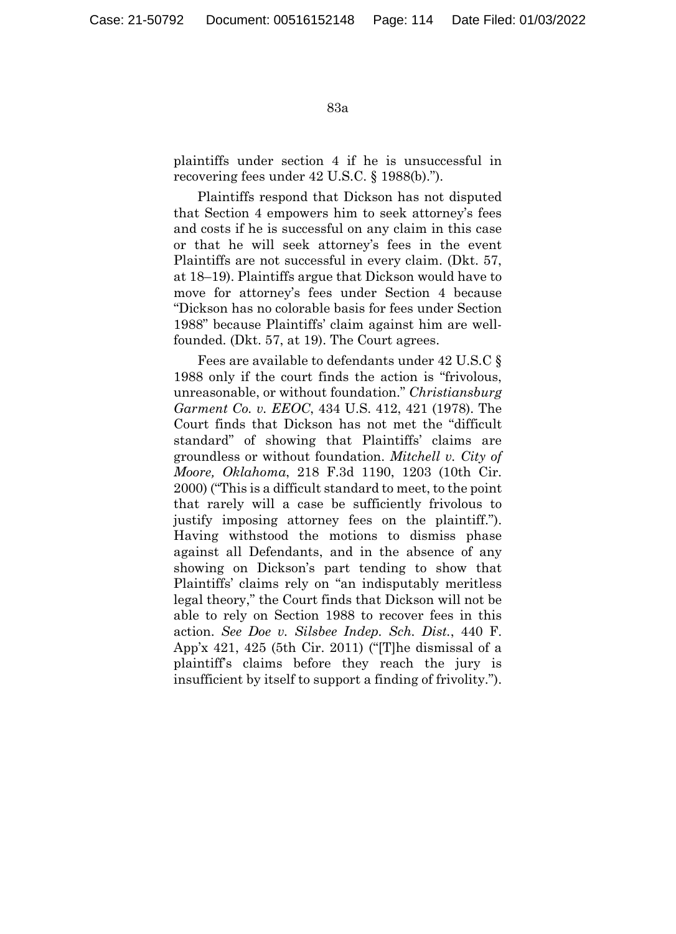plaintiffs under section 4 if he is unsuccessful in recovering fees under 42 U.S.C. § 1988(b).").

Plaintiffs respond that Dickson has not disputed that Section 4 empowers him to seek attorney's fees and costs if he is successful on any claim in this case or that he will seek attorney's fees in the event Plaintiffs are not successful in every claim. (Dkt. 57, at 18–19). Plaintiffs argue that Dickson would have to move for attorney's fees under Section 4 because "Dickson has no colorable basis for fees under Section 1988" because Plaintiffs' claim against him are wellfounded. (Dkt. 57, at 19). The Court agrees.

Fees are available to defendants under 42 U.S.C § 1988 only if the court finds the action is "frivolous, unreasonable, or without foundation." *Christiansburg Garment Co. v. EEOC*, 434 U.S. 412, 421 (1978). The Court finds that Dickson has not met the "difficult standard" of showing that Plaintiffs' claims are groundless or without foundation. *Mitchell v. City of Moore, Oklahoma*, 218 F.3d 1190, 1203 (10th Cir. 2000) ("This is a difficult standard to meet, to the point that rarely will a case be sufficiently frivolous to justify imposing attorney fees on the plaintiff."). Having withstood the motions to dismiss phase against all Defendants, and in the absence of any showing on Dickson's part tending to show that Plaintiffs' claims rely on "an indisputably meritless legal theory," the Court finds that Dickson will not be able to rely on Section 1988 to recover fees in this action. *See Doe v. Silsbee Indep. Sch. Dist.*, 440 F. App'x 421, 425 (5th Cir. 2011) ("[T]he dismissal of a plaintiff's claims before they reach the jury is insufficient by itself to support a finding of frivolity.").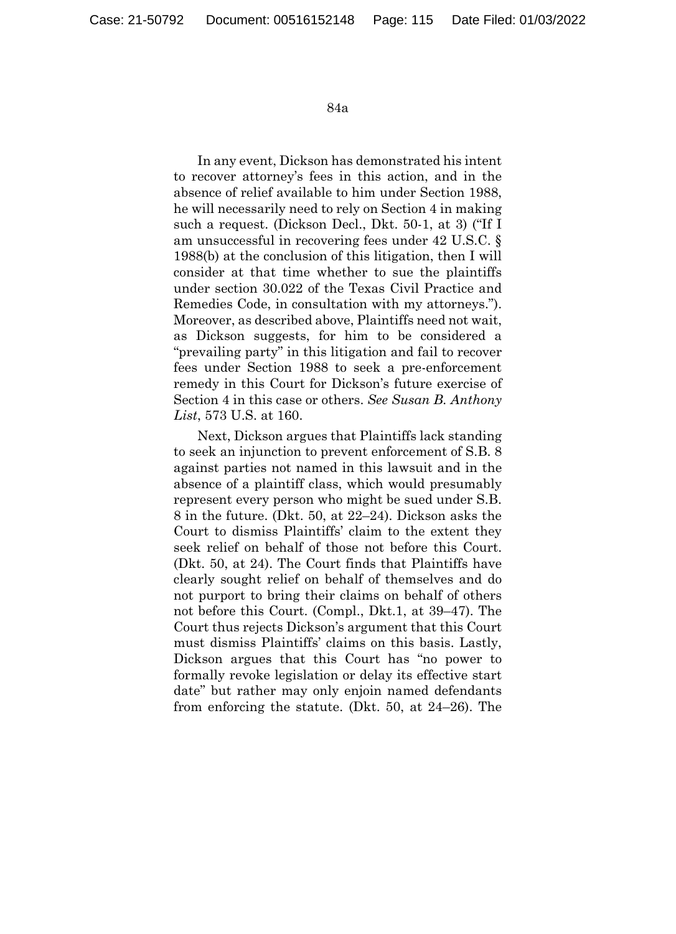In any event, Dickson has demonstrated his intent to recover attorney's fees in this action, and in the absence of relief available to him under Section 1988, he will necessarily need to rely on Section 4 in making such a request. (Dickson Decl., Dkt. 50-1, at 3) ("If I am unsuccessful in recovering fees under 42 U.S.C. § 1988(b) at the conclusion of this litigation, then I will consider at that time whether to sue the plaintiffs under section 30.022 of the Texas Civil Practice and Remedies Code, in consultation with my attorneys."). Moreover, as described above, Plaintiffs need not wait, as Dickson suggests, for him to be considered a "prevailing party" in this litigation and fail to recover fees under Section 1988 to seek a pre-enforcement remedy in this Court for Dickson's future exercise of Section 4 in this case or others. *See Susan B. Anthony List*, 573 U.S. at 160.

Next, Dickson argues that Plaintiffs lack standing to seek an injunction to prevent enforcement of S.B. 8 against parties not named in this lawsuit and in the absence of a plaintiff class, which would presumably represent every person who might be sued under S.B. 8 in the future. (Dkt. 50, at 22–24). Dickson asks the Court to dismiss Plaintiffs' claim to the extent they seek relief on behalf of those not before this Court. (Dkt. 50, at 24). The Court finds that Plaintiffs have clearly sought relief on behalf of themselves and do not purport to bring their claims on behalf of others not before this Court. (Compl., Dkt.1, at 39–47). The Court thus rejects Dickson's argument that this Court must dismiss Plaintiffs' claims on this basis. Lastly, Dickson argues that this Court has "no power to formally revoke legislation or delay its effective start date" but rather may only enjoin named defendants from enforcing the statute. (Dkt. 50, at 24–26). The